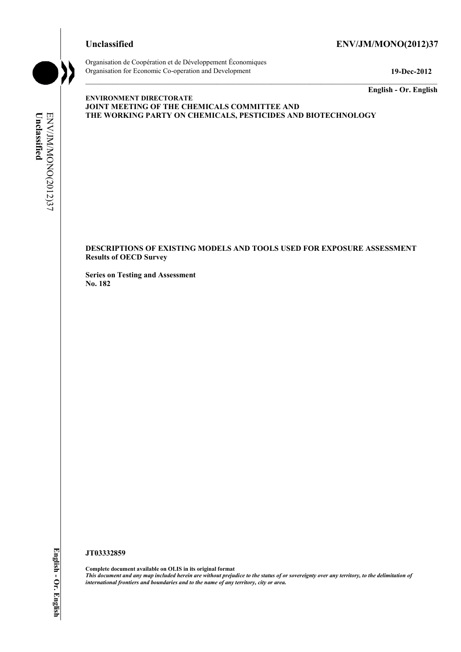# **Unclassified ENV/JM/MONO(2012)37**



Organisation de Coopération et de Développement Économiques Organisation for Economic Co-operation and Development **19-Dec-2012** 

**English - Or. English** 

# Unclassified ENV/JM/MONO(2012)37 **Unclassified**  ENV/JM/MONO(2012)37

#### **ENVIRONMENT DIRECTORATE JOINT MEETING OF THE CHEMICALS COMMITTEE AND THE WORKING PARTY ON CHEMICALS, PESTICIDES AND BIOTECHNOLOGY**

**DESCRIPTIONS OF EXISTING MODELS AND TOOLS USED FOR EXPOSURE ASSESSMENT Results of OECD Survey** 

**Series on Testing and Assessment No. 182** 

# **JT03332859**

**Complete document available on OLIS in its original format** *This document and any map included herein are without prejudice to the status of or sovereignty over any territory, to the delimitation of international frontiers and boundaries and to the name of any territory, city or area.*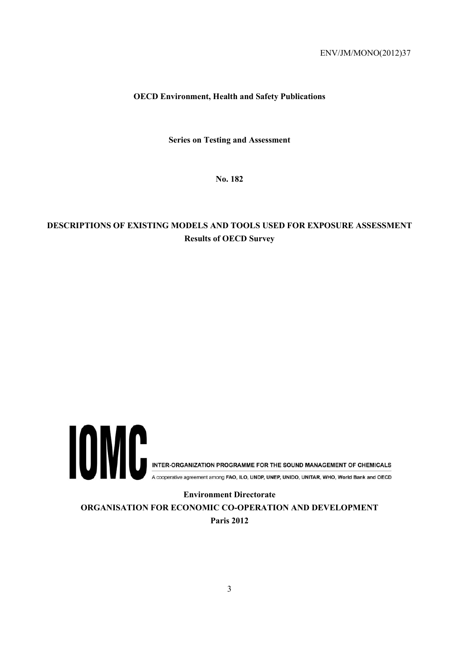## **OECD Environment, Health and Safety Publications**

**Series on Testing and Assessment** 

**No. 182** 

# **DESCRIPTIONS OF EXISTING MODELS AND TOOLS USED FOR EXPOSURE ASSESSMENT Results of OECD Survey**



**ORGANISATION FOR ECONOMIC CO-OPERATION AND DEVELOPMENT Paris 2012**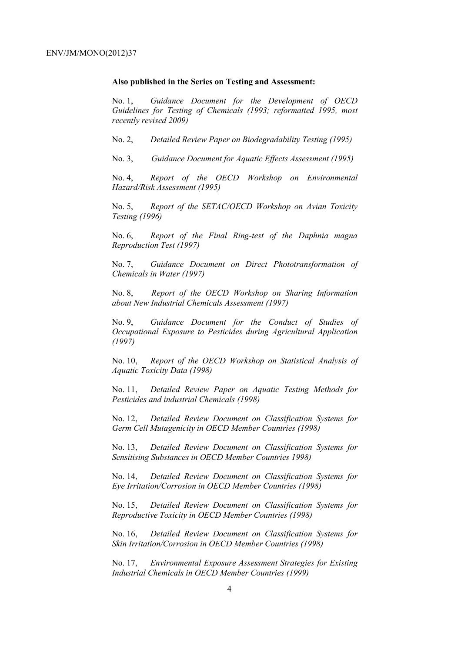#### **Also published in the Series on Testing and Assessment:**

No. 1, *Guidance Document for the Development of OECD Guidelines for Testing of Chemicals (1993; reformatted 1995, most recently revised 2009)*

No. 2, *Detailed Review Paper on Biodegradability Testing (1995)*

No. 3, *Guidance Document for Aquatic Effects Assessment (1995)* 

No. 4, *Report of the OECD Workshop on Environmental Hazard/Risk Assessment (1995)*

No. 5, *Report of the SETAC/OECD Workshop on Avian Toxicity Testing (1996)*

No. 6, *Report of the Final Ring-test of the Daphnia magna Reproduction Test (1997)*

No. 7, *Guidance Document on Direct Phototransformation of Chemicals in Water (1997)* 

No. 8, *Report of the OECD Workshop on Sharing Information about New Industrial Chemicals Assessment (1997)*

No. 9, *Guidance Document for the Conduct of Studies of Occupational Exposure to Pesticides during Agricultural Application (1997)*

No. 10, *Report of the OECD Workshop on Statistical Analysis of Aquatic Toxicity Data (1998)*

No. 11, *Detailed Review Paper on Aquatic Testing Methods for Pesticides and industrial Chemicals (1998)*

No. 12, *Detailed Review Document on Classification Systems for Germ Cell Mutagenicity in OECD Member Countries (1998)*

No. 13, *Detailed Review Document on Classification Systems for Sensitising Substances in OECD Member Countries 1998)*

No. 14, *Detailed Review Document on Classification Systems for Eye Irritation/Corrosion in OECD Member Countries (1998)*

No. 15, *Detailed Review Document on Classification Systems for Reproductive Toxicity in OECD Member Countries (1998)*

No. 16, *Detailed Review Document on Classification Systems for Skin Irritation/Corrosion in OECD Member Countries (1998)*

No. 17, *Environmental Exposure Assessment Strategies for Existing Industrial Chemicals in OECD Member Countries (1999)*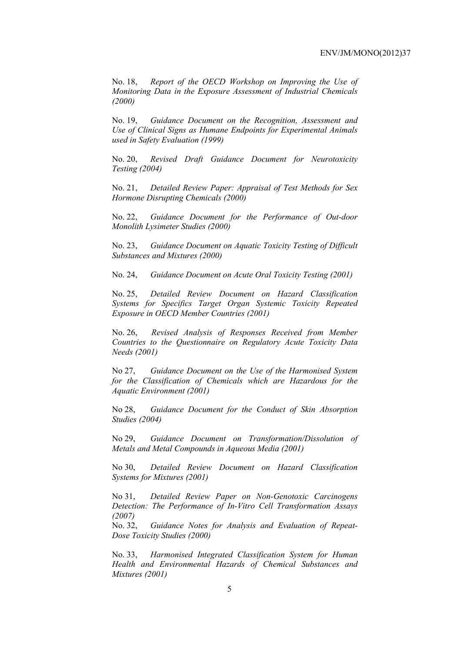No. 18, *Report of the OECD Workshop on Improving the Use of Monitoring Data in the Exposure Assessment of Industrial Chemicals (2000)*

No. 19, *Guidance Document on the Recognition, Assessment and Use of Clinical Signs as Humane Endpoints for Experimental Animals used in Safety Evaluation (1999)*

No. 20, *Revised Draft Guidance Document for Neurotoxicity Testing (2004)*

No. 21, *Detailed Review Paper: Appraisal of Test Methods for Sex Hormone Disrupting Chemicals (2000)*

No. 22, *Guidance Document for the Performance of Out-door Monolith Lysimeter Studies (2000)*

No. 23, *Guidance Document on Aquatic Toxicity Testing of Difficult Substances and Mixtures (2000)*

No. 24, *Guidance Document on Acute Oral Toxicity Testing (2001)*

No. 25, *Detailed Review Document on Hazard Classification Systems for Specifics Target Organ Systemic Toxicity Repeated Exposure in OECD Member Countries (2001)*

No. 26, *Revised Analysis of Responses Received from Member Countries to the Questionnaire on Regulatory Acute Toxicity Data Needs (2001)*

No 27, *Guidance Document on the Use of the Harmonised System for the Classification of Chemicals which are Hazardous for the Aquatic Environment (2001)*

No 28, *Guidance Document for the Conduct of Skin Absorption Studies (2004)*

No 29, *Guidance Document on Transformation/Dissolution of Metals and Metal Compounds in Aqueous Media (2001)*

No 30, *Detailed Review Document on Hazard Classification Systems for Mixtures (2001)*

No 31, *Detailed Review Paper on Non-Genotoxic Carcinogens Detection: The Performance of In-Vitro Cell Transformation Assays (2007)* 

No. 32, *Guidance Notes for Analysis and Evaluation of Repeat-Dose Toxicity Studies (2000)* 

No. 33, *Harmonised Integrated Classification System for Human Health and Environmental Hazards of Chemical Substances and Mixtures (2001)*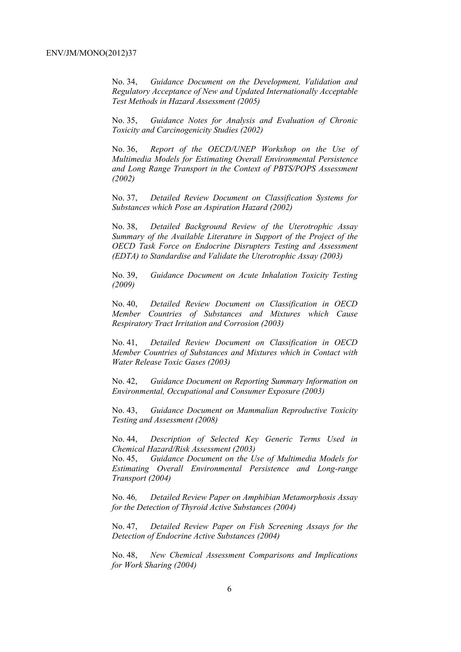No. 34, *Guidance Document on the Development, Validation and Regulatory Acceptance of New and Updated Internationally Acceptable Test Methods in Hazard Assessment (2005)*

No. 35, *Guidance Notes for Analysis and Evaluation of Chronic Toxicity and Carcinogenicity Studies (2002)*

No. 36, *Report of the OECD/UNEP Workshop on the Use of Multimedia Models for Estimating Overall Environmental Persistence and Long Range Transport in the Context of PBTS/POPS Assessment (2002)*

No. 37, *Detailed Review Document on Classification Systems for Substances which Pose an Aspiration Hazard (2002)*

No. 38, *Detailed Background Review of the Uterotrophic Assay Summary of the Available Literature in Support of the Project of the OECD Task Force on Endocrine Disrupters Testing and Assessment (EDTA) to Standardise and Validate the Uterotrophic Assay (2003)*

No. 39, *Guidance Document on Acute Inhalation Toxicity Testing (2009)*

No. 40, *Detailed Review Document on Classification in OECD Member Countries of Substances and Mixtures which Cause Respiratory Tract Irritation and Corrosion (2003)*

No. 41, *Detailed Review Document on Classification in OECD Member Countries of Substances and Mixtures which in Contact with Water Release Toxic Gases (2003)*

No. 42, *Guidance Document on Reporting Summary Information on Environmental, Occupational and Consumer Exposure (2003)*

No. 43, *Guidance Document on Mammalian Reproductive Toxicity Testing and Assessment (2008)*

No. 44, *Description of Selected Key Generic Terms Used in Chemical Hazard/Risk Assessment (2003)* 

No. 45, *Guidance Document on the Use of Multimedia Models for Estimating Overall Environmental Persistence and Long-range Transport (2004)*

No. 46*, Detailed Review Paper on Amphibian Metamorphosis Assay for the Detection of Thyroid Active Substances (2004)* 

No. 47, *Detailed Review Paper on Fish Screening Assays for the Detection of Endocrine Active Substances (2004)* 

No. 48, *New Chemical Assessment Comparisons and Implications for Work Sharing (2004)*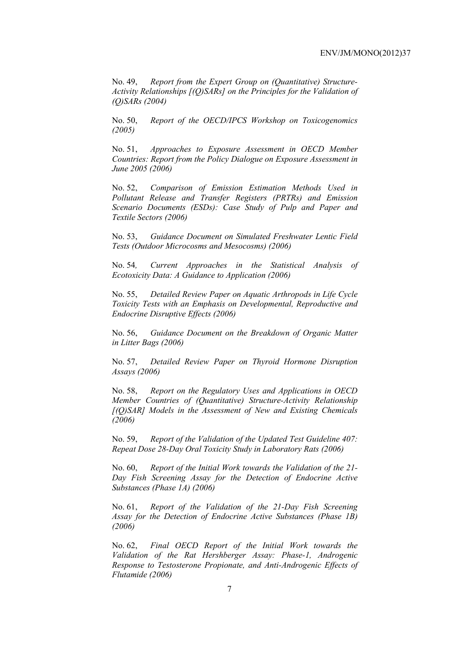No. 49, *Report from the Expert Group on (Quantitative) Structure-Activity Relationships [(Q)SARs] on the Principles for the Validation of (Q)SARs (2004)* 

No. 50, *Report of the OECD/IPCS Workshop on Toxicogenomics (2005)* 

No. 51, *Approaches to Exposure Assessment in OECD Member Countries: Report from the Policy Dialogue on Exposure Assessment in June 2005 (2006)* 

No. 52, *Comparison of Emission Estimation Methods Used in Pollutant Release and Transfer Registers (PRTRs) and Emission Scenario Documents (ESDs): Case Study of Pulp and Paper and Textile Sectors (2006)* 

No. 53, *Guidance Document on Simulated Freshwater Lentic Field Tests (Outdoor Microcosms and Mesocosms) (2006)* 

No. 54*, Current Approaches in the Statistical Analysis of Ecotoxicity Data: A Guidance to Application (2006)* 

No. 55, *Detailed Review Paper on Aquatic Arthropods in Life Cycle Toxicity Tests with an Emphasis on Developmental, Reproductive and Endocrine Disruptive Effects (2006)* 

No. 56, *Guidance Document on the Breakdown of Organic Matter in Litter Bags (2006)* 

No. 57, *Detailed Review Paper on Thyroid Hormone Disruption Assays (2006)* 

No. 58, *Report on the Regulatory Uses and Applications in OECD Member Countries of (Quantitative) Structure-Activity Relationship [(Q)SAR] Models in the Assessment of New and Existing Chemicals (2006)* 

No. 59, *Report of the Validation of the Updated Test Guideline 407: Repeat Dose 28-Day Oral Toxicity Study in Laboratory Rats (2006)* 

No. 60, *Report of the Initial Work towards the Validation of the 21- Day Fish Screening Assay for the Detection of Endocrine Active Substances (Phase 1A) (2006)* 

No. 61, *Report of the Validation of the 21-Day Fish Screening Assay for the Detection of Endocrine Active Substances (Phase 1B) (2006)* 

No. 62, *Final OECD Report of the Initial Work towards the Validation of the Rat Hershberger Assay: Phase-1, Androgenic Response to Testosterone Propionate, and Anti-Androgenic Effects of Flutamide (2006)*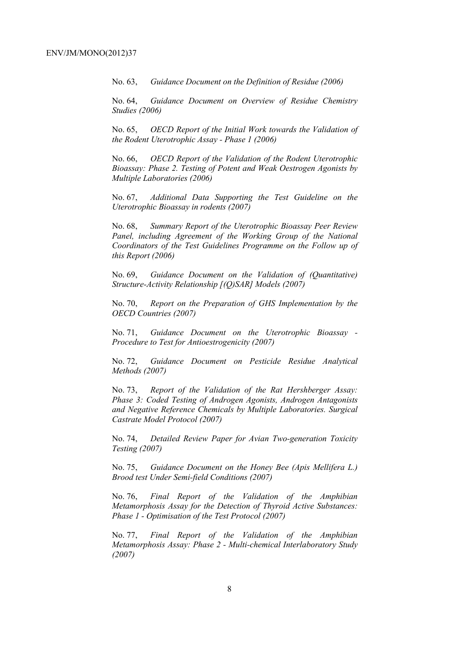No. 63, *Guidance Document on the Definition of Residue (2006)* 

No. 64, *Guidance Document on Overview of Residue Chemistry Studies (2006)* 

No. 65, *OECD Report of the Initial Work towards the Validation of the Rodent Uterotrophic Assay - Phase 1 (2006)* 

No. 66, *OECD Report of the Validation of the Rodent Uterotrophic Bioassay: Phase 2. Testing of Potent and Weak Oestrogen Agonists by Multiple Laboratories (2006)* 

No. 67, *Additional Data Supporting the Test Guideline on the Uterotrophic Bioassay in rodents (2007)* 

No. 68, *Summary Report of the Uterotrophic Bioassay Peer Review Panel, including Agreement of the Working Group of the National Coordinators of the Test Guidelines Programme on the Follow up of this Report (2006)* 

No. 69, *Guidance Document on the Validation of (Quantitative) Structure-Activity Relationship [(Q)SAR] Models (2007)* 

No. 70, *Report on the Preparation of GHS Implementation by the OECD Countries (2007)*

No. 71, *Guidance Document on the Uterotrophic Bioassay - Procedure to Test for Antioestrogenicity (2007)*

No. 72, *Guidance Document on Pesticide Residue Analytical Methods (2007)* 

No. 73, *Report of the Validation of the Rat Hershberger Assay: Phase 3: Coded Testing of Androgen Agonists, Androgen Antagonists and Negative Reference Chemicals by Multiple Laboratories. Surgical Castrate Model Protocol (2007)* 

No. 74, *Detailed Review Paper for Avian Two-generation Toxicity Testing (2007)*

No. 75, *Guidance Document on the Honey Bee (Apis Mellifera L.) Brood test Under Semi-field Conditions (2007)* 

No. 76, *Final Report of the Validation of the Amphibian Metamorphosis Assay for the Detection of Thyroid Active Substances: Phase 1 - Optimisation of the Test Protocol (2007)* 

No. 77, *Final Report of the Validation of the Amphibian Metamorphosis Assay: Phase 2 - Multi-chemical Interlaboratory Study (2007)*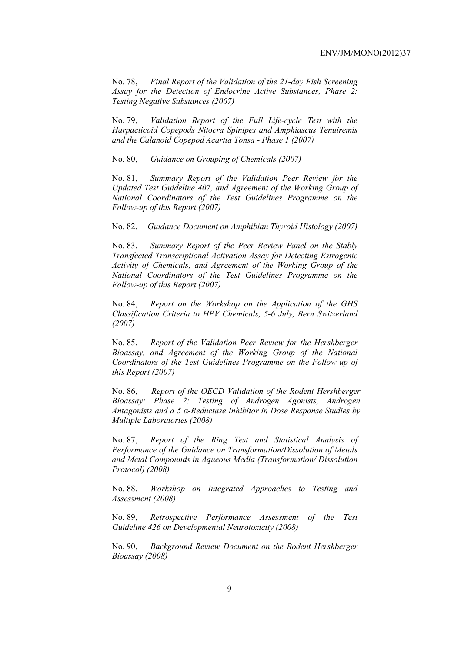No. 78, *Final Report of the Validation of the 21-day Fish Screening Assay for the Detection of Endocrine Active Substances, Phase 2: Testing Negative Substances (2007)* 

No. 79, *Validation Report of the Full Life-cycle Test with the Harpacticoid Copepods Nitocra Spinipes and Amphiascus Tenuiremis and the Calanoid Copepod Acartia Tonsa - Phase 1 (2007)* 

No. 80, *Guidance on Grouping of Chemicals (2007)* 

No. 81, *Summary Report of the Validation Peer Review for the Updated Test Guideline 407, and Agreement of the Working Group of National Coordinators of the Test Guidelines Programme on the Follow-up of this Report (2007)* 

No. 82, *Guidance Document on Amphibian Thyroid Histology (2007)* 

No. 83, *Summary Report of the Peer Review Panel on the Stably Transfected Transcriptional Activation Assay for Detecting Estrogenic Activity of Chemicals, and Agreement of the Working Group of the National Coordinators of the Test Guidelines Programme on the Follow-up of this Report (2007)* 

No. 84, *Report on the Workshop on the Application of the GHS Classification Criteria to HPV Chemicals, 5-6 July, Bern Switzerland (2007)* 

No. 85, *Report of the Validation Peer Review for the Hershberger Bioassay, and Agreement of the Working Group of the National Coordinators of the Test Guidelines Programme on the Follow-up of this Report (2007)* 

No. 86, *Report of the OECD Validation of the Rodent Hershberger Bioassay: Phase 2: Testing of Androgen Agonists, Androgen Antagonists and a 5 α-Reductase Inhibitor in Dose Response Studies by Multiple Laboratories (2008)*

No. 87, *Report of the Ring Test and Statistical Analysis of Performance of the Guidance on Transformation/Dissolution of Metals and Metal Compounds in Aqueous Media (Transformation/ Dissolution Protocol) (2008)*

No. 88, *Workshop on Integrated Approaches to Testing and Assessment (2008)* 

No. 89, *Retrospective Performance Assessment of the Test Guideline 426 on Developmental Neurotoxicity (2008)* 

No. 90, *Background Review Document on the Rodent Hershberger Bioassay (2008)*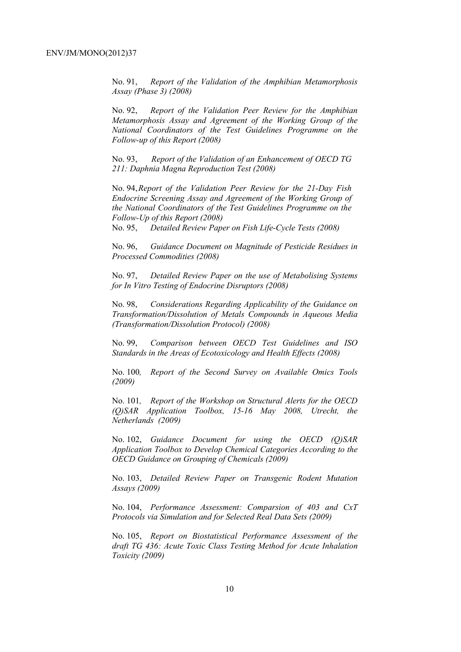No. 91, *Report of the Validation of the Amphibian Metamorphosis Assay (Phase 3) (2008)*

No. 92, *Report of the Validation Peer Review for the Amphibian Metamorphosis Assay and Agreement of the Working Group of the National Coordinators of the Test Guidelines Programme on the Follow-up of this Report (2008)* 

No. 93, *Report of the Validation of an Enhancement of OECD TG 211: Daphnia Magna Reproduction Test (2008)* 

No. 94, *Report of the Validation Peer Review for the 21-Day Fish Endocrine Screening Assay and Agreement of the Working Group of the National Coordinators of the Test Guidelines Programme on the Follow-Up of this Report (2008)* 

No. 95, *Detailed Review Paper on Fish Life-Cycle Tests (2008)* 

No. 96, *Guidance Document on Magnitude of Pesticide Residues in Processed Commodities (2008)* 

No. 97, *Detailed Review Paper on the use of Metabolising Systems for In Vitro Testing of Endocrine Disruptors (2008)* 

No. 98, *Considerations Regarding Applicability of the Guidance on Transformation/Dissolution of Metals Compounds in Aqueous Media (Transformation/Dissolution Protocol) (2008)*

No. 99, *Comparison between OECD Test Guidelines and ISO Standards in the Areas of Ecotoxicology and Health Effects (2008)* 

No. 100*, Report of the Second Survey on Available Omics Tools (2009)* 

No. 101*, Report of the Workshop on Structural Alerts for the OECD (Q)SAR Application Toolbox, 15-16 May 2008, Utrecht, the Netherlands (2009)* 

No. 102, *Guidance Document for using the OECD (Q)SAR Application Toolbox to Develop Chemical Categories According to the OECD Guidance on Grouping of Chemicals (2009)* 

No. 103, *Detailed Review Paper on Transgenic Rodent Mutation Assays (2009)* 

No. 104, *Performance Assessment: Comparsion of 403 and CxT Protocols via Simulation and for Selected Real Data Sets (2009)* 

No. 105, *Report on Biostatistical Performance Assessment of the draft TG 436: Acute Toxic Class Testing Method for Acute Inhalation Toxicity (2009)*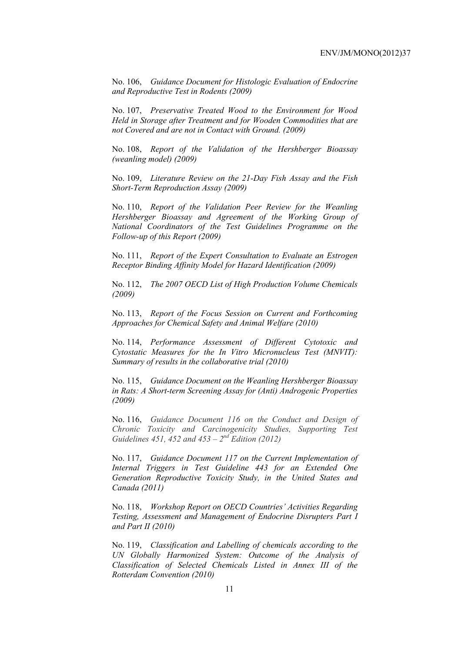No. 106, *Guidance Document for Histologic Evaluation of Endocrine and Reproductive Test in Rodents (2009)* 

No. 107, *Preservative Treated Wood to the Environment for Wood Held in Storage after Treatment and for Wooden Commodities that are not Covered and are not in Contact with Ground. (2009)* 

No. 108, *Report of the Validation of the Hershberger Bioassay (weanling model) (2009)* 

No. 109, *Literature Review on the 21-Day Fish Assay and the Fish Short-Term Reproduction Assay (2009)* 

No. 110, *Report of the Validation Peer Review for the Weanling Hershberger Bioassay and Agreement of the Working Group of National Coordinators of the Test Guidelines Programme on the Follow-up of this Report (2009)* 

No. 111, *Report of the Expert Consultation to Evaluate an Estrogen Receptor Binding Affinity Model for Hazard Identification (2009)* 

No. 112, *The 2007 OECD List of High Production Volume Chemicals (2009)* 

No. 113, *Report of the Focus Session on Current and Forthcoming Approaches for Chemical Safety and Animal Welfare (2010)* 

No. 114, *Performance Assessment of Different Cytotoxic and Cytostatic Measures for the In Vitro Micronucleus Test (MNVIT): Summary of results in the collaborative trial (2010)* 

No. 115, *Guidance Document on the Weanling Hershberger Bioassay in Rats: A Short-term Screening Assay for (Anti) Androgenic Properties (2009)* 

No. 116, *Guidance Document 116 on the Conduct and Design of Chronic Toxicity and Carcinogenicity Studies, Supporting Test Guidelines 451, 452 and 453 – 2nd Edition (2012)*

No. 117, *Guidance Document 117 on the Current Implementation of Internal Triggers in Test Guideline 443 for an Extended One Generation Reproductive Toxicity Study, in the United States and Canada (2011)*

No. 118, *Workshop Report on OECD Countries' Activities Regarding Testing, Assessment and Management of Endocrine Disrupters Part I and Part II (2010)* 

No. 119, *Classification and Labelling of chemicals according to the UN Globally Harmonized System: Outcome of the Analysis of Classification of Selected Chemicals Listed in Annex III of the Rotterdam Convention (2010)*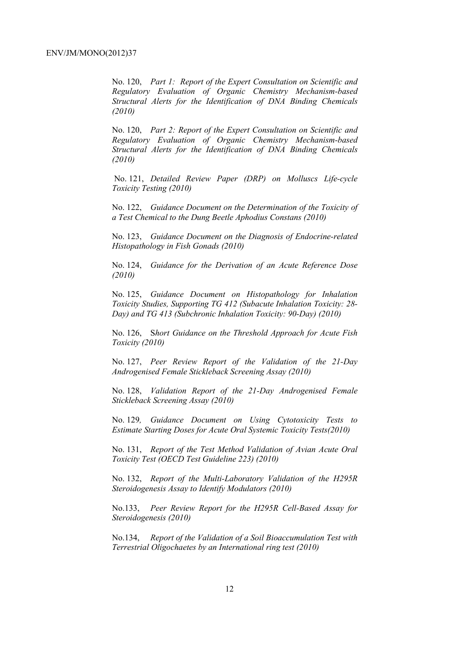No. 120, *Part 1: Report of the Expert Consultation on Scientific and Regulatory Evaluation of Organic Chemistry Mechanism-based Structural Alerts for the Identification of DNA Binding Chemicals (2010)* 

No. 120, *Part 2: Report of the Expert Consultation on Scientific and Regulatory Evaluation of Organic Chemistry Mechanism-based Structural Alerts for the Identification of DNA Binding Chemicals (2010)* 

 No. 121, *Detailed Review Paper (DRP) on Molluscs Life-cycle Toxicity Testing (2010)* 

No. 122, *Guidance Document on the Determination of the Toxicity of a Test Chemical to the Dung Beetle Aphodius Constans (2010)* 

No. 123, *Guidance Document on the Diagnosis of Endocrine-related Histopathology in Fish Gonads (2010)* 

No. 124, *Guidance for the Derivation of an Acute Reference Dose (2010)* 

No. 125, *Guidance Document on Histopathology for Inhalation Toxicity Studies, Supporting TG 412 (Subacute Inhalation Toxicity: 28- Day) and TG 413 (Subchronic Inhalation Toxicity: 90-Day) (2010)* 

No. 126, S*hort Guidance on the Threshold Approach for Acute Fish Toxicity (2010)* 

No. 127, *Peer Review Report of the Validation of the 21-Day Androgenised Female Stickleback Screening Assay (2010)* 

No. 128, *Validation Report of the 21-Day Androgenised Female Stickleback Screening Assay (2010)* 

No. 129*, Guidance Document on Using Cytotoxicity Tests to Estimate Starting Doses for Acute Oral Systemic Toxicity Tests(2010)* 

No. 131, *Report of the Test Method Validation of Avian Acute Oral Toxicity Test (OECD Test Guideline 223) (2010)* 

No. 132, *Report of the Multi-Laboratory Validation of the H295R Steroidogenesis Assay to Identify Modulators (2010)* 

No.133, *Peer Review Report for the H295R Cell-Based Assay for Steroidogenesis (2010)* 

No.134, *Report of the Validation of a Soil Bioaccumulation Test with Terrestrial Oligochaetes by an International ring test (2010)*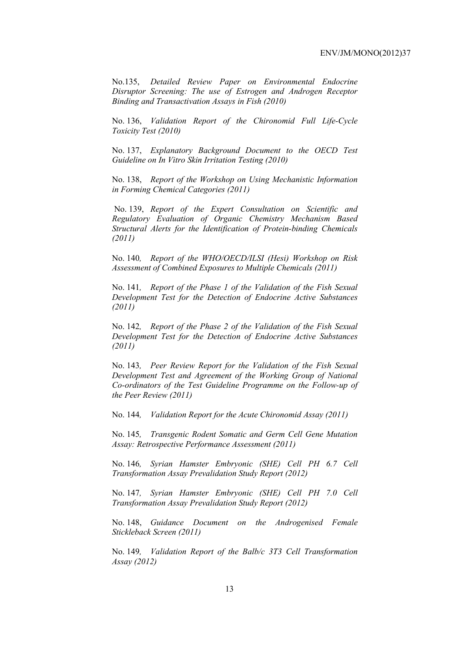No.135, *Detailed Review Paper on Environmental Endocrine Disruptor Screening: The use of Estrogen and Androgen Receptor Binding and Transactivation Assays in Fish (2010)* 

No. 136, *Validation Report of the Chironomid Full Life-Cycle Toxicity Test (2010)* 

No. 137, *Explanatory Background Document to the OECD Test Guideline on In Vitro Skin Irritation Testing (2010)* 

No. 138, *Report of the Workshop on Using Mechanistic Information in Forming Chemical Categories (2011)* 

 No. 139, *Report of the Expert Consultation on Scientific and Regulatory Evaluation of Organic Chemistry Mechanism Based Structural Alerts for the Identification of Protein-binding Chemicals (2011)* 

No. 140*, Report of the WHO/OECD/ILSI (Hesi) Workshop on Risk Assessment of Combined Exposures to Multiple Chemicals (2011)* 

No. 141*, Report of the Phase 1 of the Validation of the Fish Sexual Development Test for the Detection of Endocrine Active Substances (2011)* 

No. 142*, Report of the Phase 2 of the Validation of the Fish Sexual Development Test for the Detection of Endocrine Active Substances (2011)* 

No. 143*, Peer Review Report for the Validation of the Fish Sexual Development Test and Agreement of the Working Group of National Co-ordinators of the Test Guideline Programme on the Follow-up of the Peer Review (2011)* 

No. 144*, Validation Report for the Acute Chironomid Assay (2011)* 

No. 145*, Transgenic Rodent Somatic and Germ Cell Gene Mutation Assay: Retrospective Performance Assessment (2011)* 

No. 146*, Syrian Hamster Embryonic (SHE) Cell PH 6.7 Cell Transformation Assay Prevalidation Study Report (2012)* 

No. 147*, Syrian Hamster Embryonic (SHE) Cell PH 7.0 Cell Transformation Assay Prevalidation Study Report (2012)* 

No. 148, *Guidance Document on the Androgenised Female Stickleback Screen (2011)* 

No. 149*, Validation Report of the Balb/c 3T3 Cell Transformation Assay (2012)*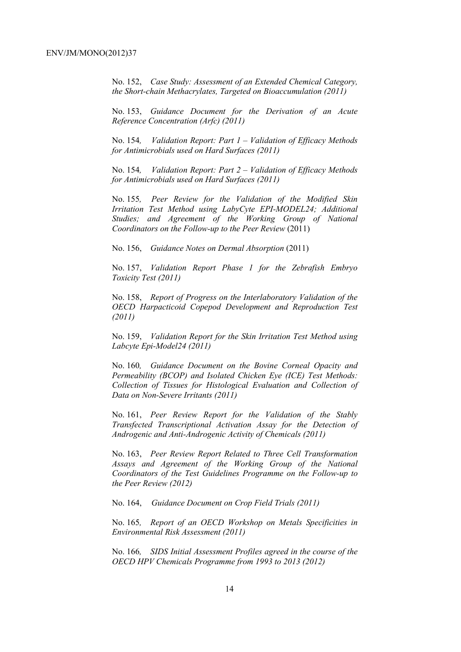No. 152, *Case Study: Assessment of an Extended Chemical Category, the Short-chain Methacrylates, Targeted on Bioaccumulation (2011)* 

No. 153, *Guidance Document for the Derivation of an Acute Reference Concentration (Arfc) (2011)* 

No. 154*, Validation Report: Part 1 – Validation of Efficacy Methods for Antimicrobials used on Hard Surfaces (2011)* 

No. 154*, Validation Report: Part 2 – Validation of Efficacy Methods for Antimicrobials used on Hard Surfaces (2011)* 

No. 155*, Peer Review for the Validation of the Modified Skin Irritation Test Method using LabyCyte EPI-MODEL24; Additional Studies; and Agreement of the Working Group of National Coordinators on the Follow-up to the Peer Review* (2011)

No. 156, *Guidance Notes on Dermal Absorption* (2011)

No. 157, *Validation Report Phase 1 for the Zebrafish Embryo Toxicity Test (2011)* 

No. 158, *Report of Progress on the Interlaboratory Validation of the OECD Harpacticoid Copepod Development and Reproduction Test (2011)* 

No. 159, *Validation Report for the Skin Irritation Test Method using Labcyte Epi-Model24 (2011)* 

No. 160*, Guidance Document on the Bovine Corneal Opacity and Permeability (BCOP) and Isolated Chicken Eye (ICE) Test Methods: Collection of Tissues for Histological Evaluation and Collection of Data on Non-Severe Irritants (2011)* 

No. 161, *Peer Review Report for the Validation of the Stably Transfected Transcriptional Activation Assay for the Detection of Androgenic and Anti-Androgenic Activity of Chemicals (2011)* 

No. 163, *Peer Review Report Related to Three Cell Transformation Assays and Agreement of the Working Group of the National Coordinators of the Test Guidelines Programme on the Follow-up to the Peer Review (2012)* 

No. 164, *Guidance Document on Crop Field Trials (2011)* 

No. 165*, Report of an OECD Workshop on Metals Specificities in Environmental Risk Assessment (2011)* 

No. 166*, SIDS Initial Assessment Profiles agreed in the course of the OECD HPV Chemicals Programme from 1993 to 2013 (2012)*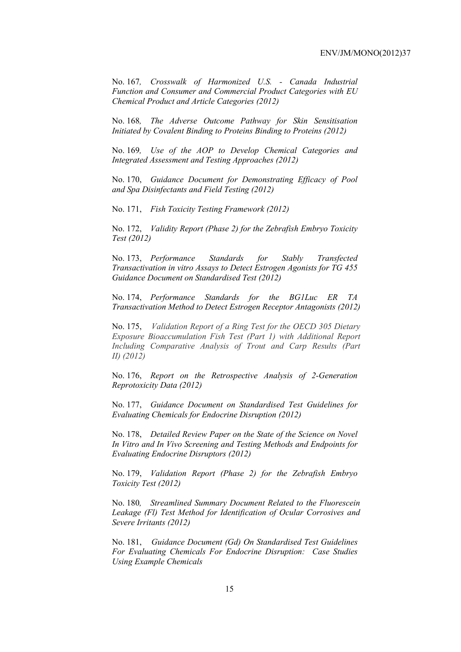No. 167*, Crosswalk of Harmonized U.S. - Canada Industrial Function and Consumer and Commercial Product Categories with EU Chemical Product and Article Categories (2012)* 

No. 168*, The Adverse Outcome Pathway for Skin Sensitisation Initiated by Covalent Binding to Proteins Binding to Proteins (2012)* 

No. 169*, Use of the AOP to Develop Chemical Categories and Integrated Assessment and Testing Approaches (2012)* 

No. 170, *Guidance Document for Demonstrating Efficacy of Pool and Spa Disinfectants and Field Testing (2012)* 

No. 171, *Fish Toxicity Testing Framework (2012)* 

No. 172, *Validity Report (Phase 2) for the Zebrafish Embryo Toxicity Test (2012)* 

No. 173, *Performance Standards for Stably Transfected Transactivation in vitro Assays to Detect Estrogen Agonists for TG 455 Guidance Document on Standardised Test (2012)* 

No. 174, *Performance Standards for the BG1Luc ER TA Transactivation Method to Detect Estrogen Receptor Antagonists (2012)* 

No. 175, *Validation Report of a Ring Test for the OECD 305 Dietary Exposure Bioaccumulation Fish Test (Part 1) with Additional Report Including Comparative Analysis of Trout and Carp Results (Part II) (2012)* 

No. 176, *Report on the Retrospective Analysis of 2-Generation Reprotoxicity Data (2012)* 

No. 177, *Guidance Document on Standardised Test Guidelines for Evaluating Chemicals for Endocrine Disruption (2012)* 

No. 178, *Detailed Review Paper on the State of the Science on Novel In Vitro and In Vivo Screening and Testing Methods and Endpoints for Evaluating Endocrine Disruptors (2012)* 

No. 179, *Validation Report (Phase 2) for the Zebrafish Embryo Toxicity Test (2012)* 

No. 180*, Streamlined Summary Document Related to the Fluorescein Leakage (Fl) Test Method for Identification of Ocular Corrosives and Severe Irritants (2012)* 

No. 181, *Guidance Document (Gd) On Standardised Test Guidelines For Evaluating Chemicals For Endocrine Disruption: Case Studies Using Example Chemicals*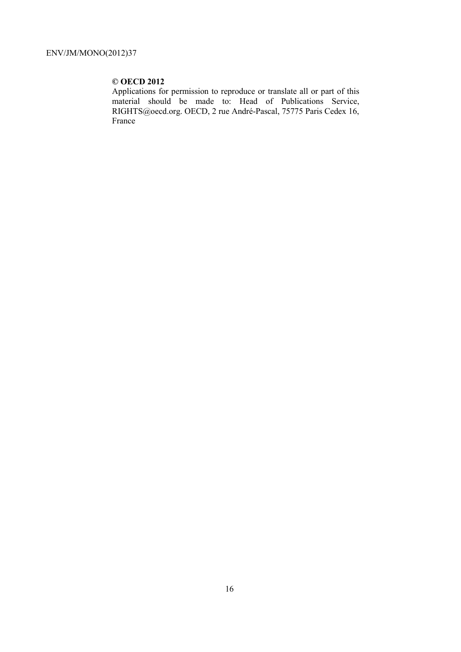# **© OECD 2012**

Applications for permission to reproduce or translate all or part of this material should be made to: Head of Publications Service, RIGHTS@oecd.org. OECD, 2 rue André-Pascal, 75775 Paris Cedex 16, France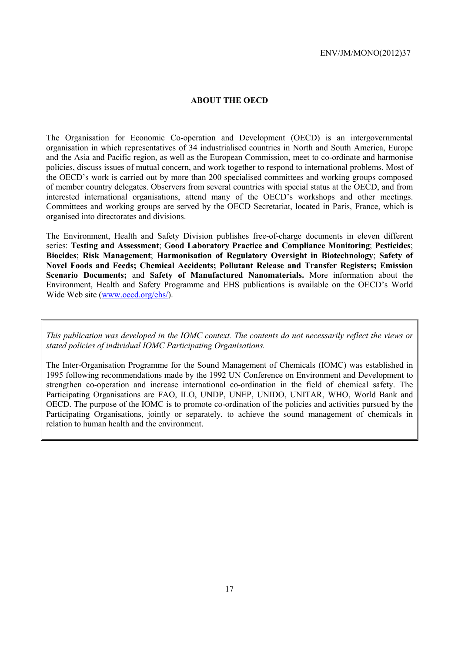## **ABOUT THE OECD**

The Organisation for Economic Co-operation and Development (OECD) is an intergovernmental organisation in which representatives of 34 industrialised countries in North and South America, Europe and the Asia and Pacific region, as well as the European Commission, meet to co-ordinate and harmonise policies, discuss issues of mutual concern, and work together to respond to international problems. Most of the OECD's work is carried out by more than 200 specialised committees and working groups composed of member country delegates. Observers from several countries with special status at the OECD, and from interested international organisations, attend many of the OECD's workshops and other meetings. Committees and working groups are served by the OECD Secretariat, located in Paris, France, which is organised into directorates and divisions.

The Environment, Health and Safety Division publishes free-of-charge documents in eleven different series: **Testing and Assessment**; **Good Laboratory Practice and Compliance Monitoring**; **Pesticides**; **Biocides**; **Risk Management**; **Harmonisation of Regulatory Oversight in Biotechnology**; **Safety of Novel Foods and Feeds; Chemical Accidents; Pollutant Release and Transfer Registers; Emission Scenario Documents;** and **Safety of Manufactured Nanomaterials.** More information about the Environment, Health and Safety Programme and EHS publications is available on the OECD's World Wide Web site (www.oecd.org/ehs/).

*This publication was developed in the IOMC context. The contents do not necessarily reflect the views or stated policies of individual IOMC Participating Organisations.* 

The Inter-Organisation Programme for the Sound Management of Chemicals (IOMC) was established in 1995 following recommendations made by the 1992 UN Conference on Environment and Development to strengthen co-operation and increase international co-ordination in the field of chemical safety. The Participating Organisations are FAO, ILO, UNDP, UNEP, UNIDO, UNITAR, WHO, World Bank and OECD. The purpose of the IOMC is to promote co-ordination of the policies and activities pursued by the Participating Organisations, jointly or separately, to achieve the sound management of chemicals in relation to human health and the environment.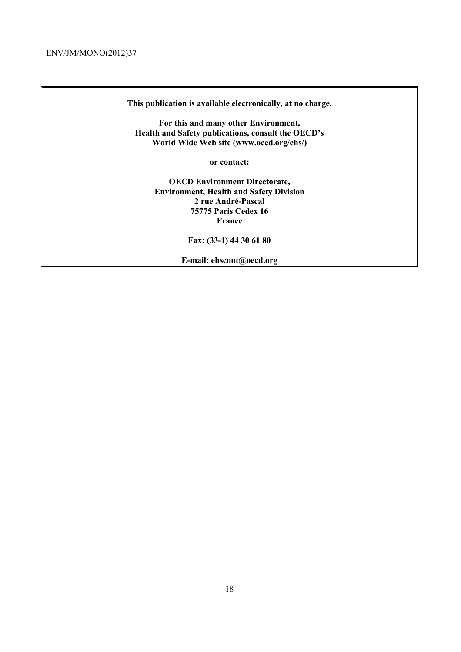**This publication is available electronically, at no charge.** 

**For this and many other Environment, Health and Safety publications, consult the OECD's World Wide Web site (www.oecd.org/ehs/)** 

**or contact:** 

**OECD Environment Directorate, Environment, Health and Safety Division 2 rue André-Pascal 75775 Paris Cedex 16 France** 

**Fax: (33-1) 44 30 61 80** 

**E-mail: ehscont@oecd.org**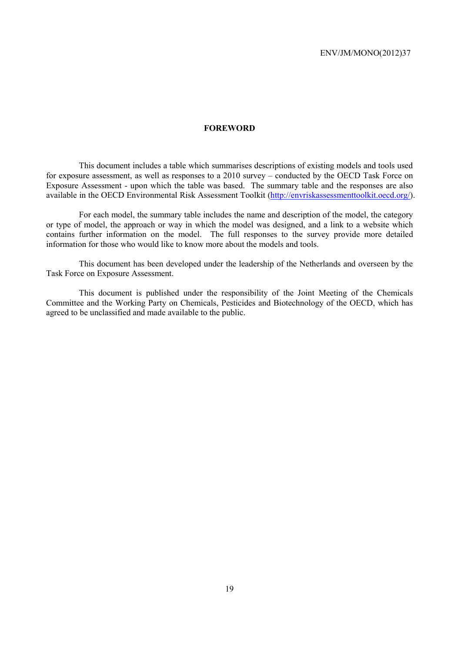#### **FOREWORD**

 This document includes a table which summarises descriptions of existing models and tools used for exposure assessment, as well as responses to a 2010 survey – conducted by the OECD Task Force on Exposure Assessment - upon which the table was based. The summary table and the responses are also available in the OECD Environmental Risk Assessment Toolkit (http://envriskassessmenttoolkit.oecd.org/).

 For each model, the summary table includes the name and description of the model, the category or type of model, the approach or way in which the model was designed, and a link to a website which contains further information on the model. The full responses to the survey provide more detailed information for those who would like to know more about the models and tools.

 This document has been developed under the leadership of the Netherlands and overseen by the Task Force on Exposure Assessment.

 This document is published under the responsibility of the Joint Meeting of the Chemicals Committee and the Working Party on Chemicals, Pesticides and Biotechnology of the OECD, which has agreed to be unclassified and made available to the public.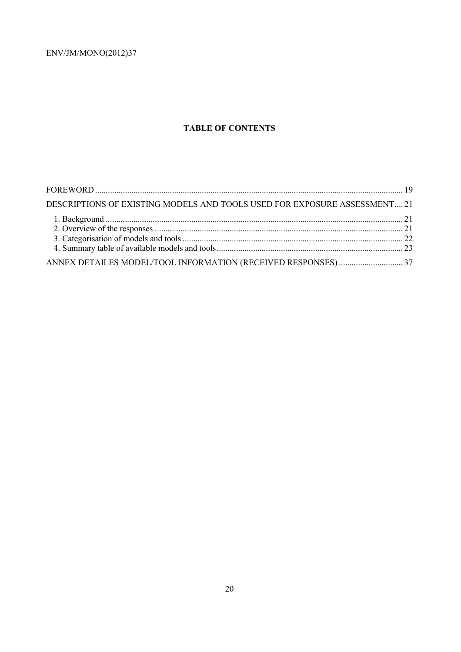# **TABLE OF CONTENTS**

| DESCRIPTIONS OF EXISTING MODELS AND TOOLS USED FOR EXPOSURE ASSESSMENT21 |  |
|--------------------------------------------------------------------------|--|
|                                                                          |  |
|                                                                          |  |
|                                                                          |  |
|                                                                          |  |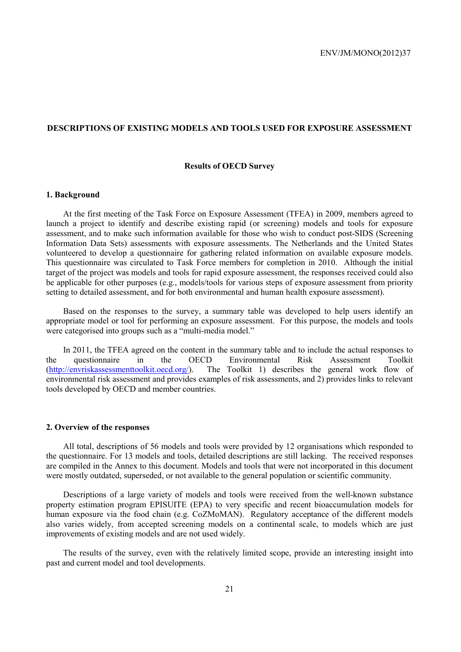### **DESCRIPTIONS OF EXISTING MODELS AND TOOLS USED FOR EXPOSURE ASSESSMENT**

#### **Results of OECD Survey**

#### **1. Background**

At the first meeting of the Task Force on Exposure Assessment (TFEA) in 2009, members agreed to launch a project to identify and describe existing rapid (or screening) models and tools for exposure assessment, and to make such information available for those who wish to conduct post-SIDS (Screening Information Data Sets) assessments with exposure assessments. The Netherlands and the United States volunteered to develop a questionnaire for gathering related information on available exposure models. This questionnaire was circulated to Task Force members for completion in 2010. Although the initial target of the project was models and tools for rapid exposure assessment, the responses received could also be applicable for other purposes (e.g., models/tools for various steps of exposure assessment from priority setting to detailed assessment, and for both environmental and human health exposure assessment).

Based on the responses to the survey, a summary table was developed to help users identify an appropriate model or tool for performing an exposure assessment. For this purpose, the models and tools were categorised into groups such as a "multi-media model."

In 2011, the TFEA agreed on the content in the summary table and to include the actual responses to the questionnaire in the OECD Environmental Risk Assessment Toolkit (http://envriskassessmenttoolkit.oecd.org/) The Toolkit 1) describes the general work flow of environmental risk assessment and provides examples of risk assessments, and 2) provides links to relevant tools developed by OECD and member countries.

#### **2. Overview of the responses**

All total, descriptions of 56 models and tools were provided by 12 organisations which responded to the questionnaire. For 13 models and tools, detailed descriptions are still lacking. The received responses are compiled in the Annex to this document. Models and tools that were not incorporated in this document were mostly outdated, superseded, or not available to the general population or scientific community.

Descriptions of a large variety of models and tools were received from the well-known substance property estimation program EPISUITE (EPA) to very specific and recent bioaccumulation models for human exposure via the food chain (e.g. CoZMoMAN). Regulatory acceptance of the different models also varies widely, from accepted screening models on a continental scale, to models which are just improvements of existing models and are not used widely.

The results of the survey, even with the relatively limited scope, provide an interesting insight into past and current model and tool developments.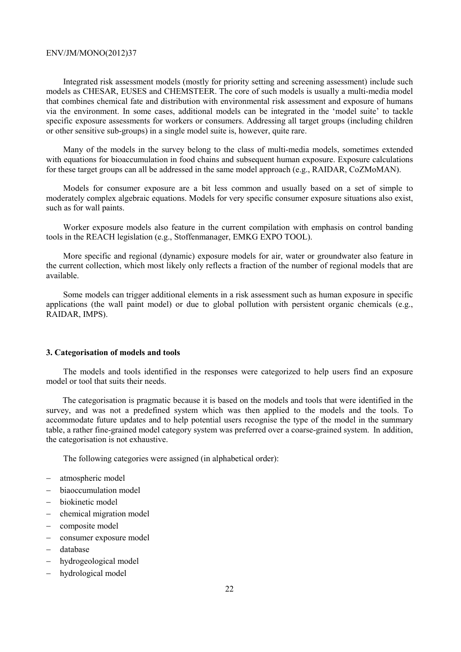Integrated risk assessment models (mostly for priority setting and screening assessment) include such models as CHESAR, EUSES and CHEMSTEER. The core of such models is usually a multi-media model that combines chemical fate and distribution with environmental risk assessment and exposure of humans via the environment. In some cases, additional models can be integrated in the 'model suite' to tackle specific exposure assessments for workers or consumers. Addressing all target groups (including children or other sensitive sub-groups) in a single model suite is, however, quite rare.

Many of the models in the survey belong to the class of multi-media models, sometimes extended with equations for bioaccumulation in food chains and subsequent human exposure. Exposure calculations for these target groups can all be addressed in the same model approach (e.g., RAIDAR, CoZMoMAN).

Models for consumer exposure are a bit less common and usually based on a set of simple to moderately complex algebraic equations. Models for very specific consumer exposure situations also exist, such as for wall paints.

Worker exposure models also feature in the current compilation with emphasis on control banding tools in the REACH legislation (e.g., Stoffenmanager, EMKG EXPO TOOL).

More specific and regional (dynamic) exposure models for air, water or groundwater also feature in the current collection, which most likely only reflects a fraction of the number of regional models that are available.

Some models can trigger additional elements in a risk assessment such as human exposure in specific applications (the wall paint model) or due to global pollution with persistent organic chemicals (e.g., RAIDAR, IMPS).

## **3. Categorisation of models and tools**

The models and tools identified in the responses were categorized to help users find an exposure model or tool that suits their needs.

The categorisation is pragmatic because it is based on the models and tools that were identified in the survey, and was not a predefined system which was then applied to the models and the tools. To accommodate future updates and to help potential users recognise the type of the model in the summary table, a rather fine-grained model category system was preferred over a coarse-grained system. In addition, the categorisation is not exhaustive.

The following categories were assigned (in alphabetical order):

- − atmospheric model
- − biaoccumulation model
- − biokinetic model
- − chemical migration model
- − composite model
- − consumer exposure model
- − database
- − hydrogeological model
- − hydrological model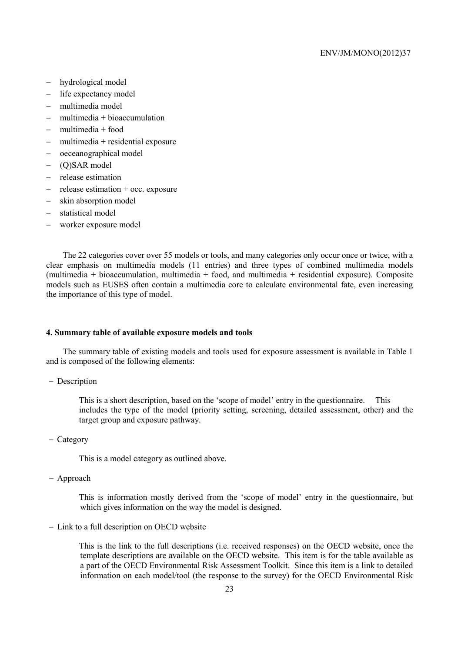- − hydrological model
- − life expectancy model
- − multimedia model
- − multimedia + bioaccumulation
- − multimedia + food
- − multimedia + residential exposure
- − oeceanographical model
- − (Q)SAR model
- − release estimation
- − release estimation + occ. exposure
- − skin absorption model
- − statistical model
- − worker exposure model

The 22 categories cover over 55 models or tools, and many categories only occur once or twice, with a clear emphasis on multimedia models (11 entries) and three types of combined multimedia models (multimedia + bioaccumulation, multimedia + food, and multimedia + residential exposure). Composite models such as EUSES often contain a multimedia core to calculate environmental fate, even increasing the importance of this type of model.

#### **4. Summary table of available exposure models and tools**

The summary table of existing models and tools used for exposure assessment is available in Table 1 and is composed of the following elements:

− Description

 This is a short description, based on the 'scope of model' entry in the questionnaire. This includes the type of the model (priority setting, screening, detailed assessment, other) and the target group and exposure pathway.

− Category

This is a model category as outlined above.

− Approach

 This is information mostly derived from the 'scope of model' entry in the questionnaire, but which gives information on the way the model is designed.

− Link to a full description on OECD website

 This is the link to the full descriptions (i.e. received responses) on the OECD website, once the template descriptions are available on the OECD website. This item is for the table available as a part of the OECD Environmental Risk Assessment Toolkit. Since this item is a link to detailed information on each model/tool (the response to the survey) for the OECD Environmental Risk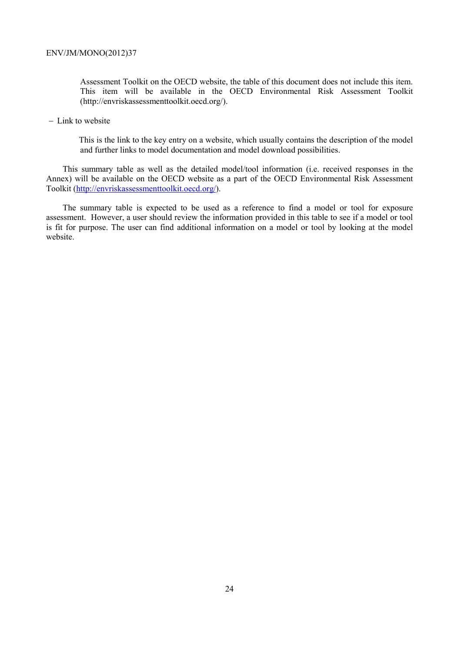Assessment Toolkit on the OECD website, the table of this document does not include this item. This item will be available in the OECD Environmental Risk Assessment Toolkit (http://envriskassessmenttoolkit.oecd.org/).

− Link to website

 This is the link to the key entry on a website, which usually contains the description of the model and further links to model documentation and model download possibilities.

This summary table as well as the detailed model/tool information (i.e. received responses in the Annex) will be available on the OECD website as a part of the OECD Environmental Risk Assessment Toolkit (http://envriskassessmenttoolkit.oecd.org/).

The summary table is expected to be used as a reference to find a model or tool for exposure assessment. However, a user should review the information provided in this table to see if a model or tool is fit for purpose. The user can find additional information on a model or tool by looking at the model website.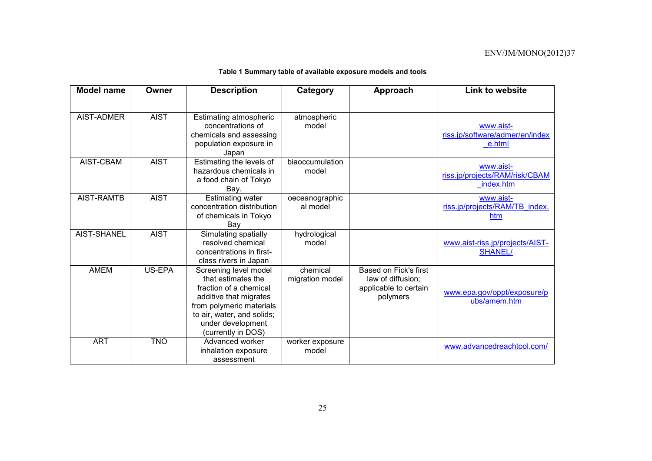|  |  | Table 1 Summary table of available exposure models and tools |
|--|--|--------------------------------------------------------------|
|--|--|--------------------------------------------------------------|

| <b>Model name</b> | Owner       | <b>Description</b>                                                                                                                                                                                   | Category                    | Approach                                                                        | <b>Link to website</b>                                   |
|-------------------|-------------|------------------------------------------------------------------------------------------------------------------------------------------------------------------------------------------------------|-----------------------------|---------------------------------------------------------------------------------|----------------------------------------------------------|
|                   |             |                                                                                                                                                                                                      |                             |                                                                                 |                                                          |
| <b>AIST-ADMER</b> | <b>AIST</b> | Estimating atmospheric<br>concentrations of<br>chemicals and assessing<br>population exposure in<br>Japan                                                                                            | atmospheric<br>model        |                                                                                 | www.aist-<br>riss.jp/software/admer/en/index<br>e.html   |
| AIST-CBAM         | <b>AIST</b> | Estimating the levels of<br>hazardous chemicals in<br>a food chain of Tokyo<br>Bay.                                                                                                                  | biaoccumulation<br>model    |                                                                                 | www.aist-<br>riss.jp/projects/RAM/risk/CBAM<br>index.htm |
| AIST-RAMTB        | <b>AIST</b> | <b>Estimating water</b><br>concentration distribution<br>of chemicals in Tokyo<br>Bay                                                                                                                | oeceanographic<br>al model  |                                                                                 | www.aist-<br>riss.jp/projects/RAM/TB index.<br>htm       |
| AIST-SHANEL       | <b>AIST</b> | Simulating spatially<br>resolved chemical<br>concentrations in first-<br>class rivers in Japan                                                                                                       | hydrological<br>model       |                                                                                 | www.aist-riss.jp/projects/AIST-<br><b>SHANEL/</b>        |
| <b>AMEM</b>       | US-EPA      | Screening level model<br>that estimates the<br>fraction of a chemical<br>additive that migrates<br>from polymeric materials<br>to air, water, and solids;<br>under development<br>(currently in DOS) | chemical<br>migration model | Based on Fick's first<br>law of diffusion;<br>applicable to certain<br>polymers | www.epa.gov/oppt/exposure/p<br>ubs/amem.htm              |
| <b>ART</b>        | <b>TNO</b>  | Advanced worker<br>inhalation exposure<br>assessment                                                                                                                                                 | worker exposure<br>model    |                                                                                 | www.advancedreachtool.com/                               |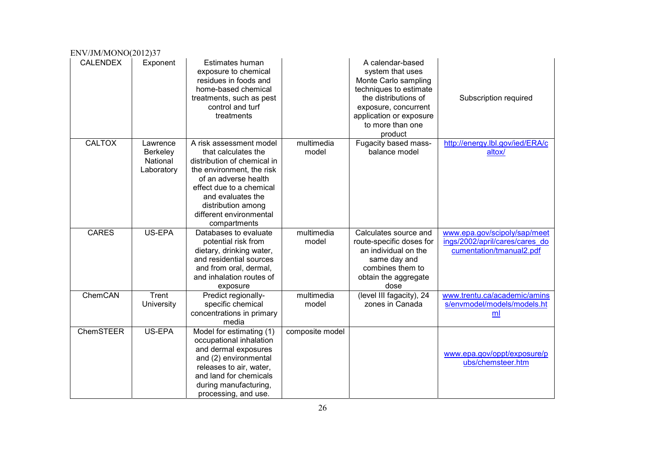| ENV/JM/MONO(2012)37 |                                                |                                                                                                                                                                                                                                                      |                     |                                                                                                                                                                                                  |                                                                                            |
|---------------------|------------------------------------------------|------------------------------------------------------------------------------------------------------------------------------------------------------------------------------------------------------------------------------------------------------|---------------------|--------------------------------------------------------------------------------------------------------------------------------------------------------------------------------------------------|--------------------------------------------------------------------------------------------|
| <b>CALENDEX</b>     | Exponent                                       | Estimates human<br>exposure to chemical<br>residues in foods and<br>home-based chemical<br>treatments, such as pest<br>control and turf<br>treatments                                                                                                |                     | A calendar-based<br>system that uses<br>Monte Carlo sampling<br>techniques to estimate<br>the distributions of<br>exposure, concurrent<br>application or exposure<br>to more than one<br>product | Subscription required                                                                      |
| <b>CALTOX</b>       | Lawrence<br>Berkeley<br>National<br>Laboratory | A risk assessment model<br>that calculates the<br>distribution of chemical in<br>the environment, the risk<br>of an adverse health<br>effect due to a chemical<br>and evaluates the<br>distribution among<br>different environmental<br>compartments | multimedia<br>model | Fugacity based mass-<br>balance model                                                                                                                                                            | http://energy.lbl.gov/ied/ERA/c<br>altox/                                                  |
| <b>CARES</b>        | US-EPA                                         | Databases to evaluate<br>potential risk from<br>dietary, drinking water,<br>and residential sources<br>and from oral, dermal,<br>and inhalation routes of<br>exposure                                                                                | multimedia<br>model | Calculates source and<br>route-specific doses for<br>an individual on the<br>same day and<br>combines them to<br>obtain the aggregate<br>dose                                                    | www.epa.gov/scipoly/sap/meet<br>ings/2002/april/cares/cares do<br>cumentation/tmanual2.pdf |
| ChemCAN             | Trent<br>University                            | Predict regionally-<br>specific chemical<br>concentrations in primary<br>media                                                                                                                                                                       | multimedia<br>model | (level III fagacity), 24<br>zones in Canada                                                                                                                                                      | www.trentu.ca/academic/amins<br>s/envmodel/models/models.ht<br>ml                          |
| <b>ChemSTEER</b>    | US-EPA                                         | Model for estimating (1)<br>occupational inhalation<br>and dermal exposures<br>and (2) environmental<br>releases to air, water,<br>and land for chemicals<br>during manufacturing,<br>processing, and use.                                           | composite model     |                                                                                                                                                                                                  | www.epa.gov/oppt/exposure/p<br>ubs/chemsteer.htm                                           |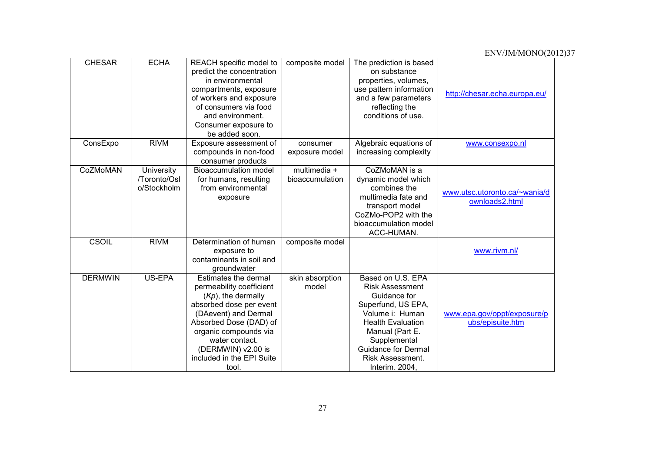| <b>CHESAR</b>  | <b>ECHA</b>                               | REACH specific model to<br>predict the concentration<br>in environmental<br>compartments, exposure<br>of workers and exposure<br>of consumers via food<br>and environment.<br>Consumer exposure to<br>be added soon.                                          | composite model                 | The prediction is based<br>on substance<br>properties, volumes,<br>use pattern information<br>and a few parameters<br>reflecting the<br>conditions of use.                                                                              | http://chesar.echa.europa.eu/                   |
|----------------|-------------------------------------------|---------------------------------------------------------------------------------------------------------------------------------------------------------------------------------------------------------------------------------------------------------------|---------------------------------|-----------------------------------------------------------------------------------------------------------------------------------------------------------------------------------------------------------------------------------------|-------------------------------------------------|
| ConsExpo       | <b>RIVM</b>                               | Exposure assessment of<br>compounds in non-food<br>consumer products                                                                                                                                                                                          | consumer<br>exposure model      | Algebraic equations of<br>increasing complexity                                                                                                                                                                                         | www.consexpo.nl                                 |
| CoZMoMAN       | University<br>/Toronto/Osl<br>o/Stockholm | <b>Bioaccumulation model</b><br>for humans, resulting<br>from environmental<br>exposure                                                                                                                                                                       | multimedia +<br>bioaccumulation | CoZMoMAN is a<br>dynamic model which<br>combines the<br>multimedia fate and<br>transport model<br>CoZMo-POP2 with the<br>bioaccumulation model<br>ACC-HUMAN.                                                                            | www.utsc.utoronto.ca/~wania/d<br>ownloads2.html |
| <b>CSOIL</b>   | <b>RIVM</b>                               | Determination of human<br>exposure to<br>contaminants in soil and<br>groundwater                                                                                                                                                                              | composite model                 |                                                                                                                                                                                                                                         | www.rivm.nl/                                    |
| <b>DERMWIN</b> | US-EPA                                    | Estimates the dermal<br>permeability coefficient<br>$(Kp)$ , the dermally<br>absorbed dose per event<br>(DAevent) and Dermal<br>Absorbed Dose (DAD) of<br>organic compounds via<br>water contact.<br>(DERMWIN) v2.00 is<br>included in the EPI Suite<br>tool. | skin absorption<br>model        | Based on U.S. EPA<br><b>Risk Assessment</b><br>Guidance for<br>Superfund, US EPA,<br>Volume i: Human<br><b>Health Evaluation</b><br>Manual (Part E.<br>Supplemental<br><b>Guidance for Dermal</b><br>Risk Assessment.<br>Interim. 2004. | www.epa.gov/oppt/exposure/p<br>ubs/episuite.htm |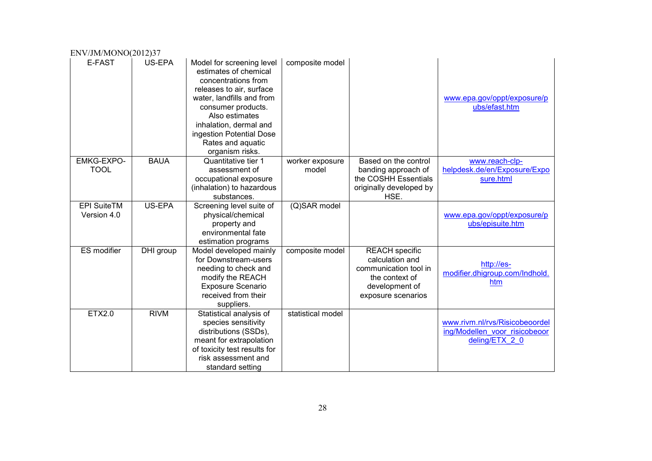| ENV/JM/MONO(2012)37               |             |                                                                                                                                                                                                                                                                          |                          |                                                                                                                             |                                                                                   |
|-----------------------------------|-------------|--------------------------------------------------------------------------------------------------------------------------------------------------------------------------------------------------------------------------------------------------------------------------|--------------------------|-----------------------------------------------------------------------------------------------------------------------------|-----------------------------------------------------------------------------------|
| E-FAST                            | US-EPA      | Model for screening level<br>estimates of chemical<br>concentrations from<br>releases to air, surface<br>water, landfills and from<br>consumer products.<br>Also estimates<br>inhalation, dermal and<br>ingestion Potential Dose<br>Rates and aquatic<br>organism risks. | composite model          |                                                                                                                             | www.epa.gov/oppt/exposure/p<br>ubs/efast.htm                                      |
| <b>EMKG-EXPO-</b><br><b>TOOL</b>  | <b>BAUA</b> | Quantitative tier 1<br>assessment of<br>occupational exposure<br>(inhalation) to hazardous<br>substances.                                                                                                                                                                | worker exposure<br>model | Based on the control<br>banding approach of<br>the COSHH Essentials<br>originally developed by<br>HSE.                      | www.reach-clp-<br>helpdesk.de/en/Exposure/Expo<br>sure.html                       |
| <b>EPI SuiteTM</b><br>Version 4.0 | US-EPA      | Screening level suite of<br>physical/chemical<br>property and<br>environmental fate<br>estimation programs                                                                                                                                                               | (Q)SAR model             |                                                                                                                             | www.epa.gov/oppt/exposure/p<br>ubs/episuite.htm                                   |
| <b>ES</b> modifier                | DHI group   | Model developed mainly<br>for Downstream-users<br>needing to check and<br>modify the REACH<br><b>Exposure Scenario</b><br>received from their<br>suppliers.                                                                                                              | composite model          | <b>REACH</b> specific<br>calculation and<br>communication tool in<br>the context of<br>development of<br>exposure scenarios | http://es-<br>modifier.dhigroup.com/Indhold.<br>htm                               |
| <b>ETX2.0</b>                     | <b>RIVM</b> | Statistical analysis of<br>species sensitivity<br>distributions (SSDs),<br>meant for extrapolation<br>of toxicity test results for<br>risk assessment and<br>standard setting                                                                                            | statistical model        |                                                                                                                             | www.rivm.nl/rvs/Risicobeoordel<br>ing/Modellen voor risicobeoor<br>deling/ETX 2 0 |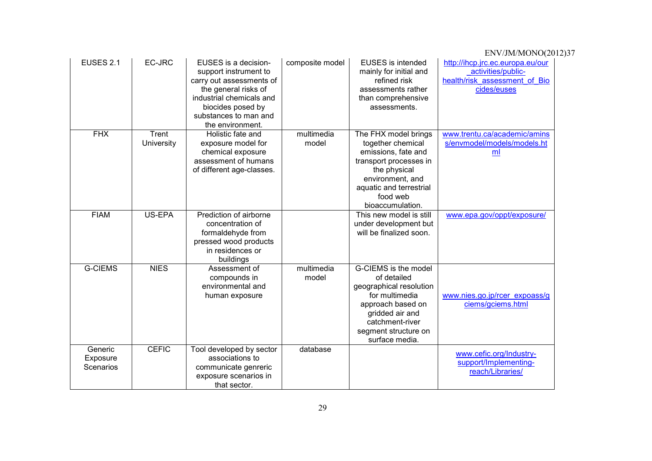| EUSES 2.1                        | EC-JRC              | EUSES is a decision-<br>support instrument to<br>carry out assessments of<br>the general risks of<br>industrial chemicals and<br>biocides posed by<br>substances to man and<br>the environment. | composite model     | <b>EUSES</b> is intended<br>mainly for initial and<br>refined risk<br>assessments rather<br>than comprehensive<br>assessments.                                                            | http://ihcp.jrc.ec.europa.eu/our<br>activities/public-<br>health/risk assessment of Bio<br>cides/euses |
|----------------------------------|---------------------|-------------------------------------------------------------------------------------------------------------------------------------------------------------------------------------------------|---------------------|-------------------------------------------------------------------------------------------------------------------------------------------------------------------------------------------|--------------------------------------------------------------------------------------------------------|
| <b>FHX</b>                       | Trent<br>University | Holistic fate and<br>exposure model for<br>chemical exposure<br>assessment of humans<br>of different age-classes.                                                                               | multimedia<br>model | The FHX model brings<br>together chemical<br>emissions, fate and<br>transport processes in<br>the physical<br>environment, and<br>aquatic and terrestrial<br>food web<br>bioaccumulation. | www.trentu.ca/academic/amins<br>s/envmodel/models/models.ht<br>ml                                      |
| <b>FIAM</b>                      | US-EPA              | Prediction of airborne<br>concentration of<br>formaldehyde from<br>pressed wood products<br>in residences or<br>buildings                                                                       |                     | This new model is still<br>under development but<br>will be finalized soon.                                                                                                               | www.epa.gov/oppt/exposure/                                                                             |
| <b>G-CIEMS</b>                   | <b>NIES</b>         | Assessment of<br>compounds in<br>environmental and<br>human exposure                                                                                                                            | multimedia<br>model | G-CIEMS is the model<br>of detailed<br>geographical resolution<br>for multimedia<br>approach based on<br>gridded air and<br>catchment-river<br>segment structure on<br>surface media.     | www.nies.go.jp/rcer expoass/g<br>ciems/gciems.html                                                     |
| Generic<br>Exposure<br>Scenarios | <b>CEFIC</b>        | Tool developed by sector<br>associations to<br>communicate genreric<br>exposure scenarios in<br>that sector.                                                                                    | database            |                                                                                                                                                                                           | www.cefic.org/Industry-<br>support/Implementing-<br>reach/Libraries/                                   |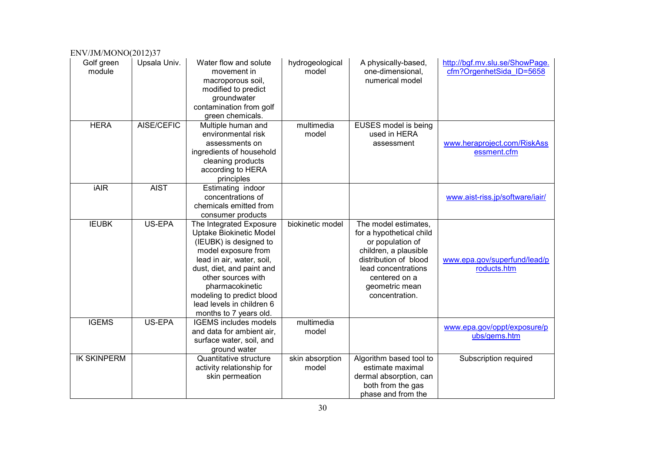| ENV/JM/MONO(2012)37  |              |                                                                                                                                                                                                                                                                                                   |                          |                                                                                                                                                                                                    |                                                            |
|----------------------|--------------|---------------------------------------------------------------------------------------------------------------------------------------------------------------------------------------------------------------------------------------------------------------------------------------------------|--------------------------|----------------------------------------------------------------------------------------------------------------------------------------------------------------------------------------------------|------------------------------------------------------------|
| Golf green<br>module | Upsala Univ. | Water flow and solute<br>movement in<br>macroporous soil,<br>modified to predict<br>groundwater<br>contamination from golf<br>green chemicals.                                                                                                                                                    | hydrogeological<br>model | A physically-based,<br>one-dimensional,<br>numerical model                                                                                                                                         | http://bgf.mv.slu.se/ShowPage.<br>cfm?OrgenhetSida ID=5658 |
| <b>HERA</b>          | AISE/CEFIC   | Multiple human and<br>environmental risk<br>assessments on<br>ingredients of household<br>cleaning products<br>according to HERA<br>principles                                                                                                                                                    | multimedia<br>model      | EUSES model is being<br>used in HERA<br>assessment                                                                                                                                                 | www.heraproject.com/RiskAss<br>essment.cfm                 |
| <b>iAIR</b>          | <b>AIST</b>  | Estimating indoor<br>concentrations of<br>chemicals emitted from<br>consumer products                                                                                                                                                                                                             |                          |                                                                                                                                                                                                    | www.aist-riss.jp/software/iair/                            |
| <b>IEUBK</b>         | US-EPA       | The Integrated Exposure<br><b>Uptake Biokinetic Model</b><br>(IEUBK) is designed to<br>model exposure from<br>lead in air, water, soil,<br>dust, diet, and paint and<br>other sources with<br>pharmacokinetic<br>modeling to predict blood<br>lead levels in children 6<br>months to 7 years old. | biokinetic model         | The model estimates.<br>for a hypothetical child<br>or population of<br>children, a plausible<br>distribution of blood<br>lead concentrations<br>centered on a<br>geometric mean<br>concentration. | www.epa.gov/superfund/lead/p<br>roducts.htm                |
| <b>IGEMS</b>         | US-EPA       | <b>IGEMS</b> includes models<br>and data for ambient air,<br>surface water, soil, and<br>ground water                                                                                                                                                                                             | multimedia<br>model      |                                                                                                                                                                                                    | www.epa.gov/oppt/exposure/p<br>ubs/gems.htm                |
| <b>IK SKINPERM</b>   |              | Quantitative structure<br>activity relationship for<br>skin permeation                                                                                                                                                                                                                            | skin absorption<br>model | Algorithm based tool to<br>estimate maximal<br>dermal absorption, can<br>both from the gas<br>phase and from the                                                                                   | Subscription required                                      |

#### 3030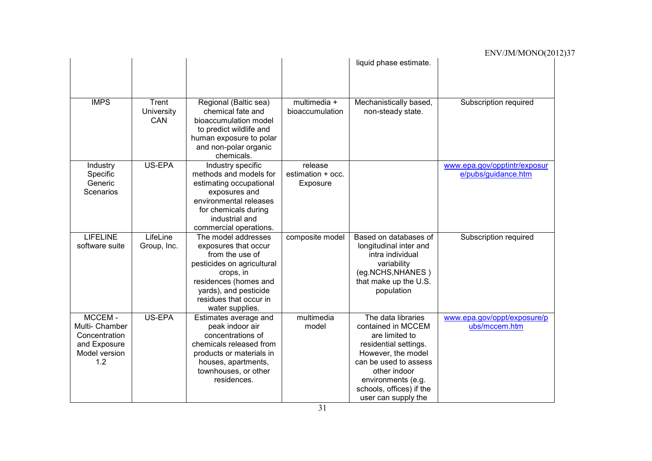#### ENV/JM/MONO(2012)37 liquid phase estimate. IMPS Trent **University** CAN Regional (Baltic sea) chemical fate and bioaccumulation model to predict wildlife and human exposure to polar and non-polar organic chemicals. multimedia + bioaccumulation Mechanistically based, non-steady state. Subscription required Industry Specific Generic Scenarios US-EPA Industry specific methods and models for estimating occupational exposures and environmental releases for chemicals during industrial and commercial operations. release estimation + occ. Exposure www.epa.gov/opptintr/exposur e/pubs/guidance.htm LIFELINE software suite **LifeLine** Group, Inc. The model addresses exposures that occur from the use of pesticides on agricultural crops, in residences (homes and yards), and pesticide residues that occur in water supplies. composite model | Based on databases of longitudinal inter and intra individual variability (eg.NCHS,NHANES ) that make up the U.S. population Subscription required MCCEM - Multi- Chamber **Concentration** and Exposure Model version 1.2 US-EPA | Estimates average and peak indoor air concentrations of chemicals released from products or materials in houses, apartments, townhouses, or other residences. multimedia model The data libraries contained in MCCEM are limited to residential settings. However, the model can be used to assess other indoor environments (e.g. schools, offices) if the user can supply the www.epa.gov/oppt/exposure/p ubs/mccem.htm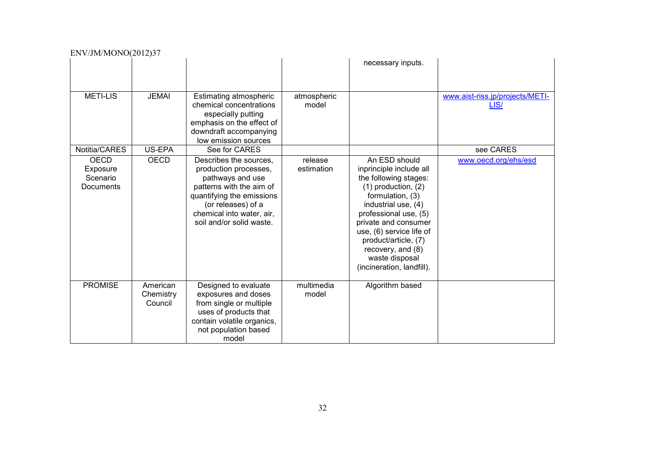| EI \ Y / JIVI/ IVIOI \O\ 2012 JJ /               |                                  |                                                                                                                                                                                                             |                       |                                                                                                                                                                                                                                                                                                                  |                                                      |
|--------------------------------------------------|----------------------------------|-------------------------------------------------------------------------------------------------------------------------------------------------------------------------------------------------------------|-----------------------|------------------------------------------------------------------------------------------------------------------------------------------------------------------------------------------------------------------------------------------------------------------------------------------------------------------|------------------------------------------------------|
|                                                  |                                  |                                                                                                                                                                                                             |                       | necessary inputs.                                                                                                                                                                                                                                                                                                |                                                      |
| <b>METI-LIS</b><br>Notitia/CARES                 | <b>JEMAI</b><br>US-EPA           | <b>Estimating atmospheric</b><br>chemical concentrations<br>especially putting<br>emphasis on the effect of<br>downdraft accompanying<br>low emission sources<br>See for CARES                              | atmospheric<br>model  |                                                                                                                                                                                                                                                                                                                  | www.aist-riss.jp/projects/METI-<br>LIS/<br>see CARES |
| <b>OECD</b><br>Exposure<br>Scenario<br>Documents | <b>OECD</b>                      | Describes the sources,<br>production processes,<br>pathways and use<br>patterns with the aim of<br>quantifying the emissions<br>(or releases) of a<br>chemical into water, air,<br>soil and/or solid waste. | release<br>estimation | An ESD should<br>inprinciple include all<br>the following stages:<br>$(1)$ production, $(2)$<br>formulation, (3)<br>industrial use, (4)<br>professional use, (5)<br>private and consumer<br>use, (6) service life of<br>product/article, (7)<br>recovery, and (8)<br>waste disposal<br>(incineration, landfill). | www.oecd.org/ehs/esd                                 |
| <b>PROMISE</b>                                   | American<br>Chemistry<br>Council | Designed to evaluate<br>exposures and doses<br>from single or multiple<br>uses of products that<br>contain volatile organics,<br>not population based<br>model                                              | multimedia<br>model   | Algorithm based                                                                                                                                                                                                                                                                                                  |                                                      |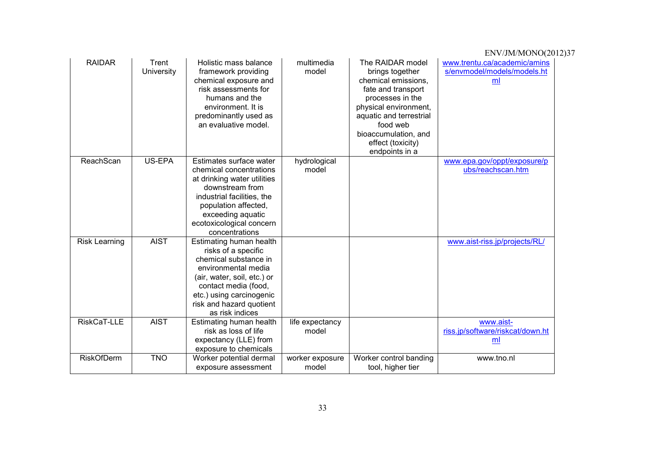|                      |                            |                                                                                                                                                                                                                                  |                          |                                                                                                                                                                                                                                     | ENV/JM/MONO(2012)37                                               |
|----------------------|----------------------------|----------------------------------------------------------------------------------------------------------------------------------------------------------------------------------------------------------------------------------|--------------------------|-------------------------------------------------------------------------------------------------------------------------------------------------------------------------------------------------------------------------------------|-------------------------------------------------------------------|
| <b>RAIDAR</b>        | Trent<br><b>University</b> | Holistic mass balance<br>framework providing<br>chemical exposure and<br>risk assessments for<br>humans and the<br>environment. It is<br>predominantly used as<br>an evaluative model.                                           | multimedia<br>model      | The RAIDAR model<br>brings together<br>chemical emissions,<br>fate and transport<br>processes in the<br>physical environment,<br>aquatic and terrestrial<br>food web<br>bioaccumulation, and<br>effect (toxicity)<br>endpoints in a | www.trentu.ca/academic/amins<br>s/envmodel/models/models.ht<br>ml |
| ReachScan            | US-EPA                     | Estimates surface water<br>chemical concentrations<br>at drinking water utilities<br>downstream from<br>industrial facilities, the<br>population affected,<br>exceeding aquatic<br>ecotoxicological concern<br>concentrations    | hydrological<br>model    |                                                                                                                                                                                                                                     | www.epa.gov/oppt/exposure/p<br>ubs/reachscan.htm                  |
| <b>Risk Learning</b> | <b>AIST</b>                | Estimating human health<br>risks of a specific<br>chemical substance in<br>environmental media<br>(air, water, soil, etc.) or<br>contact media (food,<br>etc.) using carcinogenic<br>risk and hazard quotient<br>as risk indices |                          |                                                                                                                                                                                                                                     | www.aist-riss.jp/projects/RL/                                     |
| RiskCaT-LLE          | <b>AIST</b>                | Estimating human health<br>risk as loss of life<br>expectancy (LLE) from<br>exposure to chemicals                                                                                                                                | life expectancy<br>model |                                                                                                                                                                                                                                     | www.aist-<br>riss.jp/software/riskcat/down.ht<br>ml               |
| <b>RiskOfDerm</b>    | <b>TNO</b>                 | Worker potential dermal<br>exposure assessment                                                                                                                                                                                   | worker exposure<br>model | Worker control banding<br>tool, higher tier                                                                                                                                                                                         | www.tno.nl                                                        |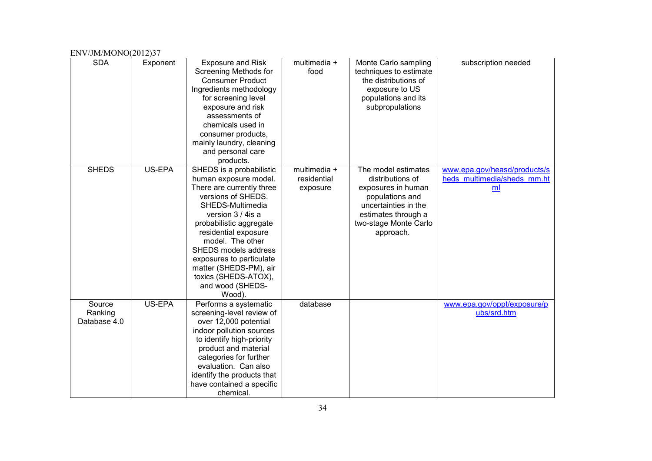| ENV/JM/MONO(2012)37               |          |                                                                                                                                                                                                                                                                                                                                                           |                                         |                                                                                                                                                                       |                                                                               |
|-----------------------------------|----------|-----------------------------------------------------------------------------------------------------------------------------------------------------------------------------------------------------------------------------------------------------------------------------------------------------------------------------------------------------------|-----------------------------------------|-----------------------------------------------------------------------------------------------------------------------------------------------------------------------|-------------------------------------------------------------------------------|
| <b>SDA</b>                        | Exponent | <b>Exposure and Risk</b><br>Screening Methods for<br><b>Consumer Product</b><br>Ingredients methodology<br>for screening level<br>exposure and risk<br>assessments of<br>chemicals used in<br>consumer products,<br>mainly laundry, cleaning<br>and personal care<br>products.                                                                            | multimedia +<br>food                    | Monte Carlo sampling<br>techniques to estimate<br>the distributions of<br>exposure to US<br>populations and its<br>subpropulations                                    | subscription needed                                                           |
| <b>SHEDS</b>                      | US-EPA   | SHEDS is a probabilistic<br>human exposure model.<br>There are currently three<br>versions of SHEDS.<br>SHEDS-Multimedia<br>version 3 / 4 is a<br>probabilistic aggregate<br>residential exposure<br>model. The other<br>SHEDS models address<br>exposures to particulate<br>matter (SHEDS-PM), air<br>toxics (SHEDS-ATOX),<br>and wood (SHEDS-<br>Wood). | multimedia +<br>residential<br>exposure | The model estimates<br>distributions of<br>exposures in human<br>populations and<br>uncertainties in the<br>estimates through a<br>two-stage Monte Carlo<br>approach. | www.epa.gov/heasd/products/s<br>heds multimedia/sheds mm.ht<br>m <sub>l</sub> |
| Source<br>Ranking<br>Database 4.0 | US-EPA   | Performs a systematic<br>screening-level review of<br>over 12,000 potential<br>indoor pollution sources<br>to identify high-priority<br>product and material<br>categories for further<br>evaluation. Can also<br>identify the products that<br>have contained a specific<br>chemical.                                                                    | database                                |                                                                                                                                                                       | www.epa.gov/oppt/exposure/p<br>ubs/srd.htm                                    |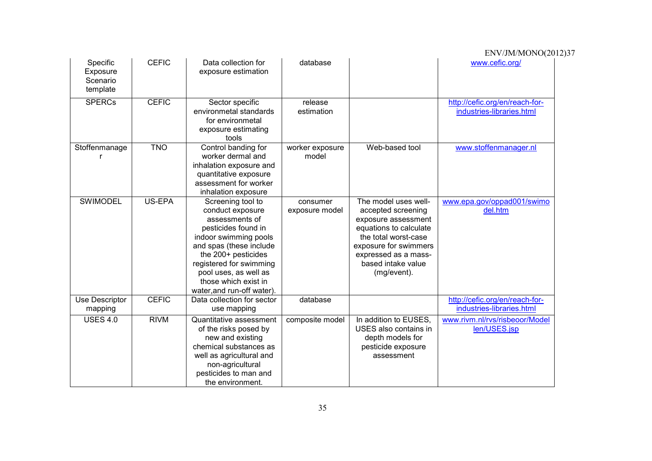| Specific<br>Exposure<br>Scenario<br>template | <b>CEFIC</b>  | Data collection for<br>exposure estimation                                                                                                                                                                                                                          | database                   |                                                                                                                                                                                                           | www.cefic.org/                                              |
|----------------------------------------------|---------------|---------------------------------------------------------------------------------------------------------------------------------------------------------------------------------------------------------------------------------------------------------------------|----------------------------|-----------------------------------------------------------------------------------------------------------------------------------------------------------------------------------------------------------|-------------------------------------------------------------|
| <b>SPERCs</b>                                | <b>CEFIC</b>  | Sector specific<br>environmetal standards<br>for environmetal<br>exposure estimating<br>tools                                                                                                                                                                       | release<br>estimation      |                                                                                                                                                                                                           | http://cefic.org/en/reach-for-<br>industries-libraries.html |
| Stoffenmanage                                | <b>TNO</b>    | Control banding for<br>worker dermal and<br>inhalation exposure and<br>quantitative exposure<br>assessment for worker<br>inhalation exposure                                                                                                                        | worker exposure<br>model   | Web-based tool                                                                                                                                                                                            | www.stoffenmanager.nl                                       |
| <b>SWIMODEL</b>                              | <b>US-EPA</b> | Screening tool to<br>conduct exposure<br>assessments of<br>pesticides found in<br>indoor swimming pools<br>and spas (these include<br>the 200+ pesticides<br>registered for swimming<br>pool uses, as well as<br>those which exist in<br>water, and run-off water). | consumer<br>exposure model | The model uses well-<br>accepted screening<br>exposure assessment<br>equations to calculate<br>the total worst-case<br>exposure for swimmers<br>expressed as a mass-<br>based intake value<br>(mg/event). | www.epa.gov/oppad001/swimo<br>del.htm                       |
| Use Descriptor<br>mapping                    | <b>CEFIC</b>  | Data collection for sector<br>use mapping                                                                                                                                                                                                                           | database                   |                                                                                                                                                                                                           | http://cefic.org/en/reach-for-<br>industries-libraries.html |
| <b>USES 4.0</b>                              | <b>RIVM</b>   | Quantitative assessment<br>of the risks posed by<br>new and existing<br>chemical substances as<br>well as agricultural and<br>non-agricultural<br>pesticides to man and<br>the environment.                                                                         | composite model            | In addition to EUSES,<br>USES also contains in<br>depth models for<br>pesticide exposure<br>assessment                                                                                                    | www.rivm.nl/rvs/risbeoor/Model<br>len/USES.jsp              |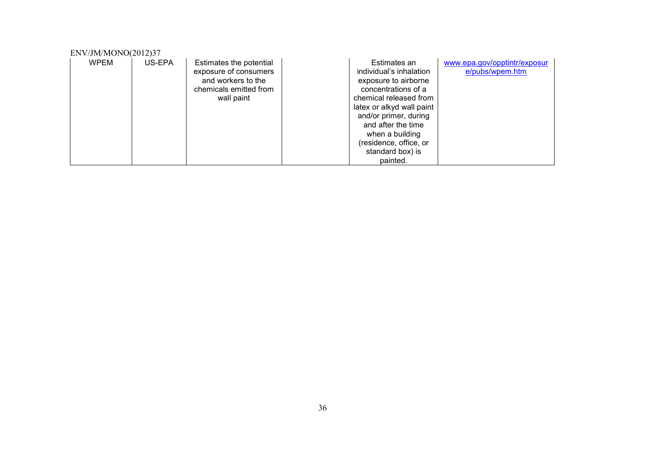| ENV/JM/MONO(2012)37 |        |                                                                                                                |                                                                                                                                                                                                                                                                           |                                                 |
|---------------------|--------|----------------------------------------------------------------------------------------------------------------|---------------------------------------------------------------------------------------------------------------------------------------------------------------------------------------------------------------------------------------------------------------------------|-------------------------------------------------|
| <b>WPEM</b>         | US-EPA | Estimates the potential<br>exposure of consumers<br>and workers to the<br>chemicals emitted from<br>wall paint | Estimates an<br>individual's inhalation<br>exposure to airborne<br>concentrations of a<br>chemical released from<br>latex or alkyd wall paint<br>and/or primer, during<br>and after the time<br>when a building<br>(residence, office, or<br>standard box) is<br>painted. | www.epa.gov/opptintr/exposur<br>e/pubs/wpem.htm |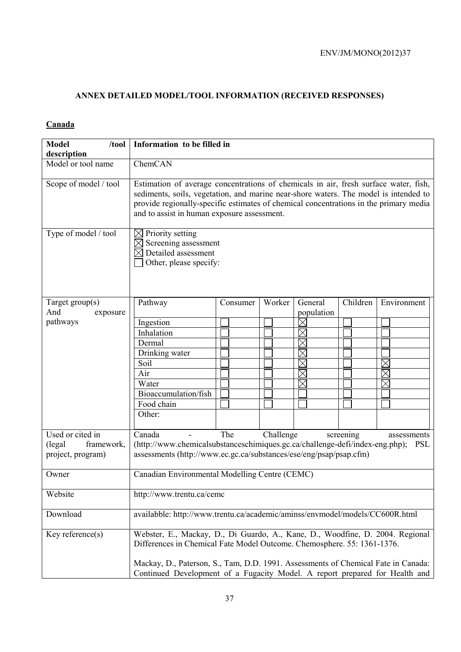# **ANNEX DETAILED MODEL/TOOL INFORMATION (RECEIVED RESPONSES)**

### **Canada**

| <b>Model</b><br>$/$ tool<br>description                        | Information to be filled in                                                                                                                                                                                                                                                                                                  |          |        |                                                    |          |             |
|----------------------------------------------------------------|------------------------------------------------------------------------------------------------------------------------------------------------------------------------------------------------------------------------------------------------------------------------------------------------------------------------------|----------|--------|----------------------------------------------------|----------|-------------|
| Model or tool name                                             | ChemCAN                                                                                                                                                                                                                                                                                                                      |          |        |                                                    |          |             |
| Scope of model / tool                                          | Estimation of average concentrations of chemicals in air, fresh surface water, fish,<br>sediments, soils, vegetation, and marine near-shore waters. The model is intended to<br>provide regionally-specific estimates of chemical concentrations in the primary media<br>and to assist in human exposure assessment.         |          |        |                                                    |          |             |
| Type of model / tool                                           | $\boxtimes$ Priority setting<br>$\boxtimes$<br>Screening assessment<br>$\boxtimes$ Detailed assessment<br>Other, please specify:                                                                                                                                                                                             |          |        |                                                    |          |             |
| Target $group(s)$<br>And<br>exposure                           | Pathway                                                                                                                                                                                                                                                                                                                      | Consumer | Worker | General<br>population                              | Children | Environment |
| pathways                                                       | Ingestion<br>Inhalation<br>Dermal<br>Drinking water<br>Soil<br>Air<br>Water<br>Bioaccumulation/fish<br>Food chain<br>Other:                                                                                                                                                                                                  |          |        | $\times$<br>$\times$<br>$\boxtimes$<br>$\boxtimes$ |          | $\times$    |
| Used or cited in<br>(legal)<br>framework,<br>project, program) | The<br>Challenge<br>Canada<br>screening<br>assessments<br>(http://www.chemicalsubstanceschimiques.gc.ca/challenge-defi/index-eng.php);<br><b>PSL</b><br>assessments (http://www.ec.gc.ca/substances/ese/eng/psap/psap.cfm)                                                                                                   |          |        |                                                    |          |             |
| Owner                                                          | Canadian Environmental Modelling Centre (CEMC)                                                                                                                                                                                                                                                                               |          |        |                                                    |          |             |
| Website                                                        | http://www.trentu.ca/cemc                                                                                                                                                                                                                                                                                                    |          |        |                                                    |          |             |
| Download                                                       | availabble: http://www.trentu.ca/academic/aminss/envmodel/models/CC600R.html                                                                                                                                                                                                                                                 |          |        |                                                    |          |             |
| Key reference $(s)$                                            | Webster, E., Mackay, D., Di Guardo, A., Kane, D., Woodfine, D. 2004. Regional<br>Differences in Chemical Fate Model Outcome. Chemosphere. 55: 1361-1376.<br>Mackay, D., Paterson, S., Tam, D.D. 1991. Assessments of Chemical Fate in Canada:<br>Continued Development of a Fugacity Model. A report prepared for Health and |          |        |                                                    |          |             |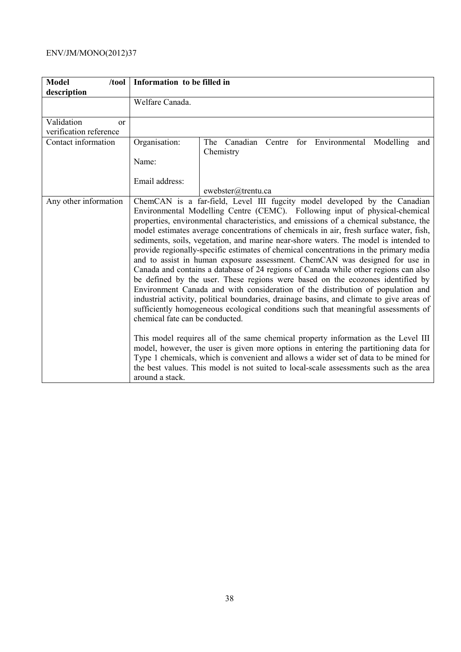| <b>Model</b><br>/tool  | Information to be filled in                        |                                                                                                                                                                                                                                                                                                                                                                                                                                                                                                                                                                                                                                                                                                                                                                                                                                                                                                                                                                                                                                                                                                                                                                                                                                                                                                                                                                                                                          |
|------------------------|----------------------------------------------------|--------------------------------------------------------------------------------------------------------------------------------------------------------------------------------------------------------------------------------------------------------------------------------------------------------------------------------------------------------------------------------------------------------------------------------------------------------------------------------------------------------------------------------------------------------------------------------------------------------------------------------------------------------------------------------------------------------------------------------------------------------------------------------------------------------------------------------------------------------------------------------------------------------------------------------------------------------------------------------------------------------------------------------------------------------------------------------------------------------------------------------------------------------------------------------------------------------------------------------------------------------------------------------------------------------------------------------------------------------------------------------------------------------------------------|
| description            |                                                    |                                                                                                                                                                                                                                                                                                                                                                                                                                                                                                                                                                                                                                                                                                                                                                                                                                                                                                                                                                                                                                                                                                                                                                                                                                                                                                                                                                                                                          |
|                        | Welfare Canada.                                    |                                                                                                                                                                                                                                                                                                                                                                                                                                                                                                                                                                                                                                                                                                                                                                                                                                                                                                                                                                                                                                                                                                                                                                                                                                                                                                                                                                                                                          |
| Validation<br>or       |                                                    |                                                                                                                                                                                                                                                                                                                                                                                                                                                                                                                                                                                                                                                                                                                                                                                                                                                                                                                                                                                                                                                                                                                                                                                                                                                                                                                                                                                                                          |
| verification reference |                                                    |                                                                                                                                                                                                                                                                                                                                                                                                                                                                                                                                                                                                                                                                                                                                                                                                                                                                                                                                                                                                                                                                                                                                                                                                                                                                                                                                                                                                                          |
| Contact information    | Organisation:                                      | Canadian<br>for Environmental<br>Centre<br>Modelling<br>The<br>and<br>Chemistry                                                                                                                                                                                                                                                                                                                                                                                                                                                                                                                                                                                                                                                                                                                                                                                                                                                                                                                                                                                                                                                                                                                                                                                                                                                                                                                                          |
|                        | Name:                                              |                                                                                                                                                                                                                                                                                                                                                                                                                                                                                                                                                                                                                                                                                                                                                                                                                                                                                                                                                                                                                                                                                                                                                                                                                                                                                                                                                                                                                          |
|                        | Email address:                                     |                                                                                                                                                                                                                                                                                                                                                                                                                                                                                                                                                                                                                                                                                                                                                                                                                                                                                                                                                                                                                                                                                                                                                                                                                                                                                                                                                                                                                          |
|                        |                                                    | ewebster@trentu.ca                                                                                                                                                                                                                                                                                                                                                                                                                                                                                                                                                                                                                                                                                                                                                                                                                                                                                                                                                                                                                                                                                                                                                                                                                                                                                                                                                                                                       |
| Any other information  | chemical fate can be conducted.<br>around a stack. | ChemCAN is a far-field, Level III fugcity model developed by the Canadian<br>Environmental Modelling Centre (CEMC). Following input of physical-chemical<br>properties, environmental characteristics, and emissions of a chemical substance, the<br>model estimates average concentrations of chemicals in air, fresh surface water, fish,<br>sediments, soils, vegetation, and marine near-shore waters. The model is intended to<br>provide regionally-specific estimates of chemical concentrations in the primary media<br>and to assist in human exposure assessment. ChemCAN was designed for use in<br>Canada and contains a database of 24 regions of Canada while other regions can also<br>be defined by the user. These regions were based on the ecozones identified by<br>Environment Canada and with consideration of the distribution of population and<br>industrial activity, political boundaries, drainage basins, and climate to give areas of<br>sufficiently homogeneous ecological conditions such that meaningful assessments of<br>This model requires all of the same chemical property information as the Level III<br>model, however, the user is given more options in entering the partitioning data for<br>Type 1 chemicals, which is convenient and allows a wider set of data to be mined for<br>the best values. This model is not suited to local-scale assessments such as the area |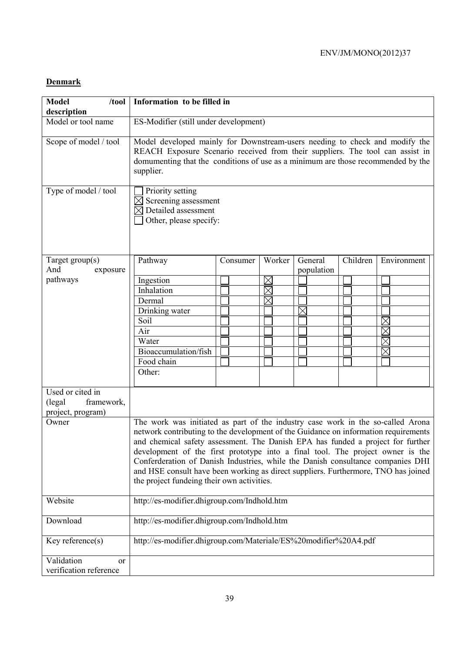### **Denmark**

| <b>Model</b><br>/tool                                         | Information to be filled in                                                                                                                                                                                                                                                                                                                                                                                                                                                                                                                                        |          |             |            |          |             |
|---------------------------------------------------------------|--------------------------------------------------------------------------------------------------------------------------------------------------------------------------------------------------------------------------------------------------------------------------------------------------------------------------------------------------------------------------------------------------------------------------------------------------------------------------------------------------------------------------------------------------------------------|----------|-------------|------------|----------|-------------|
| description<br>Model or tool name                             |                                                                                                                                                                                                                                                                                                                                                                                                                                                                                                                                                                    |          |             |            |          |             |
|                                                               | ES-Modifier (still under development)                                                                                                                                                                                                                                                                                                                                                                                                                                                                                                                              |          |             |            |          |             |
| Scope of model / tool                                         | Model developed mainly for Downstream-users needing to check and modify the<br>REACH Exposure Scenario received from their suppliers. The tool can assist in<br>domumenting that the conditions of use as a minimum are those recommended by the<br>supplier.                                                                                                                                                                                                                                                                                                      |          |             |            |          |             |
| Type of model / tool                                          | Priority setting<br>Screening assessment<br>$\boxtimes$ Detailed assessment<br>Other, please specify:                                                                                                                                                                                                                                                                                                                                                                                                                                                              |          |             |            |          |             |
| Target $group(s)$                                             | Pathway                                                                                                                                                                                                                                                                                                                                                                                                                                                                                                                                                            | Consumer | Worker      | General    | Children | Environment |
| And<br>exposure                                               |                                                                                                                                                                                                                                                                                                                                                                                                                                                                                                                                                                    |          |             | population |          |             |
| pathways                                                      | Ingestion                                                                                                                                                                                                                                                                                                                                                                                                                                                                                                                                                          |          | $\boxtimes$ |            |          |             |
|                                                               | Inhalation                                                                                                                                                                                                                                                                                                                                                                                                                                                                                                                                                         |          |             |            |          |             |
|                                                               | Dermal                                                                                                                                                                                                                                                                                                                                                                                                                                                                                                                                                             |          | $\times$    |            |          |             |
|                                                               | Drinking water                                                                                                                                                                                                                                                                                                                                                                                                                                                                                                                                                     |          |             |            |          |             |
|                                                               | Soil                                                                                                                                                                                                                                                                                                                                                                                                                                                                                                                                                               |          |             |            |          | $\times$    |
|                                                               | Air                                                                                                                                                                                                                                                                                                                                                                                                                                                                                                                                                                |          |             |            |          | $\times$    |
|                                                               | Water                                                                                                                                                                                                                                                                                                                                                                                                                                                                                                                                                              |          |             |            |          | $\times$    |
|                                                               | Bioaccumulation/fish                                                                                                                                                                                                                                                                                                                                                                                                                                                                                                                                               |          |             |            |          |             |
|                                                               | Food chain                                                                                                                                                                                                                                                                                                                                                                                                                                                                                                                                                         |          |             |            |          |             |
|                                                               | Other:                                                                                                                                                                                                                                                                                                                                                                                                                                                                                                                                                             |          |             |            |          |             |
| Used or cited in<br>(legal<br>framework,<br>project, program) |                                                                                                                                                                                                                                                                                                                                                                                                                                                                                                                                                                    |          |             |            |          |             |
| Owner                                                         | The work was initiated as part of the industry case work in the so-called Arona<br>network contributing to the development of the Guidance on information requirements<br>and chemical safety assessment. The Danish EPA has funded a project for further<br>development of the first prototype into a final tool. The project owner is the<br>Conferderation of Danish Industries, while the Danish consultance companies DHI<br>and HSE consult have been working as direct suppliers. Furthermore, TNO has joined<br>the project fundeing their own activities. |          |             |            |          |             |
| Website                                                       | http://es-modifier.dhigroup.com/Indhold.htm                                                                                                                                                                                                                                                                                                                                                                                                                                                                                                                        |          |             |            |          |             |
| Download                                                      | http://es-modifier.dhigroup.com/Indhold.htm                                                                                                                                                                                                                                                                                                                                                                                                                                                                                                                        |          |             |            |          |             |
| Key reference $(s)$                                           | http://es-modifier.dhigroup.com/Materiale/ES%20modifier%20A4.pdf                                                                                                                                                                                                                                                                                                                                                                                                                                                                                                   |          |             |            |          |             |
| Validation<br><sub>or</sub>                                   |                                                                                                                                                                                                                                                                                                                                                                                                                                                                                                                                                                    |          |             |            |          |             |
| verification reference                                        |                                                                                                                                                                                                                                                                                                                                                                                                                                                                                                                                                                    |          |             |            |          |             |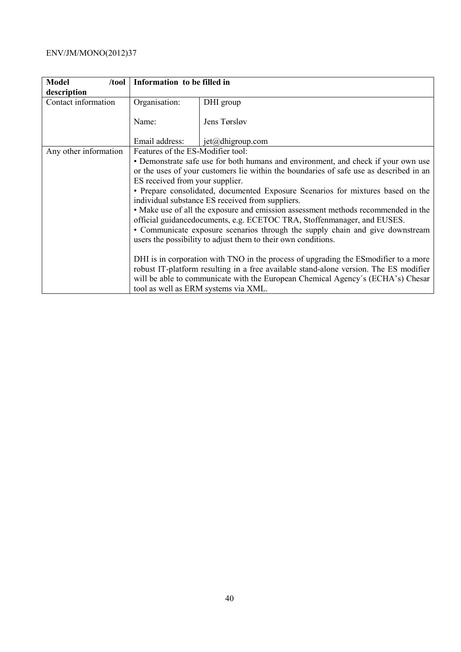| <b>Model</b><br>/tool | Information to be filled in       |                                                                                                                                                              |
|-----------------------|-----------------------------------|--------------------------------------------------------------------------------------------------------------------------------------------------------------|
| description           |                                   |                                                                                                                                                              |
| Contact information   | Organisation:                     | DHI group                                                                                                                                                    |
|                       |                                   |                                                                                                                                                              |
|                       | Name:                             | Jens Tørsløv                                                                                                                                                 |
|                       | Email address:                    | $jet(\omega)$ dhigroup.com                                                                                                                                   |
| Any other information | Features of the ES-Modifier tool: |                                                                                                                                                              |
|                       |                                   | • Demonstrate safe use for both humans and environment, and check if your own use                                                                            |
|                       |                                   | or the uses of your customers lie within the boundaries of safe use as described in an                                                                       |
|                       | ES received from your supplier.   |                                                                                                                                                              |
|                       |                                   | • Prepare consolidated, documented Exposure Scenarios for mixtures based on the                                                                              |
|                       |                                   | individual substance ES received from suppliers.                                                                                                             |
|                       |                                   | • Make use of all the exposure and emission assessment methods recommended in the<br>official guidancedocuments, e.g. ECETOC TRA, Stoffenmanager, and EUSES. |
|                       |                                   | • Communicate exposure scenarios through the supply chain and give downstream                                                                                |
|                       |                                   | users the possibility to adjust them to their own conditions.                                                                                                |
|                       |                                   |                                                                                                                                                              |
|                       |                                   | DHI is in corporation with TNO in the process of upgrading the ES modifier to a more                                                                         |
|                       |                                   | robust IT-platform resulting in a free available stand-alone version. The ES modifier                                                                        |
|                       |                                   | will be able to communicate with the European Chemical Agency's (ECHA's) Chesar                                                                              |
|                       |                                   | tool as well as ERM systems via XML.                                                                                                                         |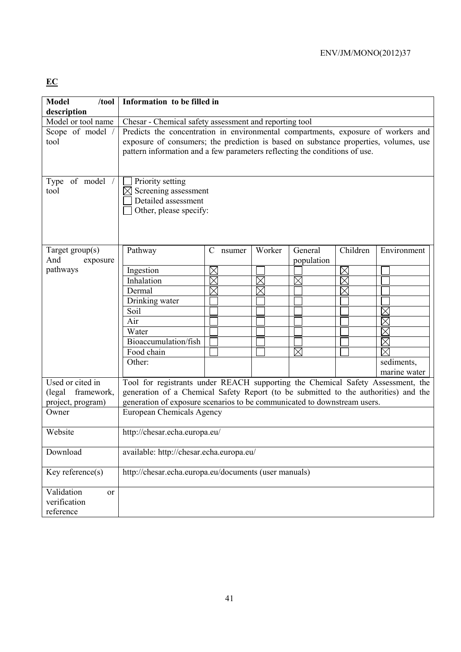# **EC**

| <b>Model</b><br>/tool                | Information to be filled in                                                                                                                                                                                                                                                                                       |                         |          |                       |           |                     |
|--------------------------------------|-------------------------------------------------------------------------------------------------------------------------------------------------------------------------------------------------------------------------------------------------------------------------------------------------------------------|-------------------------|----------|-----------------------|-----------|---------------------|
| description<br>Model or tool name    |                                                                                                                                                                                                                                                                                                                   |                         |          |                       |           |                     |
| Scope of model /<br>tool             | Chesar - Chemical safety assessment and reporting tool<br>Predicts the concentration in environmental compartments, exposure of workers and<br>exposure of consumers; the prediction is based on substance properties, volumes, use<br>pattern information and a few parameters reflecting the conditions of use. |                         |          |                       |           |                     |
| Type of model<br>tool                | Priority setting<br>$\boxtimes$<br>Screening assessment<br>Detailed assessment<br>Other, please specify:                                                                                                                                                                                                          |                         |          |                       |           |                     |
| Target $group(s)$<br>And<br>exposure | Pathway                                                                                                                                                                                                                                                                                                           | $\mathcal{C}$<br>nsumer | Worker   | General<br>population | Children  | Environment         |
| pathways                             | Ingestion                                                                                                                                                                                                                                                                                                         | $\times$                |          |                       | $\bowtie$ |                     |
|                                      | Inhalation                                                                                                                                                                                                                                                                                                        | $\times$                | $\times$ | $\boxtimes$           | $\times$  |                     |
|                                      | Dermal                                                                                                                                                                                                                                                                                                            | $\times$                |          |                       |           |                     |
|                                      | Drinking water                                                                                                                                                                                                                                                                                                    |                         |          |                       |           |                     |
|                                      | Soil                                                                                                                                                                                                                                                                                                              |                         |          |                       |           | $\times$            |
|                                      | Air                                                                                                                                                                                                                                                                                                               |                         |          |                       |           | $\times$            |
|                                      | Water                                                                                                                                                                                                                                                                                                             |                         |          |                       |           | $\boxtimes$         |
|                                      | Bioaccumulation/fish                                                                                                                                                                                                                                                                                              |                         |          |                       |           | $\overline{\times}$ |
|                                      | Food chain                                                                                                                                                                                                                                                                                                        |                         |          | $\boxtimes$           |           | $\times$            |
|                                      | Other:                                                                                                                                                                                                                                                                                                            |                         |          |                       |           | sediments,          |
|                                      |                                                                                                                                                                                                                                                                                                                   |                         |          |                       |           | marine water        |
| Used or cited in                     | Tool for registrants under REACH supporting the Chemical Safety Assessment, the                                                                                                                                                                                                                                   |                         |          |                       |           |                     |
| (legal)<br>framework,                | generation of a Chemical Safety Report (to be submitted to the authorities) and the                                                                                                                                                                                                                               |                         |          |                       |           |                     |
| project, program)                    | generation of exposure scenarios to be communicated to downstream users.                                                                                                                                                                                                                                          |                         |          |                       |           |                     |
| Owner                                | European Chemicals Agency                                                                                                                                                                                                                                                                                         |                         |          |                       |           |                     |
| Website                              | http://chesar.echa.europa.eu/                                                                                                                                                                                                                                                                                     |                         |          |                       |           |                     |
| Download                             | available: http://chesar.echa.europa.eu/                                                                                                                                                                                                                                                                          |                         |          |                       |           |                     |
| Key reference(s)                     | http://chesar.echa.europa.eu/documents (user manuals)                                                                                                                                                                                                                                                             |                         |          |                       |           |                     |
| Validation<br>or                     |                                                                                                                                                                                                                                                                                                                   |                         |          |                       |           |                     |
| verification                         |                                                                                                                                                                                                                                                                                                                   |                         |          |                       |           |                     |
| reference                            |                                                                                                                                                                                                                                                                                                                   |                         |          |                       |           |                     |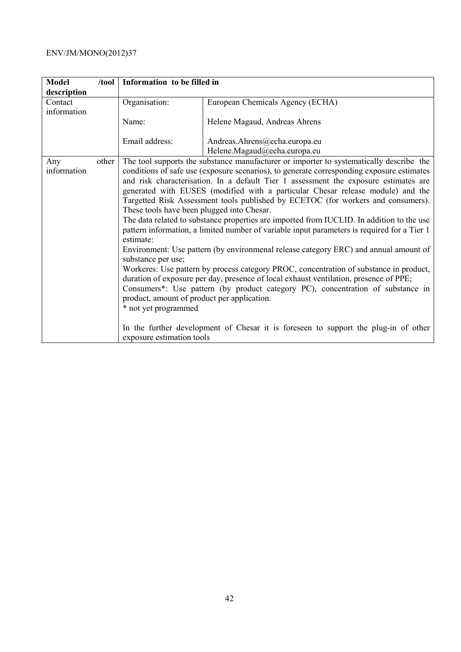| <b>Model</b> | /tool | Information to be filled in                                                                                                                                                          |                                                                                             |  |  |  |
|--------------|-------|--------------------------------------------------------------------------------------------------------------------------------------------------------------------------------------|---------------------------------------------------------------------------------------------|--|--|--|
| description  |       |                                                                                                                                                                                      |                                                                                             |  |  |  |
| Contact      |       | Organisation:                                                                                                                                                                        | European Chemicals Agency (ECHA)                                                            |  |  |  |
| information  |       |                                                                                                                                                                                      |                                                                                             |  |  |  |
|              |       | Name:                                                                                                                                                                                | Helene Magaud, Andreas Ahrens                                                               |  |  |  |
|              |       | Email address:                                                                                                                                                                       | Andreas.Ahrens@echa.europa.eu                                                               |  |  |  |
|              |       |                                                                                                                                                                                      |                                                                                             |  |  |  |
|              |       |                                                                                                                                                                                      | Helene.Magaud@echa.europa.eu                                                                |  |  |  |
| Any          | other | The tool supports the substance manufacturer or importer to systematically describe the<br>conditions of safe use (exposure scenarios), to generate corresponding exposure estimates |                                                                                             |  |  |  |
| information  |       |                                                                                                                                                                                      |                                                                                             |  |  |  |
|              |       |                                                                                                                                                                                      | and risk characterisation. In a default Tier 1 assessment the exposure estimates are        |  |  |  |
|              |       | generated with EUSES (modified with a particular Chesar release module) and the                                                                                                      |                                                                                             |  |  |  |
|              |       | Targetted Risk Assessment tools published by ECETOC (for workers and consumers).                                                                                                     |                                                                                             |  |  |  |
|              |       | These tools have been plugged into Chesar.                                                                                                                                           |                                                                                             |  |  |  |
|              |       |                                                                                                                                                                                      | The data related to substance properties are imported from IUCLID. In addition to the use   |  |  |  |
|              |       |                                                                                                                                                                                      | pattern information, a limited number of variable input parameters is required for a Tier 1 |  |  |  |
|              |       | estimate:                                                                                                                                                                            |                                                                                             |  |  |  |
|              |       | substance per use;                                                                                                                                                                   | Environment: Use pattern (by environmenal release category ERC) and annual amount of        |  |  |  |
|              |       |                                                                                                                                                                                      | Workeres: Use pattern by process category PROC, concentration of substance in product,      |  |  |  |
|              |       |                                                                                                                                                                                      | duration of exposure per day, presence of local exhaust ventilation, presence of PPE;       |  |  |  |
|              |       |                                                                                                                                                                                      | Consumers*: Use pattern (by product category PC), concentration of substance in             |  |  |  |
|              |       | product, amount of product per application.                                                                                                                                          |                                                                                             |  |  |  |
|              |       | * not yet programmed                                                                                                                                                                 |                                                                                             |  |  |  |
|              |       |                                                                                                                                                                                      |                                                                                             |  |  |  |
|              |       | exposure estimation tools                                                                                                                                                            | In the further development of Chesar it is foreseen to support the plug-in of other         |  |  |  |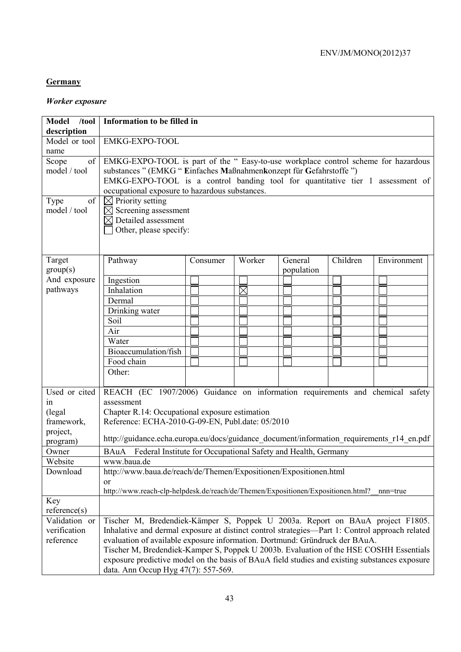### **Germany**

### *Worker exposure*

| $/$ tool<br><b>Model</b> | Information to be filled in                                                                                                                                                   |          |          |            |          |             |
|--------------------------|-------------------------------------------------------------------------------------------------------------------------------------------------------------------------------|----------|----------|------------|----------|-------------|
| description              |                                                                                                                                                                               |          |          |            |          |             |
| Model or tool            | EMKG-EXPO-TOOL                                                                                                                                                                |          |          |            |          |             |
| name                     |                                                                                                                                                                               |          |          |            |          |             |
| Scope<br>of              | EMKG-EXPO-TOOL is part of the " Easy-to-use workplace control scheme for hazardous                                                                                            |          |          |            |          |             |
| model / tool             | substances " (EMKG " Einfaches Maßnahmenkonzept für Gefahrstoffe ")                                                                                                           |          |          |            |          |             |
|                          | EMKG-EXPO-TOOL is a control banding tool for quantitative tier 1 assessment of                                                                                                |          |          |            |          |             |
|                          | occupational exposure to hazardous substances.                                                                                                                                |          |          |            |          |             |
| Type<br>of               | $\boxtimes$ Priority setting                                                                                                                                                  |          |          |            |          |             |
| model / tool             | $\boxtimes$ Screening assessment                                                                                                                                              |          |          |            |          |             |
|                          | $\boxtimes$ Detailed assessment                                                                                                                                               |          |          |            |          |             |
|                          | Other, please specify:                                                                                                                                                        |          |          |            |          |             |
|                          |                                                                                                                                                                               |          |          |            |          |             |
|                          |                                                                                                                                                                               |          |          |            |          |             |
| Target                   | Pathway                                                                                                                                                                       | Consumer | Worker   | General    | Children | Environment |
| group(s)                 |                                                                                                                                                                               |          |          | population |          |             |
| And exposure             | Ingestion                                                                                                                                                                     |          |          |            |          |             |
| pathways                 | Inhalation                                                                                                                                                                    |          | $\times$ |            |          |             |
|                          | Dermal                                                                                                                                                                        |          |          |            |          |             |
|                          | Drinking water                                                                                                                                                                |          |          |            |          |             |
|                          | Soil                                                                                                                                                                          |          |          |            |          |             |
|                          | Air                                                                                                                                                                           |          |          |            |          |             |
|                          | Water                                                                                                                                                                         |          |          |            |          |             |
|                          | Bioaccumulation/fish                                                                                                                                                          |          |          |            |          |             |
|                          | Food chain                                                                                                                                                                    |          |          |            |          |             |
|                          | Other:                                                                                                                                                                        |          |          |            |          |             |
|                          |                                                                                                                                                                               |          |          |            |          |             |
| Used or cited            | REACH (EC 1907/2006) Guidance on information requirements and chemical safety                                                                                                 |          |          |            |          |             |
| in                       | assessment                                                                                                                                                                    |          |          |            |          |             |
| (legal)                  | Chapter R.14: Occupational exposure estimation                                                                                                                                |          |          |            |          |             |
| framework,               | Reference: ECHA-2010-G-09-EN, Publ.date: 05/2010                                                                                                                              |          |          |            |          |             |
| project,                 | http://guidance.echa.europa.eu/docs/guidance_document/information_requirements_r14_en.pdf                                                                                     |          |          |            |          |             |
| program)                 |                                                                                                                                                                               |          |          |            |          |             |
| Owner                    | BAuA Federal Institute for Occupational Safety and Health, Germany                                                                                                            |          |          |            |          |             |
| Website                  | www.baua.de                                                                                                                                                                   |          |          |            |          |             |
| Download                 | http://www.baua.de/reach/de/Themen/Expositionen/Expositionen.html                                                                                                             |          |          |            |          |             |
|                          | <sub>or</sub>                                                                                                                                                                 |          |          |            |          |             |
|                          | http://www.reach-clp-helpdesk.de/reach/de/Themen/Expositionen/Expositionen.html?                                                                                              |          |          |            |          | nnn=true    |
| Key<br>reference(s)      |                                                                                                                                                                               |          |          |            |          |             |
| Validation or            | Tischer M, Bredendiek-Kämper S, Poppek U 2003a. Report on BAuA project F1805.                                                                                                 |          |          |            |          |             |
| verification             |                                                                                                                                                                               |          |          |            |          |             |
| reference                | Inhalative and dermal exposure at distinct control strategies—Part 1: Control approach related<br>evaluation of available exposure information. Dortmund: Gründruck der BAuA. |          |          |            |          |             |
|                          | Tischer M, Bredendiek-Kamper S, Poppek U 2003b. Evaluation of the HSE COSHH Essentials                                                                                        |          |          |            |          |             |
|                          | exposure predictive model on the basis of BAuA field studies and existing substances exposure                                                                                 |          |          |            |          |             |
|                          |                                                                                                                                                                               |          |          |            |          |             |
|                          | data. Ann Occup Hyg 47(7): 557-569.                                                                                                                                           |          |          |            |          |             |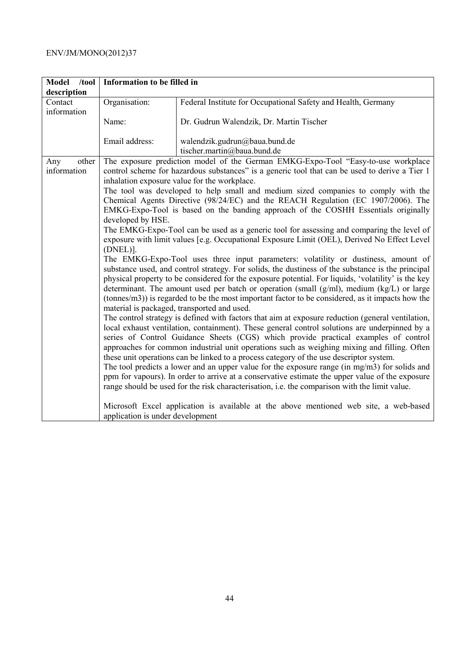| Model /tool  | Information to be filled in      |                                                                                                                                                 |  |  |  |  |
|--------------|----------------------------------|-------------------------------------------------------------------------------------------------------------------------------------------------|--|--|--|--|
| description  |                                  |                                                                                                                                                 |  |  |  |  |
| Contact      | Organisation:                    | Federal Institute for Occupational Safety and Health, Germany                                                                                   |  |  |  |  |
| information  |                                  |                                                                                                                                                 |  |  |  |  |
|              | Name:                            | Dr. Gudrun Walendzik, Dr. Martin Tischer                                                                                                        |  |  |  |  |
|              |                                  |                                                                                                                                                 |  |  |  |  |
|              | Email address:                   | walendzik.gudrun@baua.bund.de                                                                                                                   |  |  |  |  |
|              |                                  | tischer.martin@baua.bund.de                                                                                                                     |  |  |  |  |
| other<br>Any |                                  | The exposure prediction model of the German EMKG-Expo-Tool "Easy-to-use workplace                                                               |  |  |  |  |
| information  |                                  | control scheme for hazardous substances" is a generic tool that can be used to derive a Tier 1                                                  |  |  |  |  |
|              |                                  | inhalation exposure value for the workplace.                                                                                                    |  |  |  |  |
|              |                                  | The tool was developed to help small and medium sized companies to comply with the                                                              |  |  |  |  |
|              |                                  | Chemical Agents Directive (98/24/EC) and the REACH Regulation (EC 1907/2006). The                                                               |  |  |  |  |
|              |                                  | EMKG-Expo-Tool is based on the banding approach of the COSHH Essentials originally                                                              |  |  |  |  |
|              | developed by HSE.                |                                                                                                                                                 |  |  |  |  |
|              |                                  | The EMKG-Expo-Tool can be used as a generic tool for assessing and comparing the level of                                                       |  |  |  |  |
|              |                                  | exposure with limit values [e.g. Occupational Exposure Limit (OEL), Derived No Effect Level                                                     |  |  |  |  |
|              | $(DNEL)$ ].                      |                                                                                                                                                 |  |  |  |  |
|              |                                  | The EMKG-Expo-Tool uses three input parameters: volatility or dustiness, amount of                                                              |  |  |  |  |
|              |                                  | substance used, and control strategy. For solids, the dustiness of the substance is the principal                                               |  |  |  |  |
|              |                                  | physical property to be considered for the exposure potential. For liquids, 'volatility' is the key                                             |  |  |  |  |
|              |                                  | determinant. The amount used per batch or operation (small $(g/ml)$ , medium $(kg/L)$ or large                                                  |  |  |  |  |
|              |                                  | (tonnes/m3)) is regarded to be the most important factor to be considered, as it impacts how the<br>material is packaged, transported and used. |  |  |  |  |
|              |                                  | The control strategy is defined with factors that aim at exposure reduction (general ventilation,                                               |  |  |  |  |
|              |                                  | local exhaust ventilation, containment). These general control solutions are underpinned by a                                                   |  |  |  |  |
|              |                                  | series of Control Guidance Sheets (CGS) which provide practical examples of control                                                             |  |  |  |  |
|              |                                  | approaches for common industrial unit operations such as weighing mixing and filling. Often                                                     |  |  |  |  |
|              |                                  | these unit operations can be linked to a process category of the use descriptor system.                                                         |  |  |  |  |
|              |                                  | The tool predicts a lower and an upper value for the exposure range (in mg/m3) for solids and                                                   |  |  |  |  |
|              |                                  | ppm for vapours). In order to arrive at a conservative estimate the upper value of the exposure                                                 |  |  |  |  |
|              |                                  | range should be used for the risk characterisation, i.e. the comparison with the limit value.                                                   |  |  |  |  |
|              |                                  |                                                                                                                                                 |  |  |  |  |
|              |                                  | Microsoft Excel application is available at the above mentioned web site, a web-based                                                           |  |  |  |  |
|              | application is under development |                                                                                                                                                 |  |  |  |  |
|              |                                  |                                                                                                                                                 |  |  |  |  |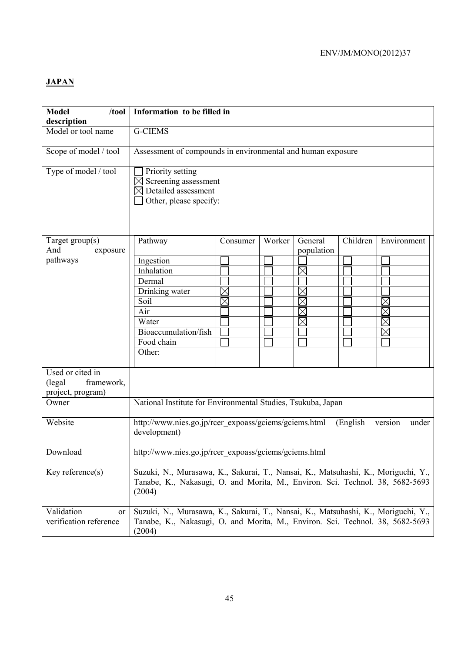## **JAPAN**

| <b>Model</b><br>/tool<br>description                  | Information to be filled in                                                                                                                                                  |          |        |                       |          |             |
|-------------------------------------------------------|------------------------------------------------------------------------------------------------------------------------------------------------------------------------------|----------|--------|-----------------------|----------|-------------|
| Model or tool name                                    | <b>G-CIEMS</b>                                                                                                                                                               |          |        |                       |          |             |
| Scope of model / tool                                 | Assessment of compounds in environmental and human exposure                                                                                                                  |          |        |                       |          |             |
| Type of model / tool                                  | Priority setting<br>Screening assessment<br>Detailed assessment<br>Other, please specify:                                                                                    |          |        |                       |          |             |
| Target group(s)<br>And<br>exposure                    | Pathway                                                                                                                                                                      | Consumer | Worker | General<br>population | Children | Environment |
| pathways                                              |                                                                                                                                                                              |          |        |                       |          |             |
|                                                       | Ingestion                                                                                                                                                                    |          |        |                       |          |             |
|                                                       | Inhalation                                                                                                                                                                   |          |        | $\times$              |          |             |
|                                                       | Dermal                                                                                                                                                                       |          |        |                       |          |             |
|                                                       | Drinking water                                                                                                                                                               | $\times$ |        |                       |          |             |
|                                                       | Soil                                                                                                                                                                         | $\times$ |        |                       |          |             |
|                                                       | Air                                                                                                                                                                          |          |        | $\times$              |          |             |
|                                                       | Water                                                                                                                                                                        |          |        |                       |          |             |
|                                                       | Bioaccumulation/fish                                                                                                                                                         |          |        |                       |          |             |
|                                                       | Food chain                                                                                                                                                                   |          |        |                       |          |             |
|                                                       | Other:                                                                                                                                                                       |          |        |                       |          |             |
| Used or cited in                                      |                                                                                                                                                                              |          |        |                       |          |             |
| framework,<br>(legal)                                 |                                                                                                                                                                              |          |        |                       |          |             |
| project, program)                                     |                                                                                                                                                                              |          |        |                       |          |             |
| Owner                                                 | National Institute for Environmental Studies, Tsukuba, Japan                                                                                                                 |          |        |                       |          |             |
| Website                                               | http://www.nies.go.jp/rcer_expoass/gciems/gciems.html<br>(English)<br>version<br>under<br>development)                                                                       |          |        |                       |          |             |
| Download                                              | http://www.nies.go.jp/rcer_expoass/gciems/gciems.html                                                                                                                        |          |        |                       |          |             |
| Key reference $(s)$                                   | Suzuki, N., Murasawa, K., Sakurai, T., Nansai, K., Matsuhashi, K., Moriguchi, Y.,<br>Tanabe, K., Nakasugi, O. and Morita, M., Environ. Sci. Technol. 38, 5682-5693<br>(2004) |          |        |                       |          |             |
| Validation<br><sub>or</sub><br>verification reference | Suzuki, N., Murasawa, K., Sakurai, T., Nansai, K., Matsuhashi, K., Moriguchi, Y.,<br>Tanabe, K., Nakasugi, O. and Morita, M., Environ. Sci. Technol. 38, 5682-5693<br>(2004) |          |        |                       |          |             |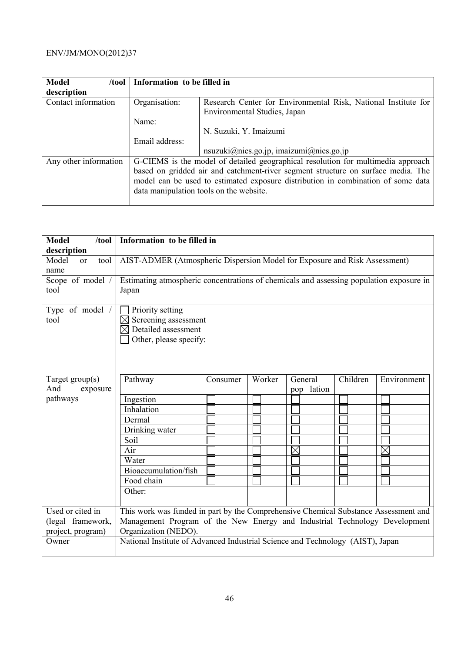| <b>Model</b><br>/tool | Information to be filled in |                                                                                  |
|-----------------------|-----------------------------|----------------------------------------------------------------------------------|
| description           |                             |                                                                                  |
| Contact information   | Organisation:               | Research Center for Environmental Risk, National Institute for                   |
|                       |                             | Environmental Studies, Japan                                                     |
|                       | Name:                       |                                                                                  |
|                       |                             | N. Suzuki, Y. Imaizumi                                                           |
|                       | Email address:              |                                                                                  |
|                       |                             | $nsuzuki@nies.gov.jp, imaizumi@nies.gov.jp$                                      |
| Any other information |                             | G-CIEMS is the model of detailed geographical resolution for multimedia approach |
|                       |                             | based on gridded air and catchment-river segment structure on surface media. The |
|                       |                             | model can be used to estimated exposure distribution in combination of some data |
|                       |                             | data manipulation tools on the website.                                          |
|                       |                             |                                                                                  |

| <b>Model</b><br>$/$ tool<br>description | Information to be filled in                                                                                                                                       |                                                                                         |        |                   |          |             |
|-----------------------------------------|-------------------------------------------------------------------------------------------------------------------------------------------------------------------|-----------------------------------------------------------------------------------------|--------|-------------------|----------|-------------|
| Model<br>tool<br>$\alpha$ r<br>name     | AIST-ADMER (Atmospheric Dispersion Model for Exposure and Risk Assessment)                                                                                        |                                                                                         |        |                   |          |             |
| Scope of model /<br>tool                | Japan                                                                                                                                                             | Estimating atmospheric concentrations of chemicals and assessing population exposure in |        |                   |          |             |
| Type of model /<br>tool                 | Priority setting<br>Screening assessment<br>Detailed assessment<br>Other, please specify:                                                                         |                                                                                         |        |                   |          |             |
| Target group(s)<br>And<br>exposure      | Pathway                                                                                                                                                           | Consumer                                                                                | Worker | General<br>lation | Children | Environment |
| pathways                                | Ingestion<br>Inhalation<br>Dermal<br>Drinking water<br>Soil<br>Air<br>Water<br>Bioaccumulation/fish<br>Food chain<br>Other:                                       |                                                                                         |        | pop<br>Χ          |          | $\times$    |
| Used or cited in<br>(legal framework,   | This work was funded in part by the Comprehensive Chemical Substance Assessment and<br>Management Program of the New Energy and Industrial Technology Development |                                                                                         |        |                   |          |             |
| project, program)                       | Organization (NEDO).                                                                                                                                              |                                                                                         |        |                   |          |             |
| Owner                                   | National Institute of Advanced Industrial Science and Technology (AIST), Japan                                                                                    |                                                                                         |        |                   |          |             |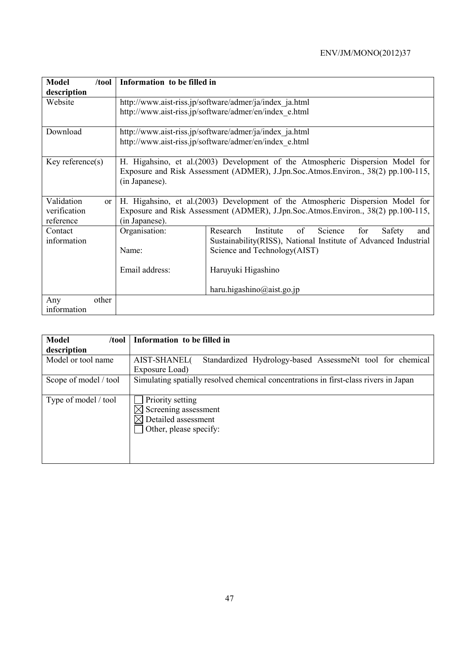| <b>Model</b><br>/tool       | Information to be filled in                                                       |                                                                                   |  |  |  |
|-----------------------------|-----------------------------------------------------------------------------------|-----------------------------------------------------------------------------------|--|--|--|
| description                 |                                                                                   |                                                                                   |  |  |  |
| Website                     |                                                                                   | http://www.aist-riss.jp/software/admer/ja/index ja.html                           |  |  |  |
|                             | http://www.aist-riss.jp/software/admer/en/index e.html                            |                                                                                   |  |  |  |
| Download                    | http://www.aist-riss.jp/software/admer/ja/index ja.html                           |                                                                                   |  |  |  |
|                             | http://www.aist-riss.jp/software/admer/en/index e.html                            |                                                                                   |  |  |  |
| Key reference $(s)$         |                                                                                   | H. Higahsino, et al. (2003) Development of the Atmospheric Dispersion Model for   |  |  |  |
|                             | Exposure and Risk Assessment (ADMER), J.Jpn.Soc.Atmos.Environ., 38(2) pp.100-115, |                                                                                   |  |  |  |
|                             | (in Japanese).                                                                    |                                                                                   |  |  |  |
| Validation<br><sub>or</sub> |                                                                                   | H. Higahsino, et al. (2003) Development of the Atmospheric Dispersion Model for   |  |  |  |
| verification                |                                                                                   | Exposure and Risk Assessment (ADMER), J.Jpn.Soc.Atmos.Environ., 38(2) pp.100-115, |  |  |  |
| reference                   | (in Japanese).                                                                    |                                                                                   |  |  |  |
| Contact                     | Organisation:                                                                     | of<br>Science<br>for<br>Research<br>Institute<br>Safety<br>and                    |  |  |  |
| information                 |                                                                                   | Sustainability(RISS), National Institute of Advanced Industrial                   |  |  |  |
|                             | Name:                                                                             | Science and Technology(AIST)                                                      |  |  |  |
|                             | Email address:                                                                    | Haruyuki Higashino                                                                |  |  |  |
|                             |                                                                                   | haru.higashino@aist.go.jp                                                         |  |  |  |
| other<br>Any                |                                                                                   |                                                                                   |  |  |  |
| information                 |                                                                                   |                                                                                   |  |  |  |

| <b>Model</b><br>/tool | Information to be filled in                                                          |
|-----------------------|--------------------------------------------------------------------------------------|
| description           |                                                                                      |
| Model or tool name    | Standardized Hydrology-based AssessmeNt tool for chemical<br>AIST-SHANEL(            |
|                       | Exposure Load)                                                                       |
| Scope of model / tool | Simulating spatially resolved chemical concentrations in first-class rivers in Japan |
|                       |                                                                                      |
| Type of model / tool  | Priority setting                                                                     |
|                       | Screening assessment                                                                 |
|                       | Detailed assessment                                                                  |
|                       | Other, please specify:                                                               |
|                       |                                                                                      |
|                       |                                                                                      |
|                       |                                                                                      |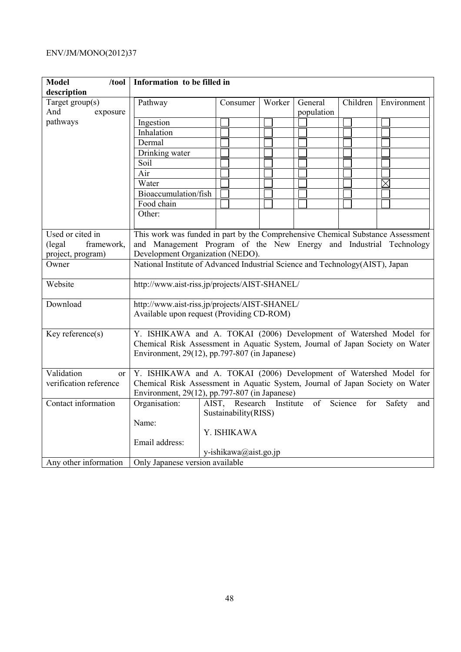| <b>Model</b><br>/tool  | Information to be filled in                                                     |                       |           |            |                |               |  |
|------------------------|---------------------------------------------------------------------------------|-----------------------|-----------|------------|----------------|---------------|--|
| description            |                                                                                 |                       |           |            |                |               |  |
| Target group(s)        | Pathway                                                                         | Consumer              | Worker    | General    | Children       | Environment   |  |
| And<br>exposure        |                                                                                 |                       |           | population |                |               |  |
| pathways               | Ingestion                                                                       |                       |           |            |                |               |  |
|                        | Inhalation                                                                      |                       |           |            |                |               |  |
|                        | Dermal                                                                          |                       |           |            |                |               |  |
|                        | Drinking water                                                                  |                       |           |            |                |               |  |
|                        | Soil                                                                            |                       |           |            |                |               |  |
|                        | Air                                                                             |                       |           |            |                |               |  |
|                        | Water                                                                           |                       |           |            |                | $\times$      |  |
|                        | Bioaccumulation/fish                                                            |                       |           |            |                |               |  |
|                        | Food chain                                                                      |                       |           |            |                |               |  |
|                        | Other:                                                                          |                       |           |            |                |               |  |
|                        |                                                                                 |                       |           |            |                |               |  |
| Used or cited in       | This work was funded in part by the Comprehensive Chemical Substance Assessment |                       |           |            |                |               |  |
| framework,<br>(legal   | and Management Program of the New Energy and Industrial Technology              |                       |           |            |                |               |  |
| project, program)      | Development Organization (NEDO).                                                |                       |           |            |                |               |  |
| Owner                  | National Institute of Advanced Industrial Science and Technology(AIST), Japan   |                       |           |            |                |               |  |
| Website                | http://www.aist-riss.jp/projects/AIST-SHANEL/                                   |                       |           |            |                |               |  |
| Download               | http://www.aist-riss.jp/projects/AIST-SHANEL/                                   |                       |           |            |                |               |  |
|                        |                                                                                 |                       |           |            |                |               |  |
|                        | Available upon request (Providing CD-ROM)                                       |                       |           |            |                |               |  |
| Key reference(s)       | Y. ISHIKAWA and A. TOKAI (2006) Development of Watershed Model for              |                       |           |            |                |               |  |
|                        | Chemical Risk Assessment in Aquatic System, Journal of Japan Society on Water   |                       |           |            |                |               |  |
|                        | Environment, 29(12), pp.797-807 (in Japanese)                                   |                       |           |            |                |               |  |
|                        |                                                                                 |                       |           |            |                |               |  |
| Validation<br>or       | Y. ISHIKAWA and A. TOKAI (2006) Development of Watershed Model for              |                       |           |            |                |               |  |
| verification reference | Chemical Risk Assessment in Aquatic System, Journal of Japan Society on Water   |                       |           |            |                |               |  |
|                        | Environment, 29(12), pp.797-807 (in Japanese)                                   |                       |           |            |                |               |  |
| Contact information    | Organisation:                                                                   | AIST, Research        | Institute | of         | Science<br>for | Safety<br>and |  |
|                        |                                                                                 | Sustainability(RISS)  |           |            |                |               |  |
|                        | Name:                                                                           |                       |           |            |                |               |  |
|                        |                                                                                 | Y. ISHIKAWA           |           |            |                |               |  |
|                        | Email address:                                                                  |                       |           |            |                |               |  |
|                        |                                                                                 | y-ishikawa@aist.go.jp |           |            |                |               |  |
| Any other information  | Only Japanese version available                                                 |                       |           |            |                |               |  |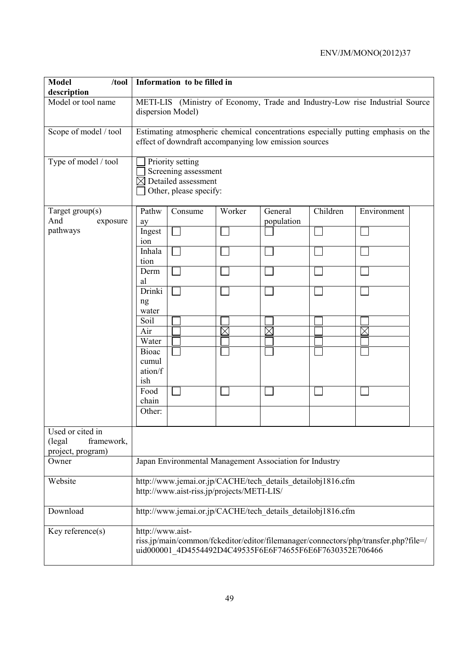| <b>Model</b><br>$/$ tool $ $<br>description                    | Information to be filled in                                                                                                                                         |                         |  |  |  |  |  |  |
|----------------------------------------------------------------|---------------------------------------------------------------------------------------------------------------------------------------------------------------------|-------------------------|--|--|--|--|--|--|
| Model or tool name                                             | METI-LIS (Ministry of Economy, Trade and Industry-Low rise Industrial Source<br>dispersion Model)                                                                   |                         |  |  |  |  |  |  |
| Scope of model / tool                                          | Estimating atmospheric chemical concentrations especially putting emphasis on the<br>effect of downdraft accompanying low emission sources                          |                         |  |  |  |  |  |  |
| Type of model / tool                                           | Priority setting<br>Screening assessment<br>$\boxtimes$ Detailed assessment<br>Other, please specify:                                                               |                         |  |  |  |  |  |  |
| Target group(s)<br>And<br>exposure                             | Pathw<br>Worker<br>Consume<br>General<br>population<br>ay                                                                                                           | Children<br>Environment |  |  |  |  |  |  |
| pathways                                                       | Ingest<br>ion                                                                                                                                                       |                         |  |  |  |  |  |  |
|                                                                | Inhala<br>tion                                                                                                                                                      |                         |  |  |  |  |  |  |
|                                                                | Derm<br>al                                                                                                                                                          |                         |  |  |  |  |  |  |
|                                                                | Drinki<br>ng<br>water                                                                                                                                               |                         |  |  |  |  |  |  |
|                                                                | Soil<br>Air<br>$\boxtimes$<br>$\times$                                                                                                                              | $\times$                |  |  |  |  |  |  |
|                                                                | Water                                                                                                                                                               |                         |  |  |  |  |  |  |
|                                                                | <b>Bioac</b><br>cumul<br>ation/f<br>ish                                                                                                                             |                         |  |  |  |  |  |  |
|                                                                | Food<br>chain                                                                                                                                                       |                         |  |  |  |  |  |  |
|                                                                | Other:                                                                                                                                                              |                         |  |  |  |  |  |  |
| Used or cited in<br>framework,<br>(legal)<br>project, program) |                                                                                                                                                                     |                         |  |  |  |  |  |  |
| Owner                                                          | Japan Environmental Management Association for Industry                                                                                                             |                         |  |  |  |  |  |  |
| Website                                                        | http://www.jemai.or.jp/CACHE/tech details detailobj1816.cfm<br>http://www.aist-riss.jp/projects/METI-LIS/                                                           |                         |  |  |  |  |  |  |
| Download                                                       | http://www.jemai.or.jp/CACHE/tech details detailobj1816.cfm                                                                                                         |                         |  |  |  |  |  |  |
| Key reference(s)                                               | http://www.aist-<br>riss.jp/main/common/fckeditor/editor/filemanager/connectors/php/transfer.php?file=/<br>uid000001 4D4554492D4C49535F6E6F74655F6E6F7630352E706466 |                         |  |  |  |  |  |  |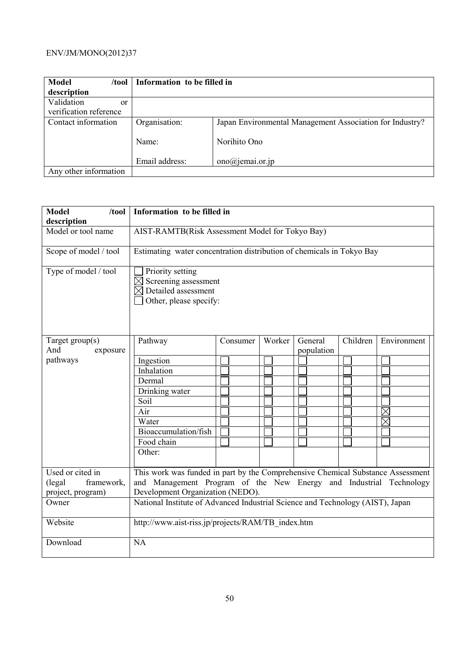| <b>Model</b><br>/tool  | Information to be filled in |                                                          |
|------------------------|-----------------------------|----------------------------------------------------------|
| description            |                             |                                                          |
| Validation<br>or       |                             |                                                          |
| verification reference |                             |                                                          |
| Contact information    | Organisation:               | Japan Environmental Management Association for Industry? |
|                        | Name:                       | Norihito Ono                                             |
|                        | Email address:              | $ono@jemai.$ or.jp                                       |
| Any other information  |                             |                                                          |

| <b>Model</b><br>$/$ tool             | Information to be filled in                                                               |          |        |                       |          |             |  |
|--------------------------------------|-------------------------------------------------------------------------------------------|----------|--------|-----------------------|----------|-------------|--|
| description<br>Model or tool name    | AIST-RAMTB(Risk Assessment Model for Tokyo Bay)                                           |          |        |                       |          |             |  |
|                                      |                                                                                           |          |        |                       |          |             |  |
| Scope of model / tool                | Estimating water concentration distribution of chemicals in Tokyo Bay                     |          |        |                       |          |             |  |
| Type of model / tool                 | Priority setting<br>Screening assessment<br>Detailed assessment<br>Other, please specify: |          |        |                       |          |             |  |
| Target $group(s)$<br>And<br>exposure | Pathway                                                                                   | Consumer | Worker | General<br>population | Children | Environment |  |
| pathways                             | Ingestion                                                                                 |          |        |                       |          |             |  |
|                                      | Inhalation                                                                                |          |        |                       |          |             |  |
|                                      | Dermal                                                                                    |          |        |                       |          |             |  |
|                                      | Drinking water                                                                            |          |        |                       |          |             |  |
|                                      | Soil                                                                                      |          |        |                       |          |             |  |
|                                      | Air                                                                                       |          |        |                       |          |             |  |
|                                      | Water                                                                                     |          |        |                       |          |             |  |
|                                      | Bioaccumulation/fish                                                                      |          |        |                       |          |             |  |
|                                      | Food chain                                                                                |          |        |                       |          |             |  |
|                                      | Other:                                                                                    |          |        |                       |          |             |  |
| Used or cited in                     | This work was funded in part by the Comprehensive Chemical Substance Assessment           |          |        |                       |          |             |  |
| (legal)<br>framework,                | and Management Program of the New Energy and Industrial Technology                        |          |        |                       |          |             |  |
| project, program)                    | Development Organization (NEDO).                                                          |          |        |                       |          |             |  |
| Owner                                | National Institute of Advanced Industrial Science and Technology (AIST), Japan            |          |        |                       |          |             |  |
| Website                              | http://www.aist-riss.jp/projects/RAM/TB index.htm                                         |          |        |                       |          |             |  |
| Download                             | <b>NA</b>                                                                                 |          |        |                       |          |             |  |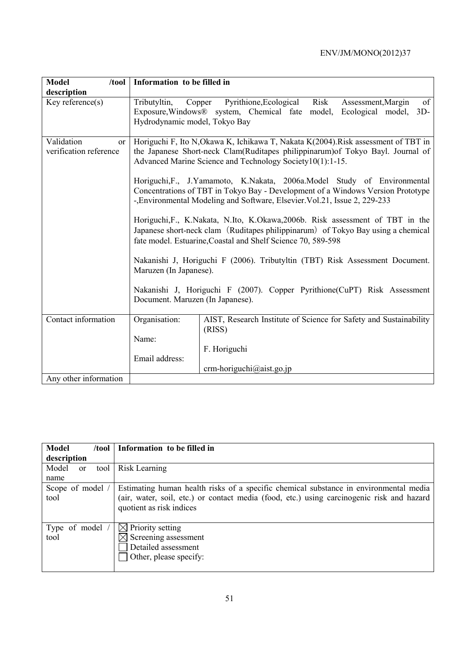| <b>Model</b><br>/100                                  | Information to be filled in                          |                                                                                                                                                                                                                                          |  |  |  |  |  |  |  |
|-------------------------------------------------------|------------------------------------------------------|------------------------------------------------------------------------------------------------------------------------------------------------------------------------------------------------------------------------------------------|--|--|--|--|--|--|--|
| description                                           |                                                      |                                                                                                                                                                                                                                          |  |  |  |  |  |  |  |
| $Key$ reference $(s)$                                 | Tributyltin, Copper<br>Hydrodynamic model, Tokyo Bay | Pyrithione, Ecological Risk<br>Assessment, Margin<br>of<br>Exposure, Windows® system, Chemical fate model, Ecological model,<br>$3D -$                                                                                                   |  |  |  |  |  |  |  |
| Validation<br><sub>or</sub><br>verification reference |                                                      | Horiguchi F, Ito N, Okawa K, Ichikawa T, Nakata K(2004). Risk assessment of TBT in<br>the Japanese Short-neck Clam(Ruditapes philippinarum) of Tokyo Bayl. Journal of<br>Advanced Marine Science and Technology Society10(1):1-15.       |  |  |  |  |  |  |  |
|                                                       |                                                      | Horiguchi, F., J.Yamamoto, K.Nakata, 2006a.Model Study of Environmental<br>Concentrations of TBT in Tokyo Bay - Development of a Windows Version Prototype<br>-, Environmental Modeling and Software, Elsevier. Vol.21, Issue 2, 229-233 |  |  |  |  |  |  |  |
|                                                       |                                                      | Horiguchi, F., K.Nakata, N.Ito, K.Okawa, 2006b. Risk assessment of TBT in the<br>Japanese short-neck clam (Ruditapes philippinarum) of Tokyo Bay using a chemical<br>fate model. Estuarine, Coastal and Shelf Science 70, 589-598        |  |  |  |  |  |  |  |
|                                                       | Maruzen (In Japanese).                               | Nakanishi J, Horiguchi F (2006). Tributyltin (TBT) Risk Assessment Document.                                                                                                                                                             |  |  |  |  |  |  |  |
|                                                       | Document. Maruzen (In Japanese).                     | Nakanishi J, Horiguchi F (2007). Copper Pyrithione (CuPT) Risk Assessment                                                                                                                                                                |  |  |  |  |  |  |  |
| Contact information                                   | Organisation:                                        | AIST, Research Institute of Science for Safety and Sustainability<br>(RISS)                                                                                                                                                              |  |  |  |  |  |  |  |
|                                                       | Name:                                                |                                                                                                                                                                                                                                          |  |  |  |  |  |  |  |
|                                                       |                                                      | F. Horiguchi                                                                                                                                                                                                                             |  |  |  |  |  |  |  |
|                                                       | Email address:                                       |                                                                                                                                                                                                                                          |  |  |  |  |  |  |  |
|                                                       |                                                      | $crm-horiguchi@aist.gov.jp$                                                                                                                                                                                                              |  |  |  |  |  |  |  |
| Any other information                                 |                                                      |                                                                                                                                                                                                                                          |  |  |  |  |  |  |  |

| <b>Model</b><br>$/$ tool | Information to be filled in                                                                                                                                                                                    |
|--------------------------|----------------------------------------------------------------------------------------------------------------------------------------------------------------------------------------------------------------|
| description              |                                                                                                                                                                                                                |
| Model<br>tool<br>or      | Risk Learning                                                                                                                                                                                                  |
| name                     |                                                                                                                                                                                                                |
| Scope of model /<br>tool | Estimating human health risks of a specific chemical substance in environmental media<br>(air, water, soil, etc.) or contact media (food, etc.) using carcinogenic risk and hazard<br>quotient as risk indices |
| Type of model<br>tool    | $\boxtimes$ Priority setting<br>Screening assessment<br>Detailed assessment<br>Other, please specify:                                                                                                          |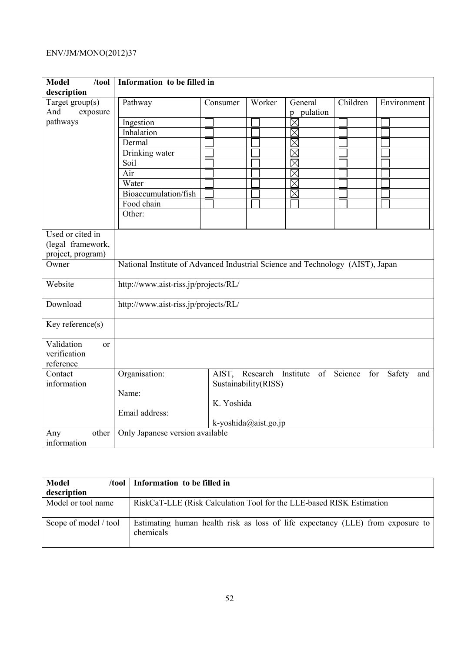| <b>Model</b><br>/tool     | Information to be filled in                                                    |                                      |                      |                            |          |               |  |  |
|---------------------------|--------------------------------------------------------------------------------|--------------------------------------|----------------------|----------------------------|----------|---------------|--|--|
| description               |                                                                                |                                      |                      |                            |          |               |  |  |
| Target $group(s)$         | Pathway                                                                        | Consumer                             | Worker               | General                    | Children | Environment   |  |  |
| And<br>exposure           |                                                                                |                                      |                      | pulation<br>$\mathfrak{p}$ |          |               |  |  |
| pathways                  | Ingestion                                                                      |                                      |                      | $\boxtimes$                |          |               |  |  |
|                           | Inhalation                                                                     |                                      |                      |                            |          |               |  |  |
|                           | Dermal                                                                         |                                      |                      | <u>koman</u>               |          |               |  |  |
|                           | Drinking water                                                                 |                                      |                      |                            |          |               |  |  |
|                           | Soil                                                                           |                                      |                      | $\overline{\boxtimes}$     |          |               |  |  |
|                           | Air                                                                            |                                      |                      | $\boxtimes$                |          |               |  |  |
|                           | Water                                                                          |                                      |                      | $\boxtimes$                |          |               |  |  |
|                           | Bioaccumulation/fish                                                           |                                      |                      | $\boxtimes$                |          |               |  |  |
|                           | Food chain                                                                     |                                      |                      |                            |          |               |  |  |
|                           | Other:                                                                         |                                      |                      |                            |          |               |  |  |
|                           |                                                                                |                                      |                      |                            |          |               |  |  |
| Used or cited in          |                                                                                |                                      |                      |                            |          |               |  |  |
| (legal framework,         |                                                                                |                                      |                      |                            |          |               |  |  |
| project, program)         |                                                                                |                                      |                      |                            |          |               |  |  |
| Owner                     | National Institute of Advanced Industrial Science and Technology (AIST), Japan |                                      |                      |                            |          |               |  |  |
| Website                   |                                                                                | http://www.aist-riss.jp/projects/RL/ |                      |                            |          |               |  |  |
| Download                  | http://www.aist-riss.jp/projects/RL/                                           |                                      |                      |                            |          |               |  |  |
| Key reference(s)          |                                                                                |                                      |                      |                            |          |               |  |  |
| Validation<br>$\alpha$    |                                                                                |                                      |                      |                            |          |               |  |  |
| verification<br>reference |                                                                                |                                      |                      |                            |          |               |  |  |
| Contact                   |                                                                                | AIST,                                | Research             |                            |          |               |  |  |
| information               | Organisation:                                                                  |                                      |                      | Institute of Science       | for      | Safety<br>and |  |  |
|                           | Name:                                                                          |                                      | Sustainability(RISS) |                            |          |               |  |  |
|                           |                                                                                | K. Yoshida                           |                      |                            |          |               |  |  |
|                           |                                                                                |                                      |                      |                            |          |               |  |  |
|                           | Email address:                                                                 |                                      |                      |                            |          |               |  |  |
|                           |                                                                                |                                      | k-yoshida@aist.go.jp |                            |          |               |  |  |
| other<br>Any              | Only Japanese version available                                                |                                      |                      |                            |          |               |  |  |
| information               |                                                                                |                                      |                      |                            |          |               |  |  |

| Model                 | /tool   Information to be filled in                                                         |
|-----------------------|---------------------------------------------------------------------------------------------|
| description           |                                                                                             |
| Model or tool name    | RiskCaT-LLE (Risk Calculation Tool for the LLE-based RISK Estimation                        |
| Scope of model / tool | Estimating human health risk as loss of life expectancy (LLE) from exposure to<br>chemicals |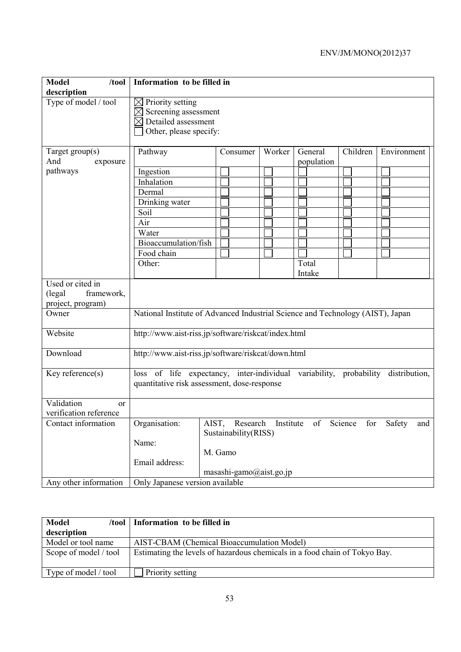| <b>Model</b><br>$/$ tool<br>description                       | Information to be filled in                                                                                                        |                         |  |        |  |  |  |  |  |
|---------------------------------------------------------------|------------------------------------------------------------------------------------------------------------------------------------|-------------------------|--|--------|--|--|--|--|--|
| Type of model / tool                                          | $\boxtimes$ Priority setting<br>$\boxtimes$ Screening assessment<br>$\boxtimes$ Detailed assessment<br>Other, please specify:      |                         |  |        |  |  |  |  |  |
| Target group(s)<br>And<br>exposure                            | Children<br>Pathway<br>Worker<br>General<br>Environment<br>Consumer<br>population                                                  |                         |  |        |  |  |  |  |  |
| pathways                                                      | Ingestion                                                                                                                          |                         |  |        |  |  |  |  |  |
|                                                               | Inhalation                                                                                                                         |                         |  |        |  |  |  |  |  |
|                                                               | Dermal                                                                                                                             |                         |  |        |  |  |  |  |  |
|                                                               | Drinking water                                                                                                                     |                         |  |        |  |  |  |  |  |
|                                                               | Soil                                                                                                                               |                         |  |        |  |  |  |  |  |
|                                                               | Air                                                                                                                                |                         |  |        |  |  |  |  |  |
|                                                               | Water                                                                                                                              |                         |  |        |  |  |  |  |  |
|                                                               | Bioaccumulation/fish                                                                                                               |                         |  |        |  |  |  |  |  |
|                                                               | Food chain                                                                                                                         |                         |  |        |  |  |  |  |  |
|                                                               | Other:                                                                                                                             |                         |  | Total  |  |  |  |  |  |
|                                                               |                                                                                                                                    |                         |  | Intake |  |  |  |  |  |
| Used or cited in<br>(legal<br>framework,<br>project, program) |                                                                                                                                    |                         |  |        |  |  |  |  |  |
| Owner                                                         | National Institute of Advanced Industrial Science and Technology (AIST), Japan                                                     |                         |  |        |  |  |  |  |  |
| Website                                                       | http://www.aist-riss.jp/software/riskcat/index.html                                                                                |                         |  |        |  |  |  |  |  |
| Download                                                      | http://www.aist-riss.jp/software/riskcat/down.html                                                                                 |                         |  |        |  |  |  |  |  |
| Key reference(s)                                              | loss of life expectancy, inter-individual variability, probability<br>distribution,<br>quantitative risk assessment, dose-response |                         |  |        |  |  |  |  |  |
| Validation<br><sub>or</sub>                                   |                                                                                                                                    |                         |  |        |  |  |  |  |  |
| verification reference                                        |                                                                                                                                    |                         |  |        |  |  |  |  |  |
| Contact information                                           | Organisation: AIST, Research Institute of Science for Safety and                                                                   | Sustainability(RISS)    |  |        |  |  |  |  |  |
|                                                               | Name:                                                                                                                              |                         |  |        |  |  |  |  |  |
|                                                               |                                                                                                                                    | M. Gamo                 |  |        |  |  |  |  |  |
|                                                               | Email address:                                                                                                                     |                         |  |        |  |  |  |  |  |
|                                                               |                                                                                                                                    | masashi-gamo@aist.go.jp |  |        |  |  |  |  |  |
| Any other information                                         | Only Japanese version available                                                                                                    |                         |  |        |  |  |  |  |  |

| <b>Model</b><br>/tool | Information to be filled in                                                |
|-----------------------|----------------------------------------------------------------------------|
| description           |                                                                            |
| Model or tool name    | AIST-CBAM (Chemical Bioaccumulation Model)                                 |
| Scope of model / tool | Estimating the levels of hazardous chemicals in a food chain of Tokyo Bay. |
| Type of model / tool  | Priority setting                                                           |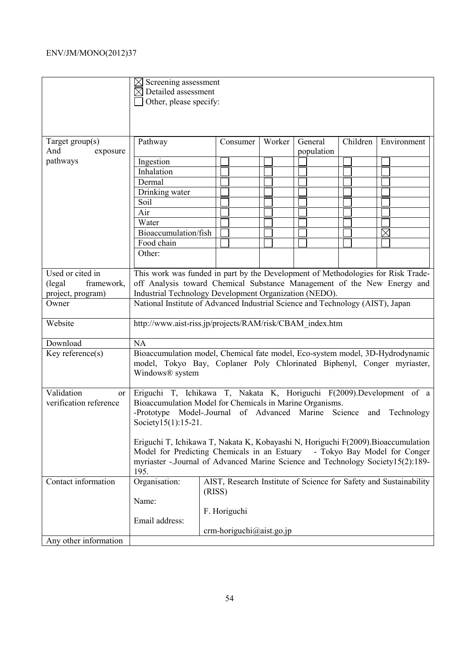|                                                   | $\boxtimes$ Screening assessment<br>$\boxtimes$ Detailed assessment<br>Other, please specify:                                                                                                                                                                |                                                                             |             |            |  |  |  |
|---------------------------------------------------|--------------------------------------------------------------------------------------------------------------------------------------------------------------------------------------------------------------------------------------------------------------|-----------------------------------------------------------------------------|-------------|------------|--|--|--|
|                                                   |                                                                                                                                                                                                                                                              |                                                                             |             |            |  |  |  |
| Target $group(s)$<br>And<br>exposure              | Pathway                                                                                                                                                                                                                                                      | Children                                                                    | Environment |            |  |  |  |
| pathways                                          | Ingestion                                                                                                                                                                                                                                                    |                                                                             |             | population |  |  |  |
|                                                   | Inhalation                                                                                                                                                                                                                                                   |                                                                             |             |            |  |  |  |
|                                                   | Dermal                                                                                                                                                                                                                                                       |                                                                             |             |            |  |  |  |
|                                                   | Drinking water                                                                                                                                                                                                                                               |                                                                             |             |            |  |  |  |
|                                                   | Soil                                                                                                                                                                                                                                                         |                                                                             |             |            |  |  |  |
|                                                   | Air                                                                                                                                                                                                                                                          |                                                                             |             |            |  |  |  |
|                                                   | Water                                                                                                                                                                                                                                                        |                                                                             |             |            |  |  |  |
|                                                   | Bioaccumulation/fish                                                                                                                                                                                                                                         |                                                                             |             |            |  |  |  |
|                                                   | Food chain                                                                                                                                                                                                                                                   |                                                                             |             |            |  |  |  |
|                                                   | Other:                                                                                                                                                                                                                                                       |                                                                             |             |            |  |  |  |
|                                                   |                                                                                                                                                                                                                                                              |                                                                             |             |            |  |  |  |
| Used or cited in                                  | This work was funded in part by the Development of Methodologies for Risk Trade-                                                                                                                                                                             |                                                                             |             |            |  |  |  |
| framework,<br>(legal)                             | off Analysis toward Chemical Substance Management of the New Energy and                                                                                                                                                                                      |                                                                             |             |            |  |  |  |
| project, program)                                 | Industrial Technology Development Organization (NEDO).                                                                                                                                                                                                       |                                                                             |             |            |  |  |  |
| Owner                                             | National Institute of Advanced Industrial Science and Technology (AIST), Japan                                                                                                                                                                               |                                                                             |             |            |  |  |  |
|                                                   |                                                                                                                                                                                                                                                              |                                                                             |             |            |  |  |  |
| Website                                           | http://www.aist-riss.jp/projects/RAM/risk/CBAM index.htm                                                                                                                                                                                                     |                                                                             |             |            |  |  |  |
| Download                                          | <b>NA</b>                                                                                                                                                                                                                                                    |                                                                             |             |            |  |  |  |
| Key reference(s)                                  | Bioaccumulation model, Chemical fate model, Eco-system model, 3D-Hydrodynamic<br>model, Tokyo Bay, Coplaner Poly Chlorinated Biphenyl, Conger myriaster,<br>Windows® system                                                                                  |                                                                             |             |            |  |  |  |
| Validation<br><b>or</b><br>verification reference | Eriguchi T, Ichikawa T, Nakata K, Horiguchi F(2009).Development of a<br>Bioaccumulation Model for Chemicals in Marine Organisms.<br>-Prototype Model-Journal of Advanced Marine Science and Technology<br>Society15(1):15-21.                                |                                                                             |             |            |  |  |  |
|                                                   | Eriguchi T, Ichikawa T, Nakata K, Kobayashi N, Horiguchi F(2009). Bioaccumulation<br>Model for Predicting Chemicals in an Estuary<br>- Tokyo Bay Model for Conger<br>myriaster - Journal of Advanced Marine Science and Technology Society15(2):189-<br>195. |                                                                             |             |            |  |  |  |
| Contact information                               | Organisation:                                                                                                                                                                                                                                                | AIST, Research Institute of Science for Safety and Sustainability<br>(RISS) |             |            |  |  |  |
|                                                   | Name:                                                                                                                                                                                                                                                        |                                                                             |             |            |  |  |  |
|                                                   |                                                                                                                                                                                                                                                              | F. Horiguchi                                                                |             |            |  |  |  |
|                                                   | Email address:                                                                                                                                                                                                                                               |                                                                             |             |            |  |  |  |
|                                                   |                                                                                                                                                                                                                                                              | $crm-horiguchi@aist.gov.jp$                                                 |             |            |  |  |  |
| Any other information                             |                                                                                                                                                                                                                                                              |                                                                             |             |            |  |  |  |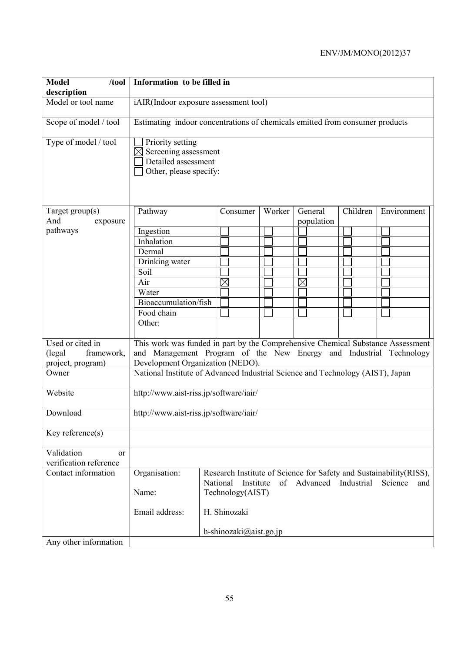| <b>Model</b><br>/100l<br>description                          | Information to be filled in                                                                                                                                                               |                                                                                |                        |  |  |        |          |                        |          |                                                                                       |
|---------------------------------------------------------------|-------------------------------------------------------------------------------------------------------------------------------------------------------------------------------------------|--------------------------------------------------------------------------------|------------------------|--|--|--------|----------|------------------------|----------|---------------------------------------------------------------------------------------|
| Model or tool name                                            |                                                                                                                                                                                           | iAIR(Indoor exposure assessment tool)                                          |                        |  |  |        |          |                        |          |                                                                                       |
| Scope of model / tool                                         | Estimating indoor concentrations of chemicals emitted from consumer products                                                                                                              |                                                                                |                        |  |  |        |          |                        |          |                                                                                       |
| Type of model / tool                                          | Priority setting<br>Screening assessment<br>Detailed assessment<br>Other, please specify:                                                                                                 |                                                                                |                        |  |  |        |          |                        |          |                                                                                       |
| Target group(s)<br>And<br>exposure                            | Pathway                                                                                                                                                                                   |                                                                                | Consumer               |  |  | Worker |          | General<br>population  | Children | Environment                                                                           |
| pathways                                                      | Ingestion                                                                                                                                                                                 |                                                                                |                        |  |  |        |          |                        |          |                                                                                       |
|                                                               | Inhalation                                                                                                                                                                                |                                                                                |                        |  |  |        |          |                        |          |                                                                                       |
|                                                               | Dermal                                                                                                                                                                                    |                                                                                |                        |  |  |        |          |                        |          |                                                                                       |
|                                                               | Drinking water                                                                                                                                                                            |                                                                                |                        |  |  |        |          |                        |          |                                                                                       |
|                                                               | Soil                                                                                                                                                                                      |                                                                                |                        |  |  |        |          |                        |          |                                                                                       |
|                                                               | Air                                                                                                                                                                                       |                                                                                | $\times$               |  |  |        | $\times$ |                        |          |                                                                                       |
|                                                               | Water                                                                                                                                                                                     |                                                                                |                        |  |  |        |          |                        |          |                                                                                       |
|                                                               | Bioaccumulation/fish                                                                                                                                                                      |                                                                                |                        |  |  |        |          |                        |          |                                                                                       |
|                                                               | Food chain                                                                                                                                                                                |                                                                                |                        |  |  |        |          |                        |          |                                                                                       |
|                                                               | Other:                                                                                                                                                                                    |                                                                                |                        |  |  |        |          |                        |          |                                                                                       |
| Used or cited in<br>(legal<br>framework,<br>project, program) | This work was funded in part by the Comprehensive Chemical Substance Assessment<br>and Management Program of the New Energy and Industrial Technology<br>Development Organization (NEDO). |                                                                                |                        |  |  |        |          |                        |          |                                                                                       |
| Owner                                                         |                                                                                                                                                                                           | National Institute of Advanced Industrial Science and Technology (AIST), Japan |                        |  |  |        |          |                        |          |                                                                                       |
| Website                                                       | http://www.aist-riss.jp/software/iair/                                                                                                                                                    |                                                                                |                        |  |  |        |          |                        |          |                                                                                       |
| Download                                                      | http://www.aist-riss.jp/software/iair/                                                                                                                                                    |                                                                                |                        |  |  |        |          |                        |          |                                                                                       |
| Key reference(s)                                              |                                                                                                                                                                                           |                                                                                |                        |  |  |        |          |                        |          |                                                                                       |
| Validation<br><sub>or</sub><br>verification reference         |                                                                                                                                                                                           |                                                                                |                        |  |  |        |          |                        |          |                                                                                       |
| Contact information                                           | Organisation:                                                                                                                                                                             |                                                                                | National<br>Institute  |  |  |        |          | of Advanced Industrial |          | Research Institute of Science for Safety and Sustainability (RISS),<br>Science<br>and |
|                                                               | Name:                                                                                                                                                                                     |                                                                                | Technology(AIST)       |  |  |        |          |                        |          |                                                                                       |
|                                                               | Email address:                                                                                                                                                                            |                                                                                | H. Shinozaki           |  |  |        |          |                        |          |                                                                                       |
|                                                               |                                                                                                                                                                                           |                                                                                | h-shinozaki@aist.go.jp |  |  |        |          |                        |          |                                                                                       |
| Any other information                                         |                                                                                                                                                                                           |                                                                                |                        |  |  |        |          |                        |          |                                                                                       |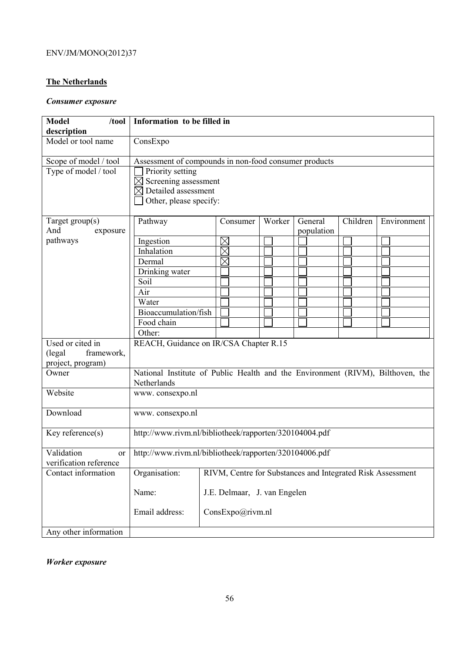### **The Netherlands**

### *Consumer exposure*

| <b>Model</b><br>/tool<br>description | Information to be filled in                                         |                                                                                |  |            |  |  |
|--------------------------------------|---------------------------------------------------------------------|--------------------------------------------------------------------------------|--|------------|--|--|
| Model or tool name                   | ConsExpo                                                            |                                                                                |  |            |  |  |
|                                      |                                                                     |                                                                                |  |            |  |  |
| Scope of model / tool                | Assessment of compounds in non-food consumer products               |                                                                                |  |            |  |  |
| Type of model / tool                 | Priority setting                                                    |                                                                                |  |            |  |  |
|                                      | Screening assessment                                                |                                                                                |  |            |  |  |
|                                      | Detailed assessment                                                 |                                                                                |  |            |  |  |
|                                      | Other, please specify:                                              |                                                                                |  |            |  |  |
| Target $group(s)$                    | Children<br>Pathway<br>Worker<br>General<br>Environment<br>Consumer |                                                                                |  |            |  |  |
| And<br>exposure                      |                                                                     |                                                                                |  | population |  |  |
| pathways                             | Ingestion                                                           | $\times$                                                                       |  |            |  |  |
|                                      | Inhalation                                                          | $\boxtimes$                                                                    |  |            |  |  |
|                                      | Dermal                                                              | $\times$                                                                       |  |            |  |  |
|                                      | Drinking water                                                      |                                                                                |  |            |  |  |
|                                      | Soil                                                                |                                                                                |  |            |  |  |
|                                      | Air                                                                 |                                                                                |  |            |  |  |
|                                      | Water                                                               |                                                                                |  |            |  |  |
|                                      | Bioaccumulation/fish                                                |                                                                                |  |            |  |  |
|                                      | Food chain                                                          |                                                                                |  |            |  |  |
|                                      | Other:                                                              |                                                                                |  |            |  |  |
| Used or cited in                     | REACH, Guidance on IR/CSA Chapter R.15                              |                                                                                |  |            |  |  |
| framework,<br>(legal)                |                                                                     |                                                                                |  |            |  |  |
| project, program)                    |                                                                     |                                                                                |  |            |  |  |
| Owner                                |                                                                     | National Institute of Public Health and the Environment (RIVM), Bilthoven, the |  |            |  |  |
|                                      | Netherlands                                                         |                                                                                |  |            |  |  |
| Website                              | www.consexpo.nl                                                     |                                                                                |  |            |  |  |
|                                      |                                                                     |                                                                                |  |            |  |  |
| Download                             | www.consexpo.nl                                                     |                                                                                |  |            |  |  |
|                                      |                                                                     |                                                                                |  |            |  |  |
| Key reference(s)                     | http://www.rivm.nl/bibliotheek/rapporten/320104004.pdf              |                                                                                |  |            |  |  |
| Validation<br><sub>or</sub>          | http://www.rivm.nl/bibliotheek/rapporten/320104006.pdf              |                                                                                |  |            |  |  |
| verification reference               |                                                                     |                                                                                |  |            |  |  |
| Contact information                  | Organisation:                                                       | RIVM, Centre for Substances and Integrated Risk Assessment                     |  |            |  |  |
|                                      | Name:                                                               | J.E. Delmaar, J. van Engelen                                                   |  |            |  |  |
|                                      |                                                                     |                                                                                |  |            |  |  |
|                                      | Email address:                                                      | ConsExpo@rivm.nl                                                               |  |            |  |  |
|                                      |                                                                     |                                                                                |  |            |  |  |
| Any other information                |                                                                     |                                                                                |  |            |  |  |

*Worker exposure*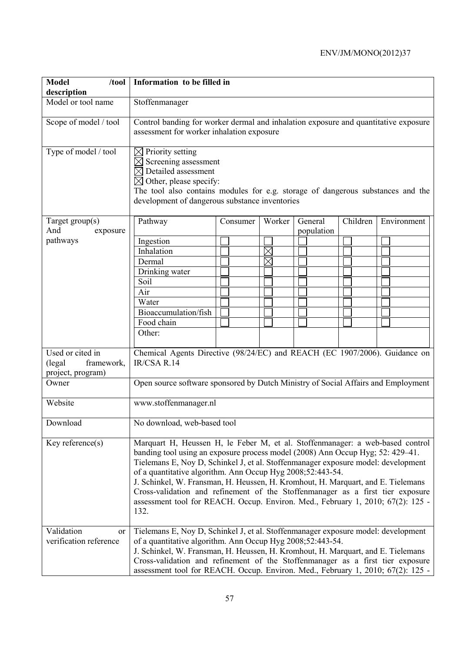| <b>Model</b><br>/tool                                         | Information to be filled in                                                                                                                                                                                                                                                                                                                                                                                                                                                                                                                                                         |          |             |                       |          |             |
|---------------------------------------------------------------|-------------------------------------------------------------------------------------------------------------------------------------------------------------------------------------------------------------------------------------------------------------------------------------------------------------------------------------------------------------------------------------------------------------------------------------------------------------------------------------------------------------------------------------------------------------------------------------|----------|-------------|-----------------------|----------|-------------|
| description                                                   |                                                                                                                                                                                                                                                                                                                                                                                                                                                                                                                                                                                     |          |             |                       |          |             |
| Model or tool name                                            | Stoffenmanager                                                                                                                                                                                                                                                                                                                                                                                                                                                                                                                                                                      |          |             |                       |          |             |
| Scope of model / tool                                         | Control banding for worker dermal and inhalation exposure and quantitative exposure<br>assessment for worker inhalation exposure                                                                                                                                                                                                                                                                                                                                                                                                                                                    |          |             |                       |          |             |
| Type of model / tool                                          | $\boxtimes$ Priority setting<br>$\times$ Screening assessment<br>$\boxtimes$ Detailed assessment<br>$\boxtimes$ Other, please specify:<br>The tool also contains modules for e.g. storage of dangerous substances and the<br>development of dangerous substance inventories                                                                                                                                                                                                                                                                                                         |          |             |                       |          |             |
| Target $group(s)$<br>And<br>exposure                          | Pathway                                                                                                                                                                                                                                                                                                                                                                                                                                                                                                                                                                             | Consumer | Worker      | General<br>population | Children | Environment |
| pathways                                                      | Ingestion                                                                                                                                                                                                                                                                                                                                                                                                                                                                                                                                                                           |          |             |                       |          |             |
|                                                               | Inhalation                                                                                                                                                                                                                                                                                                                                                                                                                                                                                                                                                                          |          | $\boxtimes$ |                       |          |             |
|                                                               | Dermal                                                                                                                                                                                                                                                                                                                                                                                                                                                                                                                                                                              |          |             |                       |          |             |
|                                                               | Drinking water                                                                                                                                                                                                                                                                                                                                                                                                                                                                                                                                                                      |          |             |                       |          |             |
|                                                               | Soil                                                                                                                                                                                                                                                                                                                                                                                                                                                                                                                                                                                |          |             |                       |          |             |
|                                                               | Air                                                                                                                                                                                                                                                                                                                                                                                                                                                                                                                                                                                 |          |             |                       |          |             |
|                                                               | Water                                                                                                                                                                                                                                                                                                                                                                                                                                                                                                                                                                               |          |             |                       |          |             |
|                                                               | Bioaccumulation/fish                                                                                                                                                                                                                                                                                                                                                                                                                                                                                                                                                                |          |             |                       |          |             |
|                                                               | Food chain                                                                                                                                                                                                                                                                                                                                                                                                                                                                                                                                                                          |          |             |                       |          |             |
|                                                               | Other:                                                                                                                                                                                                                                                                                                                                                                                                                                                                                                                                                                              |          |             |                       |          |             |
|                                                               |                                                                                                                                                                                                                                                                                                                                                                                                                                                                                                                                                                                     |          |             |                       |          |             |
| Used or cited in<br>(legal<br>framework,<br>project, program) | Chemical Agents Directive (98/24/EC) and REACH (EC 1907/2006). Guidance on<br>IR/CSA R.14                                                                                                                                                                                                                                                                                                                                                                                                                                                                                           |          |             |                       |          |             |
| Owner                                                         | Open source software sponsored by Dutch Ministry of Social Affairs and Employment                                                                                                                                                                                                                                                                                                                                                                                                                                                                                                   |          |             |                       |          |             |
| Website                                                       | www.stoffenmanager.nl                                                                                                                                                                                                                                                                                                                                                                                                                                                                                                                                                               |          |             |                       |          |             |
| Download                                                      | No download, web-based tool                                                                                                                                                                                                                                                                                                                                                                                                                                                                                                                                                         |          |             |                       |          |             |
| Key reference $(s)$                                           | Marquart H, Heussen H, le Feber M, et al. Stoffenmanager: a web-based control<br>banding tool using an exposure process model (2008) Ann Occup Hyg; 52: 429–41.<br>Tielemans E, Noy D, Schinkel J, et al. Stoffenmanager exposure model: development<br>of a quantitative algorithm. Ann Occup Hyg 2008;52:443-54.<br>J. Schinkel, W. Fransman, H. Heussen, H. Kromhout, H. Marquart, and E. Tielemans<br>Cross-validation and refinement of the Stoffenmanager as a first tier exposure<br>assessment tool for REACH. Occup. Environ. Med., February 1, 2010; 67(2): 125 -<br>132. |          |             |                       |          |             |
| Validation<br><sub>or</sub>                                   | Tielemans E, Noy D, Schinkel J, et al. Stoffenmanager exposure model: development                                                                                                                                                                                                                                                                                                                                                                                                                                                                                                   |          |             |                       |          |             |
| verification reference                                        | of a quantitative algorithm. Ann Occup Hyg 2008;52:443-54.                                                                                                                                                                                                                                                                                                                                                                                                                                                                                                                          |          |             |                       |          |             |
|                                                               | J. Schinkel, W. Fransman, H. Heussen, H. Kromhout, H. Marquart, and E. Tielemans                                                                                                                                                                                                                                                                                                                                                                                                                                                                                                    |          |             |                       |          |             |
|                                                               | Cross-validation and refinement of the Stoffenmanager as a first tier exposure                                                                                                                                                                                                                                                                                                                                                                                                                                                                                                      |          |             |                       |          |             |
|                                                               | assessment tool for REACH. Occup. Environ. Med., February 1, 2010; 67(2): 125 -                                                                                                                                                                                                                                                                                                                                                                                                                                                                                                     |          |             |                       |          |             |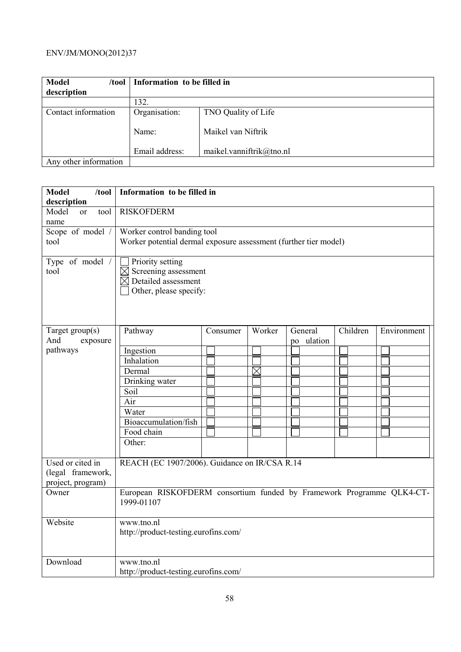| <b>Model</b><br>/tool |                | Information to be filled in |  |
|-----------------------|----------------|-----------------------------|--|
| description           |                |                             |  |
|                       | 132.           |                             |  |
| Contact information   | Organisation:  | TNO Quality of Life         |  |
|                       | Name:          | Maikel van Niftrik          |  |
|                       | Email address: | maikel.vanniftrik@tno.nl    |  |
| Any other information |                |                             |  |

| description<br><b>RISKOFDERM</b><br>Model<br>tool<br><sub>or</sub><br>name<br>Scope of model /<br>Worker control banding tool<br>tool<br>Worker potential dermal exposure assessment (further tier model)<br>Type of model $\sqrt{}$ |                  |  |  |  |  |
|--------------------------------------------------------------------------------------------------------------------------------------------------------------------------------------------------------------------------------------|------------------|--|--|--|--|
|                                                                                                                                                                                                                                      |                  |  |  |  |  |
|                                                                                                                                                                                                                                      |                  |  |  |  |  |
|                                                                                                                                                                                                                                      |                  |  |  |  |  |
|                                                                                                                                                                                                                                      |                  |  |  |  |  |
| $\boxtimes$ Screening assessment<br>tool<br>$\boxtimes$ Detailed assessment<br>Other, please specify:                                                                                                                                | Priority setting |  |  |  |  |
| Children<br>Target $group(s)$<br>Worker<br>General<br>Environment<br>Pathway<br>Consumer<br>And                                                                                                                                      |                  |  |  |  |  |
| exposure<br>po ulation                                                                                                                                                                                                               |                  |  |  |  |  |
| pathways<br>Ingestion                                                                                                                                                                                                                |                  |  |  |  |  |
| Inhalation                                                                                                                                                                                                                           |                  |  |  |  |  |
| Dermal<br>$\boxtimes$                                                                                                                                                                                                                |                  |  |  |  |  |
| Drinking water                                                                                                                                                                                                                       |                  |  |  |  |  |
| Soil                                                                                                                                                                                                                                 |                  |  |  |  |  |
| Air                                                                                                                                                                                                                                  |                  |  |  |  |  |
| Water                                                                                                                                                                                                                                |                  |  |  |  |  |
| Bioaccumulation/fish                                                                                                                                                                                                                 |                  |  |  |  |  |
| Food chain                                                                                                                                                                                                                           |                  |  |  |  |  |
| Other:                                                                                                                                                                                                                               |                  |  |  |  |  |
| REACH (EC 1907/2006). Guidance on IR/CSA R.14<br>Used or cited in<br>(legal framework,<br>project, program)                                                                                                                          |                  |  |  |  |  |
| European RISKOFDERM consortium funded by Framework Programme QLK4-CT-<br>Owner                                                                                                                                                       |                  |  |  |  |  |
| 1999-01107                                                                                                                                                                                                                           |                  |  |  |  |  |
| Website<br>www.tno.nl                                                                                                                                                                                                                |                  |  |  |  |  |
| http://product-testing.eurofins.com/                                                                                                                                                                                                 |                  |  |  |  |  |
| Download<br>www.tno.nl                                                                                                                                                                                                               |                  |  |  |  |  |
| http://product-testing.eurofins.com/                                                                                                                                                                                                 |                  |  |  |  |  |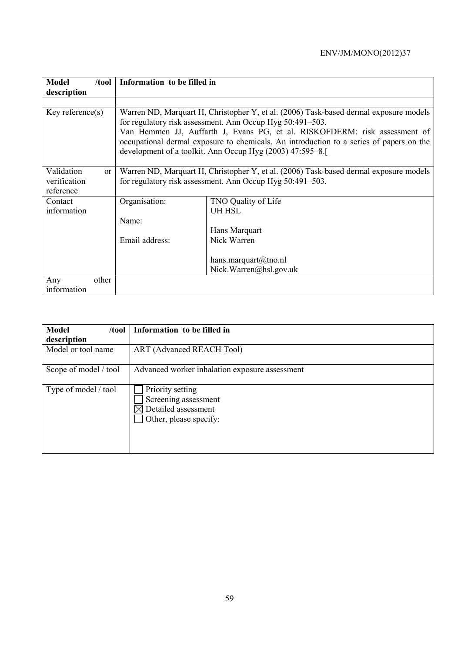| <b>Model</b><br>$/$ tool    | Information to be filled in |                                                                                                                                                                                                                                                                                                                                                                                         |  |  |  |  |
|-----------------------------|-----------------------------|-----------------------------------------------------------------------------------------------------------------------------------------------------------------------------------------------------------------------------------------------------------------------------------------------------------------------------------------------------------------------------------------|--|--|--|--|
| description                 |                             |                                                                                                                                                                                                                                                                                                                                                                                         |  |  |  |  |
|                             |                             |                                                                                                                                                                                                                                                                                                                                                                                         |  |  |  |  |
| Key reference(s)            |                             | Warren ND, Marquart H, Christopher Y, et al. (2006) Task-based dermal exposure models<br>for regulatory risk assessment. Ann Occup Hyg 50:491-503.<br>Van Hemmen JJ, Auffarth J, Evans PG, et al. RISKOFDERM: risk assessment of<br>occupational dermal exposure to chemicals. An introduction to a series of papers on the<br>development of a toolkit. Ann Occup Hyg (2003) 47:595–8. |  |  |  |  |
| Validation<br><sub>or</sub> |                             | Warren ND, Marquart H, Christopher Y, et al. (2006) Task-based dermal exposure models                                                                                                                                                                                                                                                                                                   |  |  |  |  |
| verification                |                             | for regulatory risk assessment. Ann Occup Hyg 50:491–503.                                                                                                                                                                                                                                                                                                                               |  |  |  |  |
| reference                   |                             |                                                                                                                                                                                                                                                                                                                                                                                         |  |  |  |  |
| Contact                     | Organisation:               | TNO Quality of Life                                                                                                                                                                                                                                                                                                                                                                     |  |  |  |  |
| information                 |                             | <b>UH HSL</b>                                                                                                                                                                                                                                                                                                                                                                           |  |  |  |  |
|                             | Name:                       |                                                                                                                                                                                                                                                                                                                                                                                         |  |  |  |  |
|                             |                             | Hans Marquart                                                                                                                                                                                                                                                                                                                                                                           |  |  |  |  |
|                             | Email address:              | Nick Warren                                                                                                                                                                                                                                                                                                                                                                             |  |  |  |  |
|                             |                             | hans.marquart@tno.nl                                                                                                                                                                                                                                                                                                                                                                    |  |  |  |  |
|                             |                             | Nick.Warren@hsl.gov.uk                                                                                                                                                                                                                                                                                                                                                                  |  |  |  |  |
| other<br>Any                |                             |                                                                                                                                                                                                                                                                                                                                                                                         |  |  |  |  |
| information                 |                             |                                                                                                                                                                                                                                                                                                                                                                                         |  |  |  |  |

| <b>Model</b><br>/tool | Information to be filled in                                                               |
|-----------------------|-------------------------------------------------------------------------------------------|
| description           |                                                                                           |
| Model or tool name    | ART (Advanced REACH Tool)                                                                 |
| Scope of model / tool | Advanced worker inhalation exposure assessment                                            |
| Type of model / tool  | Priority setting<br>Screening assessment<br>Detailed assessment<br>Other, please specify: |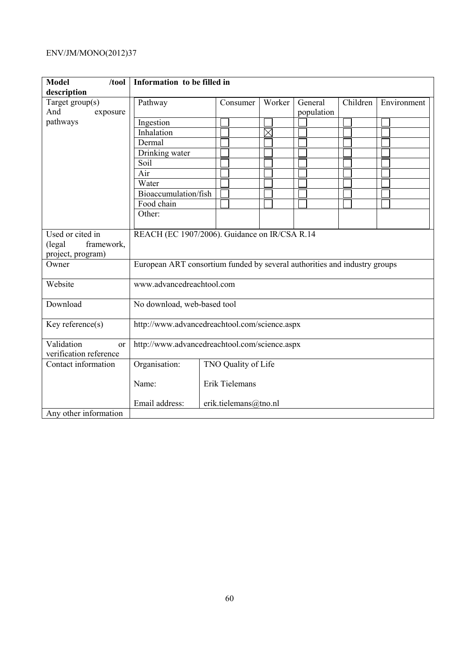| <b>Model</b><br>/tool  | Information to be filled in                                               |                           |             |            |          |             |
|------------------------|---------------------------------------------------------------------------|---------------------------|-------------|------------|----------|-------------|
| description            |                                                                           |                           |             |            |          |             |
| Target group(s)        | Pathway                                                                   | Consumer                  | Worker      | General    | Children | Environment |
| And<br>exposure        |                                                                           |                           |             | population |          |             |
| pathways               | Ingestion                                                                 |                           |             |            |          |             |
|                        | Inhalation                                                                |                           | $\boxtimes$ |            |          |             |
|                        | Dermal                                                                    |                           |             |            |          |             |
|                        | Drinking water                                                            |                           |             |            |          |             |
|                        | Soil                                                                      |                           |             |            |          |             |
|                        | Air                                                                       |                           |             |            |          |             |
|                        | Water                                                                     |                           |             |            |          |             |
|                        | Bioaccumulation/fish                                                      |                           |             |            |          |             |
|                        | Food chain                                                                |                           |             |            |          |             |
|                        | Other:                                                                    |                           |             |            |          |             |
|                        |                                                                           |                           |             |            |          |             |
| Used or cited in       | REACH (EC 1907/2006). Guidance on IR/CSA R.14                             |                           |             |            |          |             |
| framework,<br>(legal)  |                                                                           |                           |             |            |          |             |
| project, program)      |                                                                           |                           |             |            |          |             |
| Owner                  | European ART consortium funded by several authorities and industry groups |                           |             |            |          |             |
|                        |                                                                           |                           |             |            |          |             |
| Website                |                                                                           | www.advancedreachtool.com |             |            |          |             |
| Download               | No download, web-based tool                                               |                           |             |            |          |             |
|                        |                                                                           |                           |             |            |          |             |
| Key reference(s)       | http://www.advancedreachtool.com/science.aspx                             |                           |             |            |          |             |
|                        |                                                                           |                           |             |            |          |             |
| Validation<br>or       | http://www.advancedreachtool.com/science.aspx                             |                           |             |            |          |             |
| verification reference |                                                                           |                           |             |            |          |             |
| Contact information    | Organisation:                                                             | TNO Quality of Life       |             |            |          |             |
|                        | Name:                                                                     | Erik Tielemans            |             |            |          |             |
|                        |                                                                           |                           |             |            |          |             |
|                        | Email address:                                                            | erik.tielemans@tno.nl     |             |            |          |             |
| Any other information  |                                                                           |                           |             |            |          |             |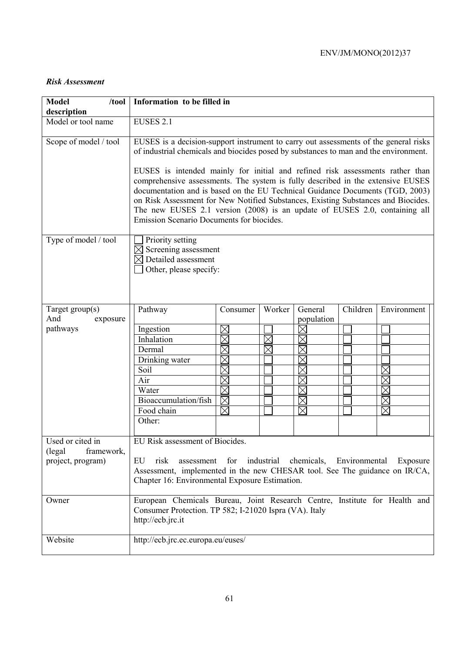#### *Risk Assessment*

| <b>Model</b><br>/100<br>description        | Information to be filled in                                                                                                                                                                                                                                                                                                                                                                                                                                                                                                                                                                                                                       |                                                                                                                               |             |                                                                         |          |                                              |
|--------------------------------------------|---------------------------------------------------------------------------------------------------------------------------------------------------------------------------------------------------------------------------------------------------------------------------------------------------------------------------------------------------------------------------------------------------------------------------------------------------------------------------------------------------------------------------------------------------------------------------------------------------------------------------------------------------|-------------------------------------------------------------------------------------------------------------------------------|-------------|-------------------------------------------------------------------------|----------|----------------------------------------------|
| Model or tool name                         | <b>EUSES 2.1</b>                                                                                                                                                                                                                                                                                                                                                                                                                                                                                                                                                                                                                                  |                                                                                                                               |             |                                                                         |          |                                              |
| Scope of model / tool                      | EUSES is a decision-support instrument to carry out assessments of the general risks<br>of industrial chemicals and biocides posed by substances to man and the environment.<br>EUSES is intended mainly for initial and refined risk assessments rather than<br>comprehensive assessments. The system is fully described in the extensive EUSES<br>documentation and is based on the EU Technical Guidance Documents (TGD, 2003)<br>on Risk Assessment for New Notified Substances, Existing Substances and Biocides.<br>The new EUSES 2.1 version (2008) is an update of EUSES 2.0, containing all<br>Emission Scenario Documents for biocides. |                                                                                                                               |             |                                                                         |          |                                              |
| Type of model / tool                       | Priority setting<br>Screening assessment<br>$\boxtimes$ Detailed assessment<br>Other, please specify:                                                                                                                                                                                                                                                                                                                                                                                                                                                                                                                                             |                                                                                                                               |             |                                                                         |          |                                              |
| Target group(s)<br>And<br>exposure         | Pathway                                                                                                                                                                                                                                                                                                                                                                                                                                                                                                                                                                                                                                           | Consumer                                                                                                                      | Worker      | General<br>population                                                   | Children | Environment                                  |
| pathways<br>Used or cited in               | Ingestion<br>Inhalation<br>Dermal<br>Drinking water<br>Soil<br>Air<br>Water<br>Bioaccumulation/fish<br>Food chain<br>Other:<br>EU Risk assessment of Biocides.                                                                                                                                                                                                                                                                                                                                                                                                                                                                                    | $\times$<br>$\boxtimes$<br>$\boxtimes$<br>$\boxtimes$<br>$\boxtimes$<br>$\boxtimes$<br>$\boxtimes$<br>$\boxtimes$<br>$\times$ | $\boxtimes$ | $\boxtimes$<br>$\times$<br>$\times$<br>$\times$<br>$\times$<br>$\times$ |          | $\times$<br>$\times$<br>$\times$<br>$\times$ |
| (legal)<br>framework,<br>project, program) | for industrial chemicals, Environmental<br>EU<br>risk<br>assessment<br>Exposure<br>Assessment, implemented in the new CHESAR tool. See The guidance on IR/CA,<br>Chapter 16: Environmental Exposure Estimation.                                                                                                                                                                                                                                                                                                                                                                                                                                   |                                                                                                                               |             |                                                                         |          |                                              |
| Owner                                      | European Chemicals Bureau, Joint Research Centre, Institute for Health and<br>Consumer Protection. TP 582; I-21020 Ispra (VA). Italy<br>http://ecb.jrc.it                                                                                                                                                                                                                                                                                                                                                                                                                                                                                         |                                                                                                                               |             |                                                                         |          |                                              |
| Website                                    | http://ecb.jrc.ec.europa.eu/euses/                                                                                                                                                                                                                                                                                                                                                                                                                                                                                                                                                                                                                |                                                                                                                               |             |                                                                         |          |                                              |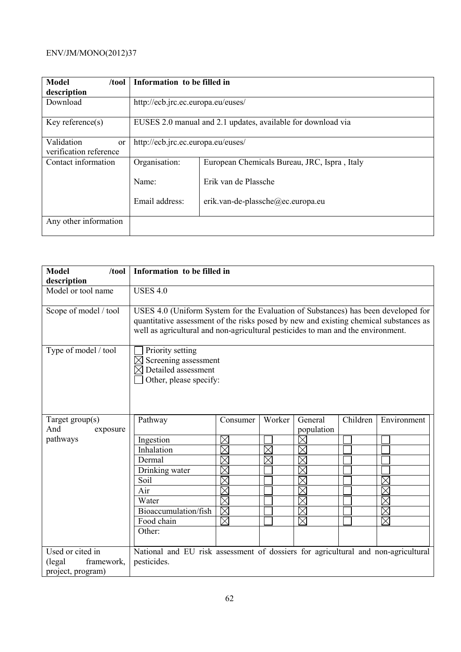| <b>Model</b><br>/tool  | Information to be filled in                                  |                                              |  |  |
|------------------------|--------------------------------------------------------------|----------------------------------------------|--|--|
| description            |                                                              |                                              |  |  |
| Download               |                                                              | http://ecb.jrc.ec.europa.eu/euses/           |  |  |
| Key reference $(s)$    | EUSES 2.0 manual and 2.1 updates, available for download via |                                              |  |  |
| Validation<br>or       | http://ecb.jrc.ec.europa.eu/euses/                           |                                              |  |  |
| verification reference |                                                              |                                              |  |  |
| Contact information    | Organisation:                                                | European Chemicals Bureau, JRC, Ispra, Italy |  |  |
|                        | Name:                                                        | Erik van de Plassche                         |  |  |
|                        | Email address:                                               | erik.van-de-plassche@ec.europa.eu            |  |  |
| Any other information  |                                                              |                                              |  |  |

| <b>Model</b><br>/tool | Information to be filled in                                                                                                                                                                                                                                    |             |             |                     |          |             |
|-----------------------|----------------------------------------------------------------------------------------------------------------------------------------------------------------------------------------------------------------------------------------------------------------|-------------|-------------|---------------------|----------|-------------|
| description           |                                                                                                                                                                                                                                                                |             |             |                     |          |             |
| Model or tool name    | <b>USES 4.0</b>                                                                                                                                                                                                                                                |             |             |                     |          |             |
| Scope of model / tool | USES 4.0 (Uniform System for the Evaluation of Substances) has been developed for<br>quantitative assessment of the risks posed by new and existing chemical substances as<br>well as agricultural and non-agricultural pesticides to man and the environment. |             |             |                     |          |             |
| Type of model / tool  | Priority setting<br>Screening assessment<br>Detailed assessment<br>Other, please specify:                                                                                                                                                                      |             |             |                     |          |             |
| Target $group(s)$     | Pathway                                                                                                                                                                                                                                                        | Consumer    | Worker      | General             | Children | Environment |
| And<br>exposure       |                                                                                                                                                                                                                                                                |             |             | population          |          |             |
| pathways              | Ingestion                                                                                                                                                                                                                                                      | $\Join$     |             | $\times$            |          |             |
|                       | Inhalation                                                                                                                                                                                                                                                     | $\times$    | $\boxtimes$ | $\boxtimes$         |          |             |
|                       | Dermal                                                                                                                                                                                                                                                         | $\boxtimes$ | $\boxtimes$ | $\times$            |          |             |
|                       | Drinking water                                                                                                                                                                                                                                                 | $\times$    |             | $\times$            |          |             |
|                       | Soil                                                                                                                                                                                                                                                           | $\boxtimes$ |             | $\times$            |          |             |
|                       | Air                                                                                                                                                                                                                                                            | $\boxtimes$ |             | X                   |          |             |
|                       | Water                                                                                                                                                                                                                                                          | $\times$    |             | $\times$            |          |             |
|                       | Bioaccumulation/fish                                                                                                                                                                                                                                           | $\boxtimes$ |             | $\times$            |          |             |
|                       | Food chain                                                                                                                                                                                                                                                     | $\boxtimes$ |             | $\overline{\times}$ |          | $\times$    |
|                       | Other:                                                                                                                                                                                                                                                         |             |             |                     |          |             |
|                       |                                                                                                                                                                                                                                                                |             |             |                     |          |             |
| Used or cited in      | National and EU risk assessment of dossiers for agricultural and non-agricultural                                                                                                                                                                              |             |             |                     |          |             |
| framework,<br>(legal  | pesticides.                                                                                                                                                                                                                                                    |             |             |                     |          |             |
| project, program)     |                                                                                                                                                                                                                                                                |             |             |                     |          |             |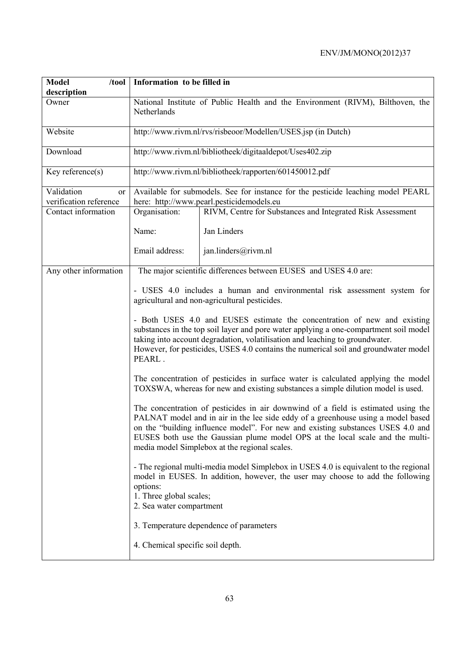| <b>Model</b><br>/tool                      | Information to be filled in                                                                                                                                                                                                                                                                                                                                                                |                                                                                                                                                                        |  |  |
|--------------------------------------------|--------------------------------------------------------------------------------------------------------------------------------------------------------------------------------------------------------------------------------------------------------------------------------------------------------------------------------------------------------------------------------------------|------------------------------------------------------------------------------------------------------------------------------------------------------------------------|--|--|
| description                                |                                                                                                                                                                                                                                                                                                                                                                                            |                                                                                                                                                                        |  |  |
| Owner                                      | National Institute of Public Health and the Environment (RIVM), Bilthoven, the<br>Netherlands                                                                                                                                                                                                                                                                                              |                                                                                                                                                                        |  |  |
| Website                                    |                                                                                                                                                                                                                                                                                                                                                                                            | http://www.rivm.nl/rvs/risbeoor/Modellen/USES.jsp (in Dutch)                                                                                                           |  |  |
| Download                                   |                                                                                                                                                                                                                                                                                                                                                                                            | http://www.rivm.nl/bibliotheek/digitaaldepot/Uses402.zip                                                                                                               |  |  |
| Key reference $(s)$                        |                                                                                                                                                                                                                                                                                                                                                                                            | http://www.rivm.nl/bibliotheek/rapporten/601450012.pdf                                                                                                                 |  |  |
| Validation<br>or<br>verification reference |                                                                                                                                                                                                                                                                                                                                                                                            | Available for submodels. See for instance for the pesticide leaching model PEARL<br>here: http://www.pearl.pesticidemodels.eu                                          |  |  |
| Contact information                        | Organisation:                                                                                                                                                                                                                                                                                                                                                                              | RIVM, Centre for Substances and Integrated Risk Assessment                                                                                                             |  |  |
|                                            | Name:                                                                                                                                                                                                                                                                                                                                                                                      | Jan Linders                                                                                                                                                            |  |  |
|                                            | Email address:                                                                                                                                                                                                                                                                                                                                                                             | jan.linders@rivm.nl                                                                                                                                                    |  |  |
| Any other information                      | The major scientific differences between EUSES and USES 4.0 are:                                                                                                                                                                                                                                                                                                                           |                                                                                                                                                                        |  |  |
|                                            | - USES 4.0 includes a human and environmental risk assessment system for<br>agricultural and non-agricultural pesticides.                                                                                                                                                                                                                                                                  |                                                                                                                                                                        |  |  |
|                                            | - Both USES 4.0 and EUSES estimate the concentration of new and existing<br>substances in the top soil layer and pore water applying a one-compartment soil model<br>taking into account degradation, volatilisation and leaching to groundwater.<br>However, for pesticides, USES 4.0 contains the numerical soil and groundwater model<br>PEARL.                                         |                                                                                                                                                                        |  |  |
|                                            |                                                                                                                                                                                                                                                                                                                                                                                            | The concentration of pesticides in surface water is calculated applying the model<br>TOXSWA, whereas for new and existing substances a simple dilution model is used.  |  |  |
|                                            | The concentration of pesticides in air downwind of a field is estimated using the<br>PALNAT model and in air in the lee side eddy of a greenhouse using a model based<br>on the "building influence model". For new and existing substances USES 4.0 and<br>EUSES both use the Gaussian plume model OPS at the local scale and the multi-<br>media model Simplebox at the regional scales. |                                                                                                                                                                        |  |  |
|                                            | options:<br>1. Three global scales;<br>2. Sea water compartment                                                                                                                                                                                                                                                                                                                            | - The regional multi-media model Simplebox in USES 4.0 is equivalent to the regional<br>model in EUSES. In addition, however, the user may choose to add the following |  |  |
|                                            |                                                                                                                                                                                                                                                                                                                                                                                            | 3. Temperature dependence of parameters                                                                                                                                |  |  |
|                                            | 4. Chemical specific soil depth.                                                                                                                                                                                                                                                                                                                                                           |                                                                                                                                                                        |  |  |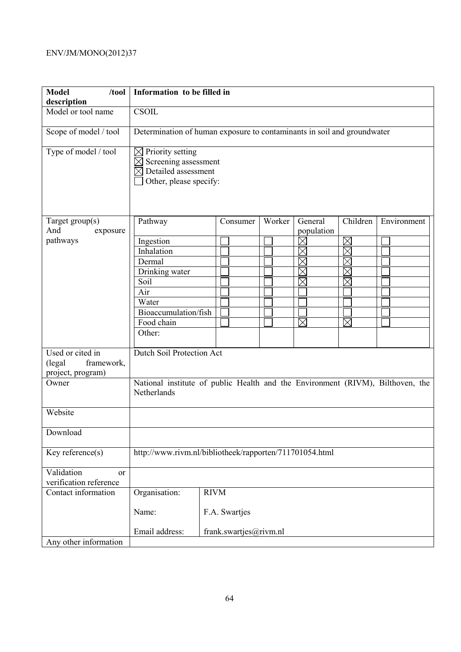| <b>Model</b><br>/tool<br>description                  | Information to be filled in                                                    |                                                                         |        |             |             |             |  |  |
|-------------------------------------------------------|--------------------------------------------------------------------------------|-------------------------------------------------------------------------|--------|-------------|-------------|-------------|--|--|
| Model or tool name                                    | CSOIL                                                                          |                                                                         |        |             |             |             |  |  |
| Scope of model / tool                                 |                                                                                | Determination of human exposure to contaminants in soil and groundwater |        |             |             |             |  |  |
| Type of model / tool                                  | $\boxtimes$ Priority setting<br>$\boxtimes$                                    | Screening assessment<br>Detailed assessment<br>Other, please specify:   |        |             |             |             |  |  |
| Target group(s)                                       | Pathway                                                                        | Consumer                                                                | Worker | General     | Children    | Environment |  |  |
| And<br>exposure                                       |                                                                                |                                                                         |        | population  |             |             |  |  |
| pathways                                              | Ingestion                                                                      |                                                                         |        | $\boxtimes$ | $\boxtimes$ |             |  |  |
|                                                       | Inhalation                                                                     |                                                                         |        | $\times$    | $\times$    |             |  |  |
|                                                       | Dermal                                                                         |                                                                         |        |             | $\boxtimes$ |             |  |  |
|                                                       | Drinking water                                                                 |                                                                         |        | $\times$    | $\boxtimes$ |             |  |  |
|                                                       | Soil                                                                           |                                                                         |        | $\times$    | $\times$    |             |  |  |
|                                                       | Air                                                                            |                                                                         |        |             |             |             |  |  |
|                                                       | Water                                                                          |                                                                         |        |             |             |             |  |  |
|                                                       | Bioaccumulation/fish                                                           |                                                                         |        |             |             |             |  |  |
|                                                       | Food chain                                                                     |                                                                         |        | $\times$    | $\boxtimes$ |             |  |  |
|                                                       | Other:                                                                         |                                                                         |        |             |             |             |  |  |
| Used or cited in                                      | Dutch Soil Protection Act                                                      |                                                                         |        |             |             |             |  |  |
| framework,<br>(legal                                  |                                                                                |                                                                         |        |             |             |             |  |  |
| project, program)                                     |                                                                                |                                                                         |        |             |             |             |  |  |
| Owner                                                 | National institute of public Health and the Environment (RIVM), Bilthoven, the |                                                                         |        |             |             |             |  |  |
|                                                       | Netherlands                                                                    |                                                                         |        |             |             |             |  |  |
| Website                                               |                                                                                |                                                                         |        |             |             |             |  |  |
| Download                                              |                                                                                |                                                                         |        |             |             |             |  |  |
| Key reference(s)                                      | http://www.rivm.nl/bibliotheek/rapporten/711701054.html                        |                                                                         |        |             |             |             |  |  |
| Validation<br><sub>or</sub><br>verification reference |                                                                                |                                                                         |        |             |             |             |  |  |
| Contact information                                   | Organisation:                                                                  | <b>RIVM</b>                                                             |        |             |             |             |  |  |
|                                                       | Name:                                                                          | F.A. Swartjes                                                           |        |             |             |             |  |  |
|                                                       | Email address:                                                                 | frank.swartjes@rivm.nl                                                  |        |             |             |             |  |  |
| Any other information                                 |                                                                                |                                                                         |        |             |             |             |  |  |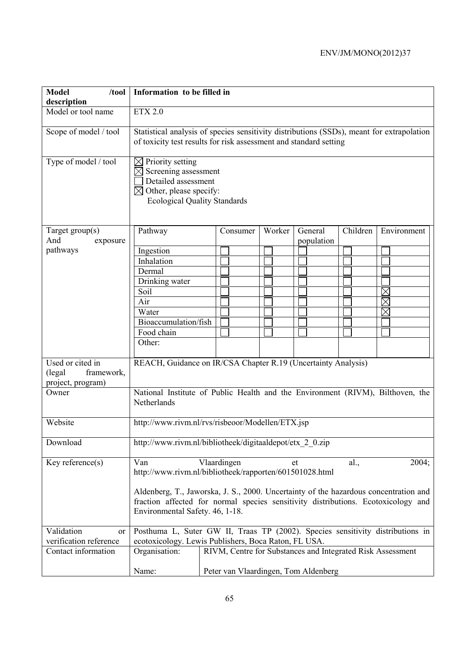| <b>Model</b><br>/tool<br>description                           | Information to be filled in                                                                                                                                                                                  |                                                                                                                                                                |  |          |  |        |                                      |          |                                                            |
|----------------------------------------------------------------|--------------------------------------------------------------------------------------------------------------------------------------------------------------------------------------------------------------|----------------------------------------------------------------------------------------------------------------------------------------------------------------|--|----------|--|--------|--------------------------------------|----------|------------------------------------------------------------|
| Model or tool name                                             | ETX 2.0                                                                                                                                                                                                      |                                                                                                                                                                |  |          |  |        |                                      |          |                                                            |
| Scope of model / tool                                          |                                                                                                                                                                                                              | Statistical analysis of species sensitivity distributions (SSDs), meant for extrapolation<br>of toxicity test results for risk assessment and standard setting |  |          |  |        |                                      |          |                                                            |
| Type of model / tool                                           | Priority setting<br>$\boxtimes$<br>$\boxtimes$<br>$\bowtie$                                                                                                                                                  | Screening assessment<br>Detailed assessment<br>Other, please specify:<br><b>Ecological Quality Standards</b>                                                   |  |          |  |        |                                      |          |                                                            |
| Target $group(s)$                                              | Pathway                                                                                                                                                                                                      |                                                                                                                                                                |  | Consumer |  | Worker | General                              | Children | Environment                                                |
| And<br>exposure                                                |                                                                                                                                                                                                              |                                                                                                                                                                |  |          |  |        | population                           |          |                                                            |
| pathways                                                       | Ingestion                                                                                                                                                                                                    |                                                                                                                                                                |  |          |  |        |                                      |          |                                                            |
|                                                                | Inhalation                                                                                                                                                                                                   |                                                                                                                                                                |  |          |  |        |                                      |          |                                                            |
|                                                                | Dermal                                                                                                                                                                                                       |                                                                                                                                                                |  |          |  |        |                                      |          |                                                            |
|                                                                | Drinking water                                                                                                                                                                                               |                                                                                                                                                                |  |          |  |        |                                      |          |                                                            |
|                                                                | Soil                                                                                                                                                                                                         |                                                                                                                                                                |  |          |  |        |                                      |          |                                                            |
|                                                                | Air                                                                                                                                                                                                          |                                                                                                                                                                |  |          |  |        |                                      |          |                                                            |
|                                                                | Water                                                                                                                                                                                                        |                                                                                                                                                                |  |          |  |        |                                      |          |                                                            |
|                                                                | Bioaccumulation/fish                                                                                                                                                                                         |                                                                                                                                                                |  |          |  |        |                                      |          |                                                            |
|                                                                | Food chain                                                                                                                                                                                                   |                                                                                                                                                                |  |          |  |        |                                      |          |                                                            |
|                                                                | Other:                                                                                                                                                                                                       |                                                                                                                                                                |  |          |  |        |                                      |          |                                                            |
| Used or cited in<br>framework,<br>(legal)<br>project, program) | REACH, Guidance on IR/CSA Chapter R.19 (Uncertainty Analysis)                                                                                                                                                |                                                                                                                                                                |  |          |  |        |                                      |          |                                                            |
| Owner                                                          | National Institute of Public Health and the Environment (RIVM), Bilthoven, the<br>Netherlands                                                                                                                |                                                                                                                                                                |  |          |  |        |                                      |          |                                                            |
| Website                                                        | http://www.rivm.nl/rvs/risbeoor/Modellen/ETX.jsp                                                                                                                                                             |                                                                                                                                                                |  |          |  |        |                                      |          |                                                            |
| Download                                                       | http://www.rivm.nl/bibliotheek/digitaaldepot/etx 2 0.zip                                                                                                                                                     |                                                                                                                                                                |  |          |  |        |                                      |          |                                                            |
| Key reference $(s)$                                            | Vlaardingen<br>Van<br>2004;<br>al.,<br>et<br>http://www.rivm.nl/bibliotheek/rapporten/601501028.html                                                                                                         |                                                                                                                                                                |  |          |  |        |                                      |          |                                                            |
|                                                                | Aldenberg, T., Jaworska, J. S., 2000. Uncertainty of the hazardous concentration and<br>fraction affected for normal species sensitivity distributions. Ecotoxicology and<br>Environmental Safety. 46, 1-18. |                                                                                                                                                                |  |          |  |        |                                      |          |                                                            |
| Validation<br>or                                               | Posthuma L, Suter GW II, Traas TP (2002). Species sensitivity distributions in                                                                                                                               |                                                                                                                                                                |  |          |  |        |                                      |          |                                                            |
| verification reference                                         | ecotoxicology. Lewis Publishers, Boca Raton, FL USA.                                                                                                                                                         |                                                                                                                                                                |  |          |  |        |                                      |          |                                                            |
| Contact information                                            | Organisation:                                                                                                                                                                                                |                                                                                                                                                                |  |          |  |        |                                      |          | RIVM, Centre for Substances and Integrated Risk Assessment |
|                                                                | Name:                                                                                                                                                                                                        |                                                                                                                                                                |  |          |  |        | Peter van Vlaardingen, Tom Aldenberg |          |                                                            |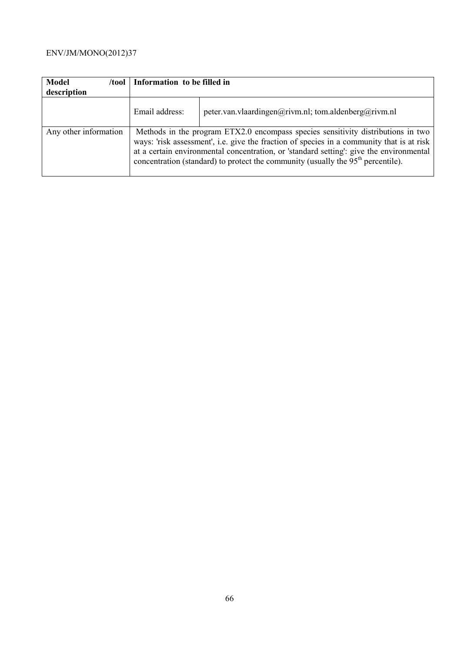| <b>Model</b><br>/tool<br>description | Information to be filled in |                                                                                                                                                                                                                                                                                                                                                                |
|--------------------------------------|-----------------------------|----------------------------------------------------------------------------------------------------------------------------------------------------------------------------------------------------------------------------------------------------------------------------------------------------------------------------------------------------------------|
|                                      | Email address:              | peter.van.vlaardingen@rivm.nl; tom.aldenberg@rivm.nl                                                                                                                                                                                                                                                                                                           |
| Any other information                |                             | Methods in the program ETX2.0 encompass species sensitivity distributions in two<br>ways: 'risk assessment', i.e. give the fraction of species in a community that is at risk<br>at a certain environmental concentration, or 'standard setting': give the environmental<br>concentration (standard) to protect the community (usually the $95th$ percentile). |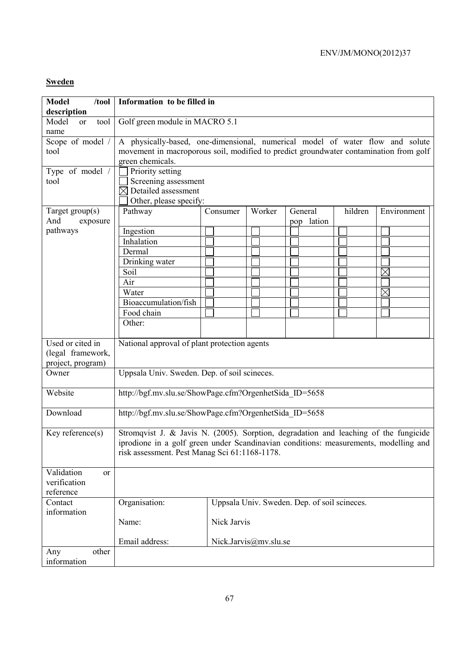### **Sweden**

| <b>Model</b><br>/tool<br>description                       | Information to be filled in                               |                                                                                                                                                                                                                               |                       |                                              |         |             |  |  |
|------------------------------------------------------------|-----------------------------------------------------------|-------------------------------------------------------------------------------------------------------------------------------------------------------------------------------------------------------------------------------|-----------------------|----------------------------------------------|---------|-------------|--|--|
| Model<br>tool<br><sub>or</sub><br>name                     |                                                           | Golf green module in MACRO 5.1                                                                                                                                                                                                |                       |                                              |         |             |  |  |
| Scope of model /<br>tool                                   | green chemicals.                                          | A physically-based, one-dimensional, numerical model of water flow and solute<br>movement in macroporous soil, modified to predict groundwater contamination from golf                                                        |                       |                                              |         |             |  |  |
| Type of model /<br>tool                                    | $\boxtimes$ Detailed assessment<br>Other, please specify: | Priority setting<br>Screening assessment                                                                                                                                                                                      |                       |                                              |         |             |  |  |
| Target group(s)<br>And<br>exposure                         | Pathway                                                   | Consumer                                                                                                                                                                                                                      | Worker                | General<br>lation<br>pop                     | hildren | Environment |  |  |
| pathways                                                   | Ingestion                                                 |                                                                                                                                                                                                                               |                       |                                              |         |             |  |  |
|                                                            | Inhalation                                                |                                                                                                                                                                                                                               |                       |                                              |         |             |  |  |
|                                                            | Dermal                                                    |                                                                                                                                                                                                                               |                       |                                              |         |             |  |  |
|                                                            | Drinking water                                            |                                                                                                                                                                                                                               |                       |                                              |         |             |  |  |
|                                                            | Soil                                                      |                                                                                                                                                                                                                               |                       |                                              |         | $\boxtimes$ |  |  |
|                                                            | Air                                                       |                                                                                                                                                                                                                               |                       |                                              |         |             |  |  |
|                                                            | Water                                                     |                                                                                                                                                                                                                               |                       |                                              |         | $\times$    |  |  |
|                                                            | Bioaccumulation/fish                                      |                                                                                                                                                                                                                               |                       |                                              |         |             |  |  |
|                                                            | Food chain                                                |                                                                                                                                                                                                                               |                       |                                              |         |             |  |  |
|                                                            | Other:                                                    |                                                                                                                                                                                                                               |                       |                                              |         |             |  |  |
| Used or cited in<br>(legal framework,<br>project, program) | National approval of plant protection agents              |                                                                                                                                                                                                                               |                       |                                              |         |             |  |  |
| Owner                                                      | Uppsala Univ. Sweden. Dep. of soil scineces.              |                                                                                                                                                                                                                               |                       |                                              |         |             |  |  |
| Website                                                    |                                                           | http://bgf.mv.slu.se/ShowPage.cfm?OrgenhetSida ID=5658                                                                                                                                                                        |                       |                                              |         |             |  |  |
| Download                                                   | http://bgf.mv.slu.se/ShowPage.cfm?OrgenhetSida ID=5658    |                                                                                                                                                                                                                               |                       |                                              |         |             |  |  |
| Key reference $(s)$                                        |                                                           | Stromqvist J. & Javis N. (2005). Sorption, degradation and leaching of the fungicide<br>iprodione in a golf green under Scandinavian conditions: measurements, modelling and<br>risk assessment. Pest Manag Sci 61:1168-1178. |                       |                                              |         |             |  |  |
| Validation<br>or<br>verification<br>reference              |                                                           |                                                                                                                                                                                                                               |                       |                                              |         |             |  |  |
| Contact<br>information                                     | Organisation:                                             |                                                                                                                                                                                                                               |                       | Uppsala Univ. Sweden. Dep. of soil scineces. |         |             |  |  |
|                                                            | Name:                                                     | Nick Jarvis                                                                                                                                                                                                                   |                       |                                              |         |             |  |  |
|                                                            | Email address:                                            |                                                                                                                                                                                                                               | Nick.Jarvis@mv.slu.se |                                              |         |             |  |  |
| other<br>Any<br>information                                |                                                           |                                                                                                                                                                                                                               |                       |                                              |         |             |  |  |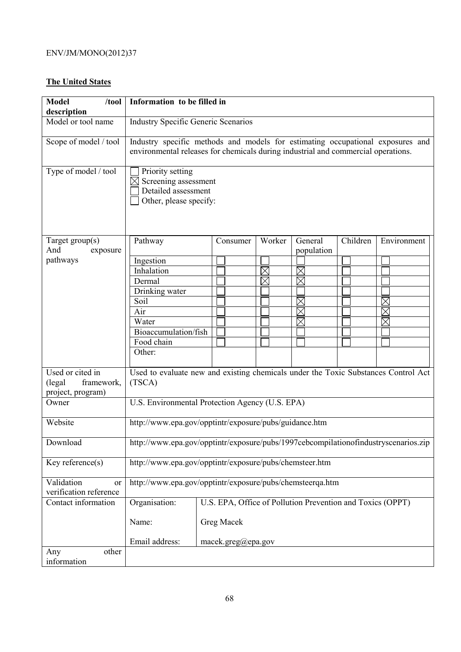### **The United States**

| <b>Model</b><br>/tool<br>description                           | Information to be filled in                                                                  |                                                                                                                                                                     |             |                       |          |             |  |
|----------------------------------------------------------------|----------------------------------------------------------------------------------------------|---------------------------------------------------------------------------------------------------------------------------------------------------------------------|-------------|-----------------------|----------|-------------|--|
| Model or tool name                                             |                                                                                              | <b>Industry Specific Generic Scenarios</b>                                                                                                                          |             |                       |          |             |  |
| Scope of model / tool                                          |                                                                                              | Industry specific methods and models for estimating occupational exposures and<br>environmental releases for chemicals during industrial and commercial operations. |             |                       |          |             |  |
| Type of model / tool                                           | Priority setting<br>Screening assessment<br>Detailed assessment<br>Other, please specify:    |                                                                                                                                                                     |             |                       |          |             |  |
| Target group(s)<br>And<br>exposure                             | Pathway                                                                                      | Consumer                                                                                                                                                            | Worker      | General<br>population | Children | Environment |  |
| pathways                                                       | Ingestion                                                                                    |                                                                                                                                                                     |             |                       |          |             |  |
|                                                                | Inhalation                                                                                   |                                                                                                                                                                     | $\boxtimes$ |                       |          |             |  |
|                                                                | Dermal                                                                                       |                                                                                                                                                                     | $\boxtimes$ | $\boxtimes$           |          |             |  |
|                                                                | Drinking water                                                                               |                                                                                                                                                                     |             |                       |          |             |  |
|                                                                | Soil                                                                                         |                                                                                                                                                                     |             |                       |          | $\boxtimes$ |  |
|                                                                | Air                                                                                          |                                                                                                                                                                     |             |                       |          |             |  |
|                                                                | Water                                                                                        |                                                                                                                                                                     |             |                       |          | $\times$    |  |
|                                                                | Bioaccumulation/fish                                                                         |                                                                                                                                                                     |             |                       |          |             |  |
|                                                                | Food chain                                                                                   |                                                                                                                                                                     |             |                       |          |             |  |
|                                                                | Other:                                                                                       |                                                                                                                                                                     |             |                       |          |             |  |
| Used or cited in<br>framework,<br>(legal)<br>project, program) | Used to evaluate new and existing chemicals under the Toxic Substances Control Act<br>(TSCA) |                                                                                                                                                                     |             |                       |          |             |  |
| Owner                                                          | U.S. Environmental Protection Agency (U.S. EPA)                                              |                                                                                                                                                                     |             |                       |          |             |  |
| Website                                                        | http://www.epa.gov/opptintr/exposure/pubs/guidance.htm                                       |                                                                                                                                                                     |             |                       |          |             |  |
| Download                                                       | http://www.epa.gov/opptintr/exposure/pubs/1997cebcompilationofindustryscenarios.zip          |                                                                                                                                                                     |             |                       |          |             |  |
| Key reference $(s)$                                            | http://www.epa.gov/opptintr/exposure/pubs/chemsteer.htm                                      |                                                                                                                                                                     |             |                       |          |             |  |
| Validation<br><sub>or</sub><br>verification reference          | http://www.epa.gov/opptintr/exposure/pubs/chemsteerqa.htm                                    |                                                                                                                                                                     |             |                       |          |             |  |
| Contact information                                            | Organisation:                                                                                | U.S. EPA, Office of Pollution Prevention and Toxics (OPPT)                                                                                                          |             |                       |          |             |  |
|                                                                | Name:                                                                                        | Greg Macek                                                                                                                                                          |             |                       |          |             |  |
|                                                                | Email address:                                                                               | macek.greg@epa.gov                                                                                                                                                  |             |                       |          |             |  |
| other<br>Any<br>information                                    |                                                                                              |                                                                                                                                                                     |             |                       |          |             |  |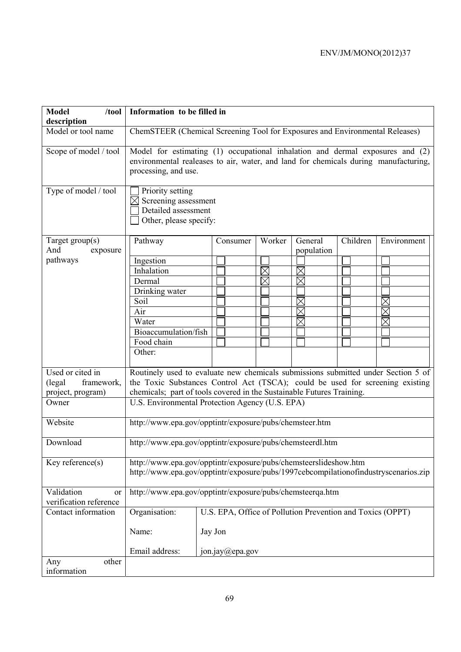| <b>Model</b><br>/tool<br>description       |                                                                                                                                                         | Information to be filled in                                                                                                                                          |  |                 |          |          |                                                            |          |             |
|--------------------------------------------|---------------------------------------------------------------------------------------------------------------------------------------------------------|----------------------------------------------------------------------------------------------------------------------------------------------------------------------|--|-----------------|----------|----------|------------------------------------------------------------|----------|-------------|
| Model or tool name                         |                                                                                                                                                         | ChemSTEER (Chemical Screening Tool for Exposures and Environmental Releases)                                                                                         |  |                 |          |          |                                                            |          |             |
| Scope of model / tool                      | processing, and use.                                                                                                                                    | Model for estimating (1) occupational inhalation and dermal exposures and (2)<br>environmental realeases to air, water, and land for chemicals during manufacturing, |  |                 |          |          |                                                            |          |             |
| Type of model / tool                       | Priority setting                                                                                                                                        | Screening assessment<br>Detailed assessment<br>Other, please specify:                                                                                                |  |                 |          |          |                                                            |          |             |
| Target $group(s)$<br>And<br>exposure       | Pathway                                                                                                                                                 |                                                                                                                                                                      |  | Consumer        |          | Worker   | General<br>population                                      | Children | Environment |
| pathways                                   | Ingestion                                                                                                                                               |                                                                                                                                                                      |  |                 |          |          |                                                            |          |             |
|                                            | Inhalation                                                                                                                                              |                                                                                                                                                                      |  |                 | $\times$ |          |                                                            |          |             |
|                                            | Dermal                                                                                                                                                  |                                                                                                                                                                      |  |                 |          | $\times$ | $\times$                                                   |          |             |
|                                            | Drinking water                                                                                                                                          |                                                                                                                                                                      |  |                 |          |          |                                                            |          |             |
|                                            | Soil                                                                                                                                                    |                                                                                                                                                                      |  |                 |          |          | $\boxtimes$                                                |          | $\boxtimes$ |
|                                            | Air                                                                                                                                                     |                                                                                                                                                                      |  |                 |          |          | $\times$                                                   |          | $\times$    |
|                                            | Water                                                                                                                                                   |                                                                                                                                                                      |  |                 |          |          | $\times$                                                   |          | $\times$    |
|                                            | Bioaccumulation/fish                                                                                                                                    |                                                                                                                                                                      |  |                 |          |          |                                                            |          |             |
|                                            | Food chain                                                                                                                                              |                                                                                                                                                                      |  |                 |          |          |                                                            |          |             |
|                                            | Other:                                                                                                                                                  |                                                                                                                                                                      |  |                 |          |          |                                                            |          |             |
| Used or cited in                           |                                                                                                                                                         | Routinely used to evaluate new chemicals submissions submitted under Section 5 of                                                                                    |  |                 |          |          |                                                            |          |             |
| (legal)<br>framework,                      | the Toxic Substances Control Act (TSCA); could be used for screening existing                                                                           |                                                                                                                                                                      |  |                 |          |          |                                                            |          |             |
| project, program)                          | chemicals; part of tools covered in the Sustainable Futures Training.                                                                                   |                                                                                                                                                                      |  |                 |          |          |                                                            |          |             |
| Owner                                      | U.S. Environmental Protection Agency (U.S. EPA)                                                                                                         |                                                                                                                                                                      |  |                 |          |          |                                                            |          |             |
| Website                                    | http://www.epa.gov/opptintr/exposure/pubs/chemsteer.htm                                                                                                 |                                                                                                                                                                      |  |                 |          |          |                                                            |          |             |
| Download                                   | http://www.epa.gov/opptintr/exposure/pubs/chemsteerdl.htm                                                                                               |                                                                                                                                                                      |  |                 |          |          |                                                            |          |             |
| Key reference(s)                           | http://www.epa.gov/opptintr/exposure/pubs/chemsteerslideshow.htm<br>http://www.epa.gov/opptintr/exposure/pubs/1997cebcompilationofindustryscenarios.zip |                                                                                                                                                                      |  |                 |          |          |                                                            |          |             |
| Validation<br>or<br>verification reference | http://www.epa.gov/opptintr/exposure/pubs/chemsteerqa.htm                                                                                               |                                                                                                                                                                      |  |                 |          |          |                                                            |          |             |
| Contact information                        | Organisation:                                                                                                                                           |                                                                                                                                                                      |  |                 |          |          | U.S. EPA, Office of Pollution Prevention and Toxics (OPPT) |          |             |
|                                            | Name:                                                                                                                                                   | Jay Jon                                                                                                                                                              |  |                 |          |          |                                                            |          |             |
|                                            | Email address:                                                                                                                                          |                                                                                                                                                                      |  | jon.jay@epa.gov |          |          |                                                            |          |             |
| other<br>Any                               |                                                                                                                                                         |                                                                                                                                                                      |  |                 |          |          |                                                            |          |             |
| information                                |                                                                                                                                                         |                                                                                                                                                                      |  |                 |          |          |                                                            |          |             |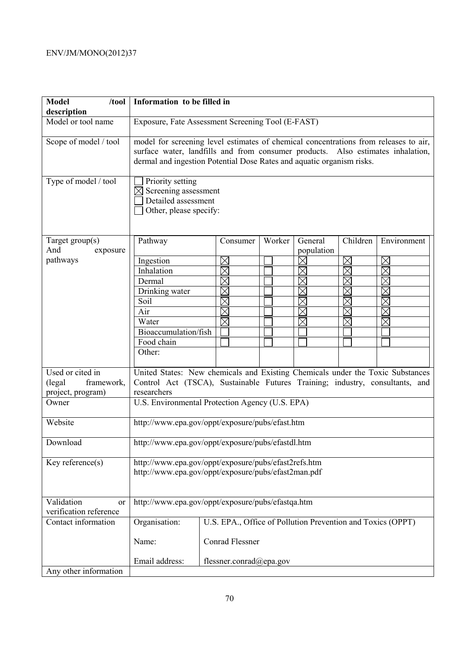| <b>Model</b><br>/tool<br>description | Information to be filled in                                                                                 |                                                                                                                                                                                                                                                  |        |                       |                        |             |  |
|--------------------------------------|-------------------------------------------------------------------------------------------------------------|--------------------------------------------------------------------------------------------------------------------------------------------------------------------------------------------------------------------------------------------------|--------|-----------------------|------------------------|-------------|--|
| Model or tool name                   |                                                                                                             | Exposure, Fate Assessment Screening Tool (E-FAST)                                                                                                                                                                                                |        |                       |                        |             |  |
| Scope of model / tool                |                                                                                                             | model for screening level estimates of chemical concentrations from releases to air,<br>surface water, landfills and from consumer products. Also estimates inhalation,<br>dermal and ingestion Potential Dose Rates and aquatic organism risks. |        |                       |                        |             |  |
| Type of model / tool                 | Priority setting<br>Screening assessment<br>Detailed assessment<br>Other, please specify:                   |                                                                                                                                                                                                                                                  |        |                       |                        |             |  |
| Target $group(s)$<br>And<br>exposure | Pathway                                                                                                     | Consumer                                                                                                                                                                                                                                         | Worker | General<br>population | Children               | Environment |  |
| pathways                             | Ingestion                                                                                                   | $\boxtimes$                                                                                                                                                                                                                                      |        | ⋉                     | $\boxtimes$            | $\Join$     |  |
|                                      | Inhalation                                                                                                  | $\times$                                                                                                                                                                                                                                         |        |                       | $\boxtimes$            | $\times$    |  |
|                                      | Dermal                                                                                                      | $\times$                                                                                                                                                                                                                                         |        |                       | $\overline{\boxtimes}$ | $\times$    |  |
|                                      | Drinking water                                                                                              | $\times$                                                                                                                                                                                                                                         |        | $\times$              | $\boxtimes$            | $\times$    |  |
|                                      | Soil                                                                                                        | $\times$                                                                                                                                                                                                                                         |        |                       | $\boxtimes$            | $\boxtimes$ |  |
|                                      | Air                                                                                                         | $\boxtimes$                                                                                                                                                                                                                                      |        |                       | $\boxtimes$            |             |  |
|                                      | Water                                                                                                       | $\boxtimes$                                                                                                                                                                                                                                      |        | $\times$              | $\boxtimes$            |             |  |
|                                      | Bioaccumulation/fish                                                                                        |                                                                                                                                                                                                                                                  |        |                       |                        |             |  |
|                                      | Food chain                                                                                                  |                                                                                                                                                                                                                                                  |        |                       |                        |             |  |
|                                      | Other:                                                                                                      |                                                                                                                                                                                                                                                  |        |                       |                        |             |  |
| Used or cited in                     | United States: New chemicals and Existing Chemicals under the Toxic Substances                              |                                                                                                                                                                                                                                                  |        |                       |                        |             |  |
| (legal)<br>framework,                | Control Act (TSCA), Sustainable Futures Training; industry, consultants, and                                |                                                                                                                                                                                                                                                  |        |                       |                        |             |  |
| project, program)                    | researchers                                                                                                 |                                                                                                                                                                                                                                                  |        |                       |                        |             |  |
| Owner                                | U.S. Environmental Protection Agency (U.S. EPA)                                                             |                                                                                                                                                                                                                                                  |        |                       |                        |             |  |
| Website                              | http://www.epa.gov/oppt/exposure/pubs/efast.htm                                                             |                                                                                                                                                                                                                                                  |        |                       |                        |             |  |
| Download                             | http://www.epa.gov/oppt/exposure/pubs/efastdl.htm                                                           |                                                                                                                                                                                                                                                  |        |                       |                        |             |  |
| Key reference(s)                     | http://www.epa.gov/oppt/exposure/pubs/efast2refs.htm<br>http://www.epa.gov/oppt/exposure/pubs/efast2man.pdf |                                                                                                                                                                                                                                                  |        |                       |                        |             |  |
| Validation<br><sub>or</sub>          | http://www.epa.gov/oppt/exposure/pubs/efastqa.htm                                                           |                                                                                                                                                                                                                                                  |        |                       |                        |             |  |
| verification reference               |                                                                                                             |                                                                                                                                                                                                                                                  |        |                       |                        |             |  |
| Contact information                  | Organisation:                                                                                               | U.S. EPA., Office of Pollution Prevention and Toxics (OPPT)                                                                                                                                                                                      |        |                       |                        |             |  |
|                                      | Name:                                                                                                       | <b>Conrad Flessner</b>                                                                                                                                                                                                                           |        |                       |                        |             |  |
|                                      | Email address:                                                                                              | flessner.conrad@epa.gov                                                                                                                                                                                                                          |        |                       |                        |             |  |
| Any other information                |                                                                                                             |                                                                                                                                                                                                                                                  |        |                       |                        |             |  |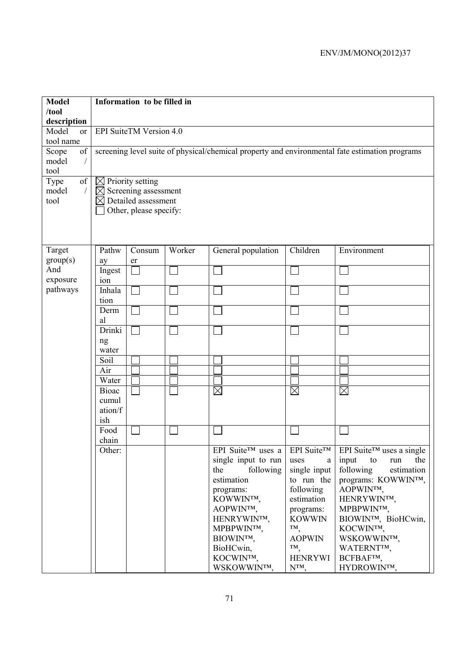| <b>Model</b><br>/tool                     | Information to be filled in                                                                                                   |        |                          |                         |                                       |  |  |  |
|-------------------------------------------|-------------------------------------------------------------------------------------------------------------------------------|--------|--------------------------|-------------------------|---------------------------------------|--|--|--|
| description                               |                                                                                                                               |        |                          |                         |                                       |  |  |  |
| Model<br><sub>or</sub><br>tool name       | EPI SuiteTM Version 4.0                                                                                                       |        |                          |                         |                                       |  |  |  |
| Scope<br>of<br>model                      | screening level suite of physical/chemical property and environmental fate estimation programs                                |        |                          |                         |                                       |  |  |  |
| tool                                      |                                                                                                                               |        |                          |                         |                                       |  |  |  |
| of<br>Type<br>model<br>$\sqrt{2}$<br>tool | $\boxtimes$ Priority setting<br>$\boxtimes$ Screening assessment<br>$\boxtimes$ Detailed assessment<br>Other, please specify: |        |                          |                         |                                       |  |  |  |
| Target<br>group(s)                        | Pathw<br>Consum                                                                                                               | Worker | General population       | Children                | Environment                           |  |  |  |
| And<br>exposure                           | ay<br>er<br>Ingest<br>ion                                                                                                     |        |                          |                         |                                       |  |  |  |
| pathways                                  | Inhala<br>tion                                                                                                                |        |                          |                         |                                       |  |  |  |
|                                           | Derm<br>al                                                                                                                    |        |                          |                         |                                       |  |  |  |
|                                           | Drinki<br>ng<br>water                                                                                                         |        |                          |                         |                                       |  |  |  |
|                                           | Soil                                                                                                                          |        |                          |                         |                                       |  |  |  |
|                                           | Air                                                                                                                           |        |                          |                         |                                       |  |  |  |
|                                           | Water                                                                                                                         |        | $\boxtimes$              | $\boxtimes$             | $\boxtimes$                           |  |  |  |
|                                           | <b>Bioac</b><br>cumul                                                                                                         |        |                          |                         |                                       |  |  |  |
|                                           | ation/f                                                                                                                       |        |                          |                         |                                       |  |  |  |
|                                           | ish                                                                                                                           |        |                          |                         |                                       |  |  |  |
|                                           | Food<br>chain                                                                                                                 |        |                          |                         |                                       |  |  |  |
|                                           | Other:                                                                                                                        |        | EPI Suite™ uses a        | EPI Suite™              | EPI Suite <sup>TM</sup> uses a single |  |  |  |
|                                           |                                                                                                                               |        | single input to run      | uses<br>a               | the<br>input<br>run<br>to             |  |  |  |
|                                           |                                                                                                                               |        | following<br>the         | single input            | following<br>estimation               |  |  |  |
|                                           |                                                                                                                               |        | estimation               | to run the              | programs: KOWWINTM,                   |  |  |  |
|                                           |                                                                                                                               |        | programs:<br>KOWWINTM,   | following<br>estimation | AOPWINTM,<br>HENRYWINTM,              |  |  |  |
|                                           |                                                                                                                               |        | AOPWINTM,                | programs:               | MPBPWINTM,                            |  |  |  |
|                                           |                                                                                                                               |        | HENRYWINTM,              | <b>KOWWIN</b>           | BIOWINTM, BioHCwin,                   |  |  |  |
|                                           |                                                                                                                               |        | MPBPWINTM,               | TM,                     | KOCWINTM,                             |  |  |  |
|                                           |                                                                                                                               |        | BIOWINTM,                | <b>AOPWIN</b>           | WSKOWWINTM,                           |  |  |  |
|                                           |                                                                                                                               |        | BioHCwin,                | TM <sub>.</sub>         | WATERNTTM,                            |  |  |  |
|                                           |                                                                                                                               |        | KOCWINTM,<br>WSKOWWINTM, | <b>HENRYWI</b><br>NTM,  | BCFBAFTM,<br>HYDROWINTM,              |  |  |  |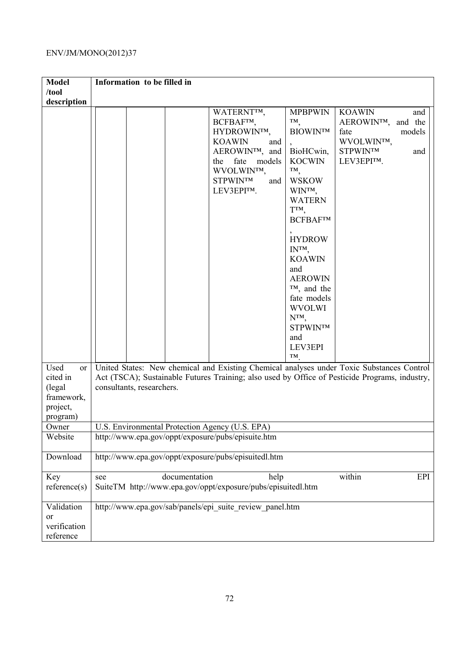| <b>Model</b>                                                            | Information to be filled in                                                                                                                                                                                                                                                                                                                                                                                                                                                                                                                                                                         |  |  |  |  |  |  |
|-------------------------------------------------------------------------|-----------------------------------------------------------------------------------------------------------------------------------------------------------------------------------------------------------------------------------------------------------------------------------------------------------------------------------------------------------------------------------------------------------------------------------------------------------------------------------------------------------------------------------------------------------------------------------------------------|--|--|--|--|--|--|
| /tool                                                                   |                                                                                                                                                                                                                                                                                                                                                                                                                                                                                                                                                                                                     |  |  |  |  |  |  |
| description                                                             | WATERNT <sup>IM</sup> ,<br><b>MPBPWIN</b><br><b>KOAWIN</b><br>and<br>TM,<br>BCFBAFTM,<br>AEROWINTM,<br>and the<br><b>BIOWINTM</b><br>HYDROWIN™,<br>fate<br>models<br><b>KOAWIN</b><br>WVOLWINTM,<br>and<br>AEROWIN™, and<br>BioHCwin,<br><b>STPWINTM</b><br>and<br>the fate<br><b>KOCWIN</b><br>LEV3EPI™.<br>models<br>TM,<br>WVOLWINTM,<br><b>STPWINTM</b><br><b>WSKOW</b><br>and<br>LEV3EPITM.<br>WINTM,<br><b>WATERN</b><br>TТМ,<br>BCFBAF™<br><b>HYDROW</b><br>$IN^{TM}$<br><b>KOAWIN</b><br>and<br><b>AEROWIN</b><br>$TM$ , and the<br>fate models<br><b>WVOLWI</b><br>NTM,<br><b>STPWINTM</b> |  |  |  |  |  |  |
|                                                                         | and<br>LEV3EPI<br>TM                                                                                                                                                                                                                                                                                                                                                                                                                                                                                                                                                                                |  |  |  |  |  |  |
| Used<br>or<br>cited in<br>(legal)<br>framework,<br>project,<br>program) | United States: New chemical and Existing Chemical analyses under Toxic Substances Control<br>Act (TSCA); Sustainable Futures Training; also used by Office of Pesticide Programs, industry,<br>consultants, researchers.                                                                                                                                                                                                                                                                                                                                                                            |  |  |  |  |  |  |
| Owner                                                                   | U.S. Environmental Protection Agency (U.S. EPA)                                                                                                                                                                                                                                                                                                                                                                                                                                                                                                                                                     |  |  |  |  |  |  |
| Website                                                                 | http://www.epa.gov/oppt/exposure/pubs/episuite.htm                                                                                                                                                                                                                                                                                                                                                                                                                                                                                                                                                  |  |  |  |  |  |  |
| Download                                                                | http://www.epa.gov/oppt/exposure/pubs/episuitedl.htm                                                                                                                                                                                                                                                                                                                                                                                                                                                                                                                                                |  |  |  |  |  |  |
| Key<br>reference(s)                                                     | documentation<br>help<br>within<br>EPI<br>see<br>SuiteTM http://www.epa.gov/oppt/exposure/pubs/episuitedl.htm                                                                                                                                                                                                                                                                                                                                                                                                                                                                                       |  |  |  |  |  |  |
| Validation<br>or<br>verification<br>reference                           | http://www.epa.gov/sab/panels/epi suite review panel.htm                                                                                                                                                                                                                                                                                                                                                                                                                                                                                                                                            |  |  |  |  |  |  |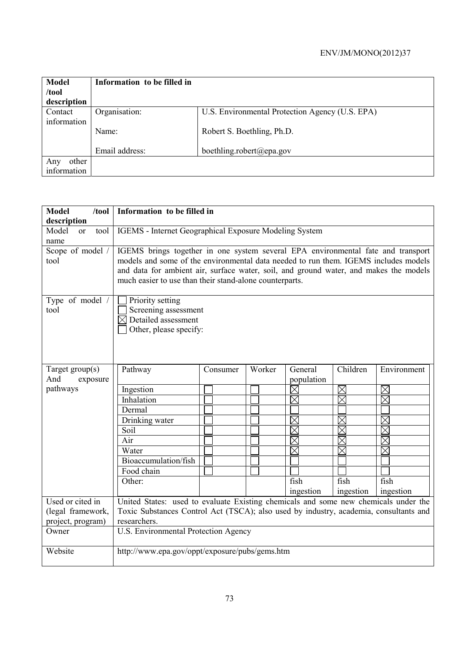| <b>Model</b><br>/tool  | Information to be filled in |                                                 |
|------------------------|-----------------------------|-------------------------------------------------|
| description            |                             |                                                 |
| Contact<br>information | Organisation:               | U.S. Environmental Protection Agency (U.S. EPA) |
|                        | Name:                       | Robert S. Boethling, Ph.D.                      |
|                        | Email address:              | boethling.robert@epa.gov                        |
| other<br>Any           |                             |                                                 |
| information            |                             |                                                 |

| <b>Model</b><br>/tool         | Information to be filled in                                                           |                                                                                  |        |                            |                            |                  |  |  |
|-------------------------------|---------------------------------------------------------------------------------------|----------------------------------------------------------------------------------|--------|----------------------------|----------------------------|------------------|--|--|
| description<br>Model          |                                                                                       | IGEMS - Internet Geographical Exposure Modeling System                           |        |                            |                            |                  |  |  |
| tool<br><sub>or</sub><br>name |                                                                                       |                                                                                  |        |                            |                            |                  |  |  |
| Scope of model /              |                                                                                       | IGEMS brings together in one system several EPA environmental fate and transport |        |                            |                            |                  |  |  |
| tool                          | models and some of the environmental data needed to run them. IGEMS includes models   |                                                                                  |        |                            |                            |                  |  |  |
|                               | and data for ambient air, surface water, soil, and ground water, and makes the models |                                                                                  |        |                            |                            |                  |  |  |
|                               | much easier to use than their stand-alone counterparts.                               |                                                                                  |        |                            |                            |                  |  |  |
| Type of model /               | Priority setting                                                                      |                                                                                  |        |                            |                            |                  |  |  |
| tool                          | Screening assessment                                                                  |                                                                                  |        |                            |                            |                  |  |  |
|                               | $\boxtimes$ Detailed assessment                                                       |                                                                                  |        |                            |                            |                  |  |  |
|                               | Other, please specify:                                                                |                                                                                  |        |                            |                            |                  |  |  |
|                               |                                                                                       |                                                                                  |        |                            |                            |                  |  |  |
|                               |                                                                                       |                                                                                  |        |                            |                            |                  |  |  |
|                               |                                                                                       |                                                                                  |        |                            |                            |                  |  |  |
| Target $group(s)$             | Pathway                                                                               | Consumer                                                                         | Worker | General                    | Children                   | Environment      |  |  |
| And<br>exposure               |                                                                                       |                                                                                  |        | population                 |                            |                  |  |  |
| pathways                      | Ingestion                                                                             |                                                                                  |        | $\times$                   | $\boxtimes$<br>$\boxtimes$ | $\boxtimes$<br>反 |  |  |
|                               | Inhalation<br>Dermal                                                                  |                                                                                  |        | $\boxtimes$                |                            |                  |  |  |
|                               |                                                                                       |                                                                                  |        |                            |                            |                  |  |  |
|                               | Drinking water<br>Soil                                                                |                                                                                  |        | $\boxtimes$<br>$\boxtimes$ | $\boxtimes$<br>$\times$    | $\times$         |  |  |
|                               | Air                                                                                   |                                                                                  |        | $\overline{\boxtimes}$     | $\boxtimes$                |                  |  |  |
|                               | Water                                                                                 |                                                                                  |        | $\boxtimes$                |                            |                  |  |  |
|                               | Bioaccumulation/fish                                                                  |                                                                                  |        |                            |                            |                  |  |  |
|                               | Food chain                                                                            |                                                                                  |        |                            |                            |                  |  |  |
|                               | Other:                                                                                |                                                                                  |        | fish                       | fish                       | fish             |  |  |
|                               |                                                                                       |                                                                                  |        | ingestion                  | ingestion                  | ingestion        |  |  |
| Used or cited in              | United States: used to evaluate Existing chemicals and some new chemicals under the   |                                                                                  |        |                            |                            |                  |  |  |
| (legal framework,             | Toxic Substances Control Act (TSCA); also used by industry, academia, consultants and |                                                                                  |        |                            |                            |                  |  |  |
| project, program)             | researchers.                                                                          |                                                                                  |        |                            |                            |                  |  |  |
| Owner                         | U.S. Environmental Protection Agency                                                  |                                                                                  |        |                            |                            |                  |  |  |
|                               |                                                                                       |                                                                                  |        |                            |                            |                  |  |  |
| Website                       | http://www.epa.gov/oppt/exposure/pubs/gems.htm                                        |                                                                                  |        |                            |                            |                  |  |  |
|                               |                                                                                       |                                                                                  |        |                            |                            |                  |  |  |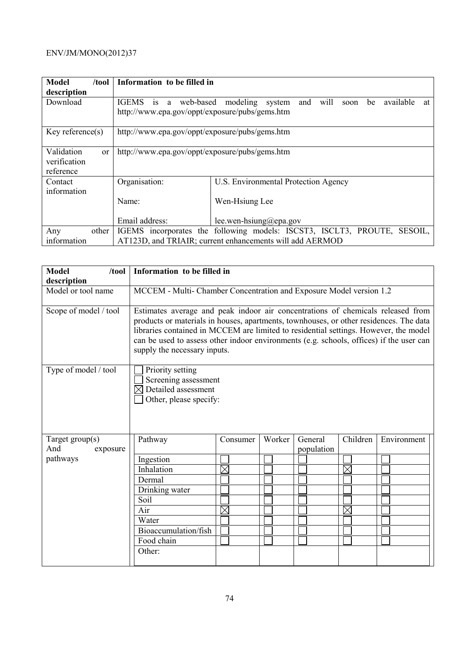| Model<br>/tool                                                     | Information to be filled in                                              |                                                                 |  |  |  |  |
|--------------------------------------------------------------------|--------------------------------------------------------------------------|-----------------------------------------------------------------|--|--|--|--|
| description                                                        |                                                                          |                                                                 |  |  |  |  |
| Download                                                           | is a web-based<br><b>IGEMS</b>                                           | will<br>available<br>modeling system<br>and<br>be<br>soon<br>at |  |  |  |  |
|                                                                    | http://www.epa.gov/oppt/exposure/pubs/gems.htm                           |                                                                 |  |  |  |  |
| Key reference(s)<br>http://www.epa.gov/oppt/exposure/pubs/gems.htm |                                                                          |                                                                 |  |  |  |  |
| Validation<br><sub>or</sub>                                        | http://www.epa.gov/oppt/exposure/pubs/gems.htm                           |                                                                 |  |  |  |  |
| verification                                                       |                                                                          |                                                                 |  |  |  |  |
| reference<br>Contact                                               | Organisation:                                                            | U.S. Environmental Protection Agency                            |  |  |  |  |
| information                                                        |                                                                          |                                                                 |  |  |  |  |
|                                                                    | Name:                                                                    | Wen-Hsiung Lee                                                  |  |  |  |  |
|                                                                    |                                                                          |                                                                 |  |  |  |  |
|                                                                    | Email address:                                                           | lee.wen-hsiung@epa.gov                                          |  |  |  |  |
| Any<br>other                                                       | IGEMS incorporates the following models: ISCST3, ISCLT3, PROUTE, SESOIL, |                                                                 |  |  |  |  |
| information                                                        | AT123D, and TRIAIR; current enhancements will add AERMOD                 |                                                                 |  |  |  |  |

| <b>Model</b><br>/tool<br>description | Information to be filled in                                                                                                                                                                                                                                                                                                                                                                  |             |        |            |             |             |
|--------------------------------------|----------------------------------------------------------------------------------------------------------------------------------------------------------------------------------------------------------------------------------------------------------------------------------------------------------------------------------------------------------------------------------------------|-------------|--------|------------|-------------|-------------|
| Model or tool name                   | MCCEM - Multi- Chamber Concentration and Exposure Model version 1.2                                                                                                                                                                                                                                                                                                                          |             |        |            |             |             |
| Scope of model / tool                | Estimates average and peak indoor air concentrations of chemicals released from<br>products or materials in houses, apartments, townhouses, or other residences. The data<br>libraries contained in MCCEM are limited to residential settings. However, the model<br>can be used to assess other indoor environments (e.g. schools, offices) if the user can<br>supply the necessary inputs. |             |        |            |             |             |
| Type of model / tool                 | Priority setting<br>Screening assessment<br>Detailed assessment<br>Other, please specify:                                                                                                                                                                                                                                                                                                    |             |        |            |             |             |
| Target group(s)                      | Pathway                                                                                                                                                                                                                                                                                                                                                                                      | Consumer    | Worker | General    | Children    | Environment |
| And<br>exposure                      |                                                                                                                                                                                                                                                                                                                                                                                              |             |        | population |             |             |
| pathways                             | Ingestion                                                                                                                                                                                                                                                                                                                                                                                    |             |        |            |             |             |
|                                      | Inhalation                                                                                                                                                                                                                                                                                                                                                                                   | $\boxtimes$ |        |            | $\boxtimes$ |             |
|                                      | Dermal                                                                                                                                                                                                                                                                                                                                                                                       |             |        |            |             |             |
|                                      | Drinking water                                                                                                                                                                                                                                                                                                                                                                               |             |        |            |             |             |
|                                      | Soil                                                                                                                                                                                                                                                                                                                                                                                         |             |        |            |             |             |
|                                      | Air                                                                                                                                                                                                                                                                                                                                                                                          | $\boxtimes$ |        |            | $\boxtimes$ |             |
|                                      | Water                                                                                                                                                                                                                                                                                                                                                                                        |             |        |            |             |             |
|                                      | Bioaccumulation/fish                                                                                                                                                                                                                                                                                                                                                                         |             |        |            |             |             |
|                                      | Food chain                                                                                                                                                                                                                                                                                                                                                                                   |             |        |            |             |             |
|                                      | Other:                                                                                                                                                                                                                                                                                                                                                                                       |             |        |            |             |             |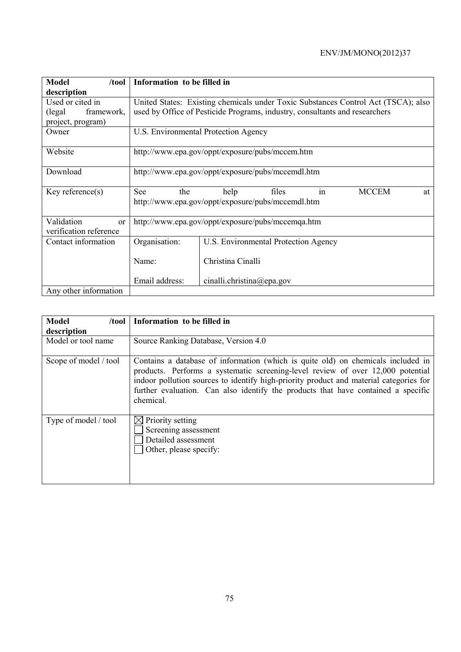| <b>Model</b><br>/tool                      | Information to be filled in                       |                                                                                                |  |  |  |
|--------------------------------------------|---------------------------------------------------|------------------------------------------------------------------------------------------------|--|--|--|
| description                                |                                                   |                                                                                                |  |  |  |
| Used or cited in                           |                                                   | United States: Existing chemicals under Toxic Substances Control Act (TSCA); also              |  |  |  |
| (legal)<br>framework,                      |                                                   | used by Office of Pesticide Programs, industry, consultants and researchers                    |  |  |  |
| project, program)                          |                                                   |                                                                                                |  |  |  |
| Owner                                      | U.S. Environmental Protection Agency              |                                                                                                |  |  |  |
| Website                                    | http://www.epa.gov/oppt/exposure/pubs/mccem.htm   |                                                                                                |  |  |  |
| Download                                   | http://www.epa.gov/oppt/exposure/pubs/mccemdl.htm |                                                                                                |  |  |  |
| Key reference $(s)$                        | See<br>the                                        | <b>MCCEM</b><br>files<br>help<br>in<br>at<br>http://www.epa.gov/oppt/exposure/pubs/mccemdl.htm |  |  |  |
| Validation<br>or<br>verification reference | http://www.epa.gov/oppt/exposure/pubs/mccemqa.htm |                                                                                                |  |  |  |
| Contact information                        | Organisation:                                     | U.S. Environmental Protection Agency                                                           |  |  |  |
|                                            | Name:                                             | Christina Cinalli                                                                              |  |  |  |
|                                            | Email address:                                    | cinalli.christina@epa.gov                                                                      |  |  |  |
| Any other information                      |                                                   |                                                                                                |  |  |  |

| <b>Model</b><br>/tool | Information to be filled in                                                                                                                                                                                                                                                                                                                                     |
|-----------------------|-----------------------------------------------------------------------------------------------------------------------------------------------------------------------------------------------------------------------------------------------------------------------------------------------------------------------------------------------------------------|
| description           |                                                                                                                                                                                                                                                                                                                                                                 |
| Model or tool name    | Source Ranking Database, Version 4.0                                                                                                                                                                                                                                                                                                                            |
| Scope of model / tool | Contains a database of information (which is quite old) on chemicals included in<br>products. Performs a systematic screening-level review of over 12,000 potential<br>indoor pollution sources to identify high-priority product and material categories for<br>further evaluation. Can also identify the products that have contained a specific<br>chemical. |
| Type of model / tool  | Priority setting<br>Screening assessment<br>Detailed assessment<br>Other, please specify:                                                                                                                                                                                                                                                                       |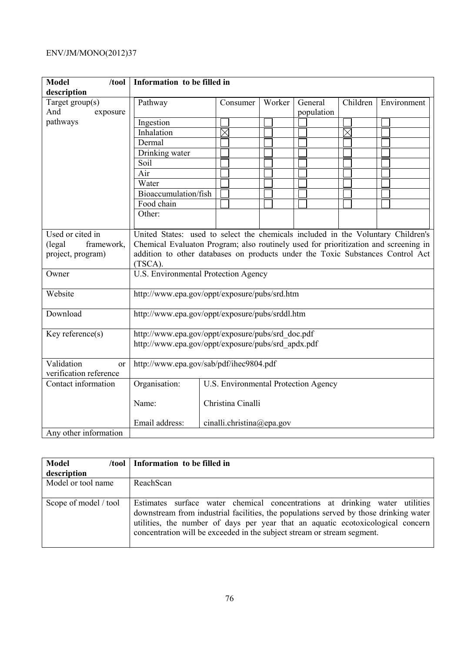| <b>Model</b><br>/tool              | Information to be filled in                                                         |                                      |        |                       |                        |             |
|------------------------------------|-------------------------------------------------------------------------------------|--------------------------------------|--------|-----------------------|------------------------|-------------|
| description                        |                                                                                     |                                      |        |                       |                        |             |
| Target group(s)<br>And<br>exposure | Pathway                                                                             | Consumer                             | Worker | General<br>population | Children               | Environment |
| pathways                           | Ingestion                                                                           |                                      |        |                       |                        |             |
|                                    | Inhalation                                                                          | $\times$                             |        |                       | $\overline{\boxtimes}$ |             |
|                                    | Dermal                                                                              |                                      |        |                       |                        |             |
|                                    | Drinking water                                                                      |                                      |        |                       |                        |             |
|                                    | Soil                                                                                |                                      |        |                       |                        |             |
|                                    | Air                                                                                 |                                      |        |                       |                        |             |
|                                    | Water                                                                               |                                      |        |                       |                        |             |
|                                    | Bioaccumulation/fish                                                                |                                      |        |                       |                        |             |
|                                    | Food chain                                                                          |                                      |        |                       |                        |             |
|                                    | Other:                                                                              |                                      |        |                       |                        |             |
|                                    |                                                                                     |                                      |        |                       |                        |             |
| Used or cited in                   | United States: used to select the chemicals included in the Voluntary Children's    |                                      |        |                       |                        |             |
| (legal<br>framework,               | Chemical Evaluaton Program; also routinely used for prioritization and screening in |                                      |        |                       |                        |             |
| project, program)                  | addition to other databases on products under the Toxic Substances Control Act      |                                      |        |                       |                        |             |
|                                    | (TSCA).                                                                             |                                      |        |                       |                        |             |
| Owner                              | U.S. Environmental Protection Agency                                                |                                      |        |                       |                        |             |
| Website                            | http://www.epa.gov/oppt/exposure/pubs/srd.htm                                       |                                      |        |                       |                        |             |
|                                    |                                                                                     |                                      |        |                       |                        |             |
| Download                           | http://www.epa.gov/oppt/exposure/pubs/srddl.htm                                     |                                      |        |                       |                        |             |
| Key reference(s)                   | http://www.epa.gov/oppt/exposure/pubs/srd_doc.pdf                                   |                                      |        |                       |                        |             |
|                                    | http://www.epa.gov/oppt/exposure/pubs/srd_apdx.pdf                                  |                                      |        |                       |                        |             |
|                                    |                                                                                     |                                      |        |                       |                        |             |
| Validation<br><sub>or</sub>        | http://www.epa.gov/sab/pdf/ihec9804.pdf                                             |                                      |        |                       |                        |             |
| verification reference             |                                                                                     |                                      |        |                       |                        |             |
| Contact information                | Organisation:                                                                       | U.S. Environmental Protection Agency |        |                       |                        |             |
|                                    | Christina Cinalli<br>Name:                                                          |                                      |        |                       |                        |             |
|                                    |                                                                                     |                                      |        |                       |                        |             |
|                                    | Email address:                                                                      | cinalli.christina@epa.gov            |        |                       |                        |             |
| Any other information              |                                                                                     |                                      |        |                       |                        |             |

| <b>Model</b><br>/tool | Information to be filled in                                                                                                                                                                                                                                                                                                        |
|-----------------------|------------------------------------------------------------------------------------------------------------------------------------------------------------------------------------------------------------------------------------------------------------------------------------------------------------------------------------|
| description           |                                                                                                                                                                                                                                                                                                                                    |
| Model or tool name    | ReachScan                                                                                                                                                                                                                                                                                                                          |
| Scope of model / tool | Estimates surface water chemical concentrations at drinking water utilities<br>downstream from industrial facilities, the populations served by those drinking water<br>utilities, the number of days per year that an aquatic ecotoxicological concern<br>concentration will be exceeded in the subject stream or stream segment. |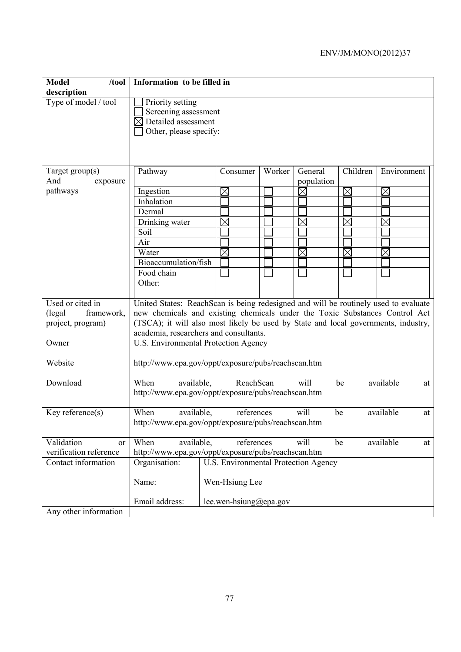| <b>Model</b><br>/tool<br>description                                    | Information to be filled in                                                                                                                                                                                                                                                                                                                |                                      |        |             |             |             |    |
|-------------------------------------------------------------------------|--------------------------------------------------------------------------------------------------------------------------------------------------------------------------------------------------------------------------------------------------------------------------------------------------------------------------------------------|--------------------------------------|--------|-------------|-------------|-------------|----|
| Type of model / tool                                                    | Priority setting<br>Screening assessment<br>$\boxtimes$ Detailed assessment<br>Other, please specify:                                                                                                                                                                                                                                      |                                      |        |             |             |             |    |
| Target group(s)                                                         | Pathway                                                                                                                                                                                                                                                                                                                                    | Consumer                             | Worker | General     | Children    | Environment |    |
| And<br>exposure                                                         |                                                                                                                                                                                                                                                                                                                                            |                                      |        | population  |             |             |    |
| pathways                                                                | Ingestion                                                                                                                                                                                                                                                                                                                                  | $\times$                             |        | $\times$    | $\times$    | $\times$    |    |
|                                                                         | Inhalation                                                                                                                                                                                                                                                                                                                                 |                                      |        |             |             |             |    |
|                                                                         | Dermal                                                                                                                                                                                                                                                                                                                                     |                                      |        |             |             |             |    |
|                                                                         | Drinking water                                                                                                                                                                                                                                                                                                                             | $\boxtimes$                          |        | $\times$    | $\boxtimes$ | $\times$    |    |
|                                                                         | Soil                                                                                                                                                                                                                                                                                                                                       |                                      |        |             |             |             |    |
|                                                                         | Air                                                                                                                                                                                                                                                                                                                                        |                                      |        |             |             |             |    |
|                                                                         | Water                                                                                                                                                                                                                                                                                                                                      | $\boxtimes$                          |        | $\boxtimes$ | $\boxtimes$ |             |    |
|                                                                         | Bioaccumulation/fish                                                                                                                                                                                                                                                                                                                       |                                      |        |             |             |             |    |
|                                                                         | Food chain                                                                                                                                                                                                                                                                                                                                 |                                      |        |             |             |             |    |
|                                                                         | Other:                                                                                                                                                                                                                                                                                                                                     |                                      |        |             |             |             |    |
| Used or cited in<br>(legal)<br>framework,<br>project, program)<br>Owner | United States: ReachScan is being redesigned and will be routinely used to evaluate<br>new chemicals and existing chemicals under the Toxic Substances Control Act<br>(TSCA); it will also most likely be used by State and local governments, industry,<br>academia, researchers and consultants.<br>U.S. Environmental Protection Agency |                                      |        |             |             |             |    |
| Website                                                                 | http://www.epa.gov/oppt/exposure/pubs/reachscan.htm                                                                                                                                                                                                                                                                                        |                                      |        |             |             |             |    |
| Download                                                                | available<br>When<br>available,<br>ReachScan<br>will<br>be<br>at<br>http://www.epa.gov/oppt/exposure/pubs/reachscan.htm                                                                                                                                                                                                                    |                                      |        |             |             |             |    |
| Key reference(s)                                                        | When<br>available,<br>http://www.epa.gov/oppt/exposure/pubs/reachscan.htm                                                                                                                                                                                                                                                                  | references                           |        | will        | be          | available   | at |
| Validation<br><sub>or</sub>                                             | When<br>available,                                                                                                                                                                                                                                                                                                                         | references                           |        | will        | be          | available   | at |
| verification reference                                                  | http://www.epa.gov/oppt/exposure/pubs/reachscan.htm                                                                                                                                                                                                                                                                                        |                                      |        |             |             |             |    |
| Contact information                                                     | Organisation:                                                                                                                                                                                                                                                                                                                              | U.S. Environmental Protection Agency |        |             |             |             |    |
|                                                                         | Name:                                                                                                                                                                                                                                                                                                                                      | Wen-Hsiung Lee                       |        |             |             |             |    |
|                                                                         | Email address:                                                                                                                                                                                                                                                                                                                             | lee.wen-hsiung@epa.gov               |        |             |             |             |    |
| Any other information                                                   |                                                                                                                                                                                                                                                                                                                                            |                                      |        |             |             |             |    |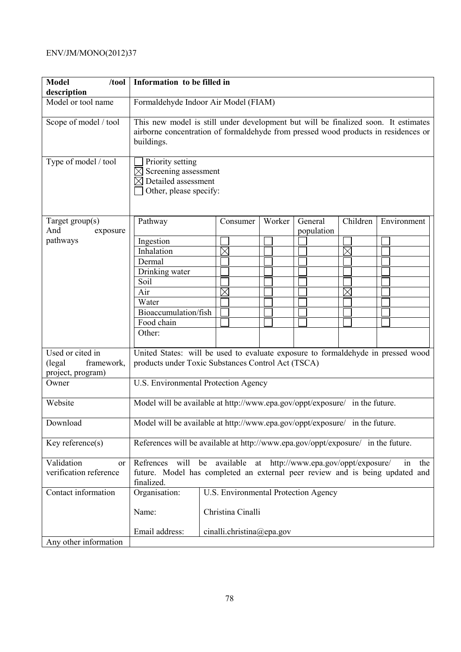| <b>Model</b><br>/tool<br>description | Information to be filled in                                                                                                                                                            |  |                                                        |  |        |         |            |          |             |
|--------------------------------------|----------------------------------------------------------------------------------------------------------------------------------------------------------------------------------------|--|--------------------------------------------------------|--|--------|---------|------------|----------|-------------|
| Model or tool name                   | Formaldehyde Indoor Air Model (FIAM)                                                                                                                                                   |  |                                                        |  |        |         |            |          |             |
| Scope of model / tool                | This new model is still under development but will be finalized soon. It estimates<br>airborne concentration of formaldehyde from pressed wood products in residences or<br>buildings. |  |                                                        |  |        |         |            |          |             |
| Type of model / tool                 | Priority setting<br>Screening assessment<br>Detailed assessment<br>Other, please specify:                                                                                              |  |                                                        |  |        |         |            |          |             |
| Target group(s)<br>And<br>exposure   | Pathway                                                                                                                                                                                |  | Consumer                                               |  | Worker | General | population | Children | Environment |
| pathways                             | Ingestion                                                                                                                                                                              |  |                                                        |  |        |         |            |          |             |
|                                      | Inhalation                                                                                                                                                                             |  | $\times$                                               |  |        |         |            |          |             |
|                                      | Dermal                                                                                                                                                                                 |  |                                                        |  |        |         |            |          |             |
|                                      |                                                                                                                                                                                        |  |                                                        |  |        |         |            |          |             |
|                                      | Drinking water                                                                                                                                                                         |  |                                                        |  |        |         |            |          |             |
|                                      | Soil                                                                                                                                                                                   |  |                                                        |  |        |         |            |          |             |
|                                      | Air                                                                                                                                                                                    |  | $\Join$                                                |  |        |         |            |          |             |
|                                      | Water                                                                                                                                                                                  |  |                                                        |  |        |         |            |          |             |
|                                      | Bioaccumulation/fish                                                                                                                                                                   |  |                                                        |  |        |         |            |          |             |
|                                      | Food chain                                                                                                                                                                             |  |                                                        |  |        |         |            |          |             |
|                                      | Other:                                                                                                                                                                                 |  |                                                        |  |        |         |            |          |             |
|                                      |                                                                                                                                                                                        |  |                                                        |  |        |         |            |          |             |
| Used or cited in                     | United States: will be used to evaluate exposure to formaldehyde in pressed wood                                                                                                       |  |                                                        |  |        |         |            |          |             |
| (legal<br>framework,                 | products under Toxic Substances Control Act (TSCA)                                                                                                                                     |  |                                                        |  |        |         |            |          |             |
| project, program)                    |                                                                                                                                                                                        |  |                                                        |  |        |         |            |          |             |
| Owner                                | U.S. Environmental Protection Agency                                                                                                                                                   |  |                                                        |  |        |         |            |          |             |
|                                      |                                                                                                                                                                                        |  |                                                        |  |        |         |            |          |             |
| Website                              | Model will be available at http://www.epa.gov/oppt/exposure/ in the future.                                                                                                            |  |                                                        |  |        |         |            |          |             |
| Download                             | Model will be available at http://www.epa.gov/oppt/exposure/ in the future.                                                                                                            |  |                                                        |  |        |         |            |          |             |
| Key reference $(s)$                  | References will be available at http://www.epa.gov/oppt/exposure/ in the future.                                                                                                       |  |                                                        |  |        |         |            |          |             |
| Validation<br>or                     | Refrences                                                                                                                                                                              |  | will be available at http://www.epa.gov/oppt/exposure/ |  |        |         |            |          | the<br>in   |
| verification reference               | future. Model has completed an external peer review and is being updated and                                                                                                           |  |                                                        |  |        |         |            |          |             |
|                                      | finalized.                                                                                                                                                                             |  |                                                        |  |        |         |            |          |             |
| Contact information                  | Organisation:                                                                                                                                                                          |  | U.S. Environmental Protection Agency                   |  |        |         |            |          |             |
|                                      | Name:                                                                                                                                                                                  |  | Christina Cinalli                                      |  |        |         |            |          |             |
|                                      | Email address:                                                                                                                                                                         |  | cinalli.christina@epa.gov                              |  |        |         |            |          |             |
| Any other information                |                                                                                                                                                                                        |  |                                                        |  |        |         |            |          |             |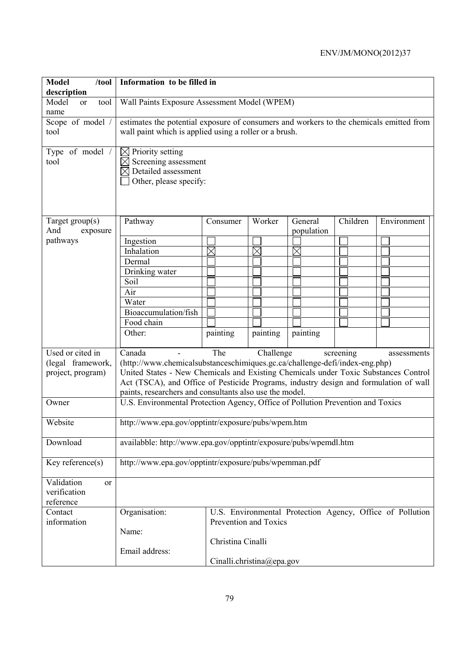| <b>Model</b><br>$/$ tool                                   | Information to be filled in                                                                                                                                                                                                                                                                                                                                                      |                                              |                           |                       |          |                                                           |  |  |
|------------------------------------------------------------|----------------------------------------------------------------------------------------------------------------------------------------------------------------------------------------------------------------------------------------------------------------------------------------------------------------------------------------------------------------------------------|----------------------------------------------|---------------------------|-----------------------|----------|-----------------------------------------------------------|--|--|
| description<br>Model<br>tool<br><sub>or</sub>              |                                                                                                                                                                                                                                                                                                                                                                                  | Wall Paints Exposure Assessment Model (WPEM) |                           |                       |          |                                                           |  |  |
| name                                                       |                                                                                                                                                                                                                                                                                                                                                                                  |                                              |                           |                       |          |                                                           |  |  |
| Scope of model /                                           | estimates the potential exposure of consumers and workers to the chemicals emitted from                                                                                                                                                                                                                                                                                          |                                              |                           |                       |          |                                                           |  |  |
| tool                                                       | wall paint which is applied using a roller or a brush.                                                                                                                                                                                                                                                                                                                           |                                              |                           |                       |          |                                                           |  |  |
| Type of model /<br>tool                                    | $\boxtimes$ Priority setting<br>Screening assessment<br>$\boxtimes$ Detailed assessment<br>Other, please specify:                                                                                                                                                                                                                                                                |                                              |                           |                       |          |                                                           |  |  |
| Target $group(s)$<br>And<br>exposure                       | Pathway                                                                                                                                                                                                                                                                                                                                                                          | Consumer                                     | Worker                    | General<br>population | Children | Environment                                               |  |  |
| pathways                                                   | Ingestion                                                                                                                                                                                                                                                                                                                                                                        |                                              |                           |                       |          |                                                           |  |  |
|                                                            | Inhalation                                                                                                                                                                                                                                                                                                                                                                       | $\times$                                     | $\boxtimes$               | $\times$              |          |                                                           |  |  |
|                                                            | Dermal                                                                                                                                                                                                                                                                                                                                                                           |                                              |                           |                       |          |                                                           |  |  |
|                                                            | Drinking water                                                                                                                                                                                                                                                                                                                                                                   |                                              |                           |                       |          |                                                           |  |  |
|                                                            | Soil                                                                                                                                                                                                                                                                                                                                                                             |                                              |                           |                       |          |                                                           |  |  |
|                                                            | Air                                                                                                                                                                                                                                                                                                                                                                              |                                              |                           |                       |          |                                                           |  |  |
|                                                            | Water                                                                                                                                                                                                                                                                                                                                                                            |                                              |                           |                       |          |                                                           |  |  |
|                                                            | Bioaccumulation/fish                                                                                                                                                                                                                                                                                                                                                             |                                              |                           |                       |          |                                                           |  |  |
|                                                            | Food chain                                                                                                                                                                                                                                                                                                                                                                       |                                              |                           |                       |          |                                                           |  |  |
|                                                            | Other:                                                                                                                                                                                                                                                                                                                                                                           | painting                                     | painting                  | painting              |          |                                                           |  |  |
| Used or cited in<br>(legal framework,<br>project, program) | The<br>Canada<br>Challenge<br>screening<br>assessments<br>(http://www.chemicalsubstanceschimiques.gc.ca/challenge-defi/index-eng.php)<br>United States - New Chemicals and Existing Chemicals under Toxic Substances Control<br>Act (TSCA), and Office of Pesticide Programs, industry design and formulation of wall<br>paints, researchers and consultants also use the model. |                                              |                           |                       |          |                                                           |  |  |
| Owner                                                      | U.S. Environmental Protection Agency, Office of Pollution Prevention and Toxics                                                                                                                                                                                                                                                                                                  |                                              |                           |                       |          |                                                           |  |  |
| Website                                                    | http://www.epa.gov/opptintr/exposure/pubs/wpem.htm                                                                                                                                                                                                                                                                                                                               |                                              |                           |                       |          |                                                           |  |  |
| Download                                                   | availabble: http://www.epa.gov/opptintr/exposure/pubs/wpemdl.htm                                                                                                                                                                                                                                                                                                                 |                                              |                           |                       |          |                                                           |  |  |
| Key reference(s)                                           | http://www.epa.gov/opptintr/exposure/pubs/wpemman.pdf                                                                                                                                                                                                                                                                                                                            |                                              |                           |                       |          |                                                           |  |  |
| Validation<br><sub>or</sub><br>verification<br>reference   |                                                                                                                                                                                                                                                                                                                                                                                  |                                              |                           |                       |          |                                                           |  |  |
| Contact<br>information                                     | Organisation:                                                                                                                                                                                                                                                                                                                                                                    |                                              | Prevention and Toxics     |                       |          | U.S. Environmental Protection Agency, Office of Pollution |  |  |
|                                                            | Name:                                                                                                                                                                                                                                                                                                                                                                            | Christina Cinalli                            |                           |                       |          |                                                           |  |  |
|                                                            | Email address:                                                                                                                                                                                                                                                                                                                                                                   |                                              | Cinalli.christina@epa.gov |                       |          |                                                           |  |  |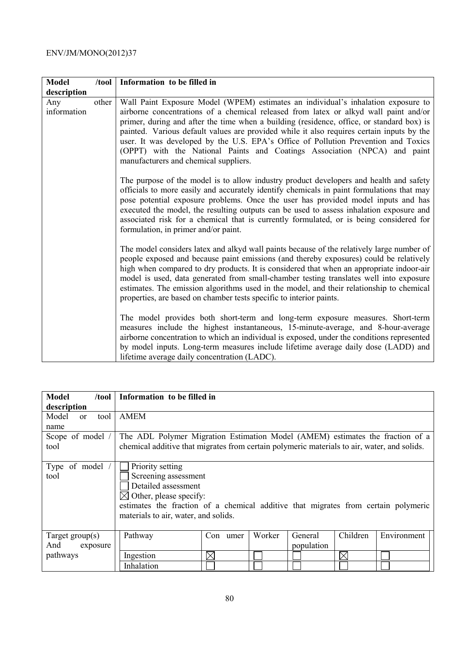| <b>Model</b>       | /tool | Information to be filled in                                                                                                                                                                                                                                                                                                                                                                                                                                                                                                                                                     |
|--------------------|-------|---------------------------------------------------------------------------------------------------------------------------------------------------------------------------------------------------------------------------------------------------------------------------------------------------------------------------------------------------------------------------------------------------------------------------------------------------------------------------------------------------------------------------------------------------------------------------------|
| description        |       |                                                                                                                                                                                                                                                                                                                                                                                                                                                                                                                                                                                 |
| Any<br>information | other | Wall Paint Exposure Model (WPEM) estimates an individual's inhalation exposure to<br>airborne concentrations of a chemical released from latex or alkyd wall paint and/or<br>primer, during and after the time when a building (residence, office, or standard box) is<br>painted. Various default values are provided while it also requires certain inputs by the<br>user. It was developed by the U.S. EPA's Office of Pollution Prevention and Toxics<br>(OPPT) with the National Paints and Coatings Association (NPCA) and paint<br>manufacturers and chemical suppliers. |
|                    |       | The purpose of the model is to allow industry product developers and health and safety<br>officials to more easily and accurately identify chemicals in paint formulations that may<br>pose potential exposure problems. Once the user has provided model inputs and has<br>executed the model, the resulting outputs can be used to assess inhalation exposure and<br>associated risk for a chemical that is currently formulated, or is being considered for<br>formulation, in primer and/or paint.                                                                          |
|                    |       | The model considers latex and alkyd wall paints because of the relatively large number of<br>people exposed and because paint emissions (and thereby exposures) could be relatively<br>high when compared to dry products. It is considered that when an appropriate indoor-air<br>model is used, data generated from small-chamber testing translates well into exposure<br>estimates. The emission algorithms used in the model, and their relationship to chemical<br>properties, are based on chamber tests specific to interior paints.                                    |
|                    |       | The model provides both short-term and long-term exposure measures. Short-term<br>measures include the highest instantaneous, 15-minute-average, and 8-hour-average<br>airborne concentration to which an individual is exposed, under the conditions represented<br>by model inputs. Long-term measures include lifetime average daily dose (LADD) and<br>lifetime average daily concentration (LADC).                                                                                                                                                                         |

| <b>Model</b><br>$/$ tool       | Information to be filled in                                                                 |             |        |            |          |             |
|--------------------------------|---------------------------------------------------------------------------------------------|-------------|--------|------------|----------|-------------|
| description                    |                                                                                             |             |        |            |          |             |
| Model<br>tool<br><sub>or</sub> | <b>AMEM</b>                                                                                 |             |        |            |          |             |
| name                           |                                                                                             |             |        |            |          |             |
| Scope of model /               | The ADL Polymer Migration Estimation Model (AMEM) estimates the fraction of a               |             |        |            |          |             |
| tool                           | chemical additive that migrates from certain polymeric materials to air, water, and solids. |             |        |            |          |             |
|                                |                                                                                             |             |        |            |          |             |
| Type of model                  | Priority setting                                                                            |             |        |            |          |             |
| tool                           | Screening assessment                                                                        |             |        |            |          |             |
|                                | Detailed assessment                                                                         |             |        |            |          |             |
|                                | $\boxtimes$ Other, please specify:                                                          |             |        |            |          |             |
|                                | estimates the fraction of a chemical additive that migrates from certain polymeric          |             |        |            |          |             |
|                                | materials to air, water, and solids.                                                        |             |        |            |          |             |
|                                |                                                                                             |             |        |            |          |             |
| Target group $(s)$             | Pathway                                                                                     | Con<br>umer | Worker | General    | Children | Environment |
| And<br>exposure                |                                                                                             |             |        | population |          |             |
| pathways                       | Ingestion                                                                                   | ΙX          |        |            | X        |             |
|                                | Inhalation                                                                                  |             |        |            |          |             |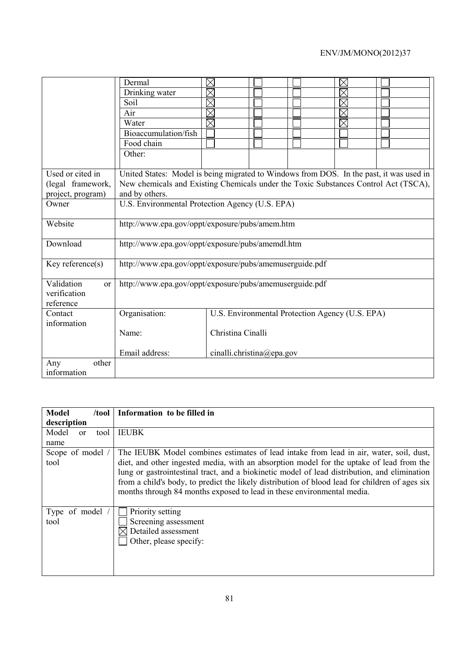|                                                          | Dermal                                                                                  | $\boxtimes$               |                                                 | $\boxtimes$ |  |  |  |
|----------------------------------------------------------|-----------------------------------------------------------------------------------------|---------------------------|-------------------------------------------------|-------------|--|--|--|
|                                                          | Drinking water                                                                          | $\boxtimes$               |                                                 | $\times$    |  |  |  |
|                                                          | Soil                                                                                    | $\boxtimes$               |                                                 | $\times$    |  |  |  |
|                                                          | Air                                                                                     | $\boxtimes$               |                                                 |             |  |  |  |
|                                                          | Water                                                                                   | $\overline{\boxtimes}$    |                                                 |             |  |  |  |
|                                                          | Bioaccumulation/fish                                                                    |                           |                                                 |             |  |  |  |
|                                                          | Food chain                                                                              |                           |                                                 |             |  |  |  |
|                                                          | Other:                                                                                  |                           |                                                 |             |  |  |  |
|                                                          |                                                                                         |                           |                                                 |             |  |  |  |
| Used or cited in                                         | United States: Model is being migrated to Windows from DOS. In the past, it was used in |                           |                                                 |             |  |  |  |
| (legal framework,                                        | New chemicals and Existing Chemicals under the Toxic Substances Control Act (TSCA),     |                           |                                                 |             |  |  |  |
| project, program)                                        | and by others.                                                                          |                           |                                                 |             |  |  |  |
| Owner                                                    | U.S. Environmental Protection Agency (U.S. EPA)                                         |                           |                                                 |             |  |  |  |
| Website                                                  | http://www.epa.gov/oppt/exposure/pubs/amem.htm                                          |                           |                                                 |             |  |  |  |
| Download                                                 | http://www.epa.gov/oppt/exposure/pubs/amemdl.htm                                        |                           |                                                 |             |  |  |  |
| Key reference $(s)$                                      | http://www.epa.gov/oppt/exposure/pubs/amemuserguide.pdf                                 |                           |                                                 |             |  |  |  |
| Validation<br><sub>or</sub><br>verification<br>reference | http://www.epa.gov/oppt/exposure/pubs/amemuserguide.pdf                                 |                           |                                                 |             |  |  |  |
| Contact                                                  | Organisation:                                                                           |                           | U.S. Environmental Protection Agency (U.S. EPA) |             |  |  |  |
| information                                              |                                                                                         |                           |                                                 |             |  |  |  |
|                                                          | Name:                                                                                   | Christina Cinalli         |                                                 |             |  |  |  |
|                                                          | Email address:                                                                          | cinalli.christina@epa.gov |                                                 |             |  |  |  |
| other<br>Any                                             |                                                                                         |                           |                                                 |             |  |  |  |
| information                                              |                                                                                         |                           |                                                 |             |  |  |  |

| Model<br>/tool                 | Information to be filled in                                                                                                                                                                                                                                                                                                                                                                                                                                    |  |  |  |  |
|--------------------------------|----------------------------------------------------------------------------------------------------------------------------------------------------------------------------------------------------------------------------------------------------------------------------------------------------------------------------------------------------------------------------------------------------------------------------------------------------------------|--|--|--|--|
| description                    |                                                                                                                                                                                                                                                                                                                                                                                                                                                                |  |  |  |  |
| Model<br>tool<br><sub>or</sub> | <b>IEUBK</b>                                                                                                                                                                                                                                                                                                                                                                                                                                                   |  |  |  |  |
| name                           |                                                                                                                                                                                                                                                                                                                                                                                                                                                                |  |  |  |  |
| Scope of model /<br>tool       | The IEUBK Model combines estimates of lead intake from lead in air, water, soil, dust,<br>diet, and other ingested media, with an absorption model for the uptake of lead from the<br>lung or gastrointestinal tract, and a biokinetic model of lead distribution, and elimination<br>from a child's body, to predict the likely distribution of blood lead for children of ages six<br>months through 84 months exposed to lead in these environmental media. |  |  |  |  |
| Type of model<br>tool          | Priority setting<br>Screening assessment<br>Detailed assessment<br>Other, please specify:                                                                                                                                                                                                                                                                                                                                                                      |  |  |  |  |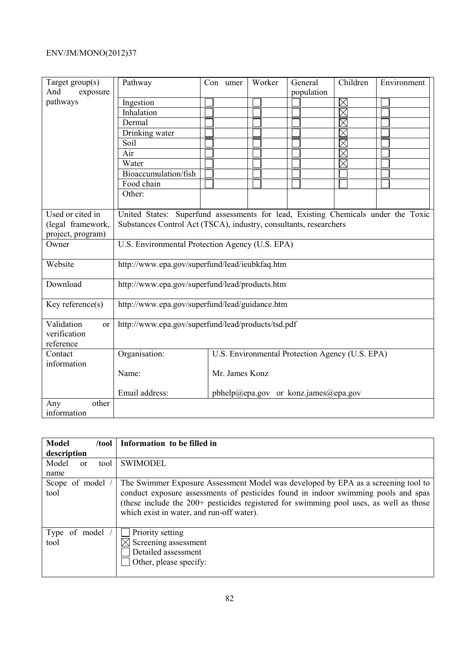| Target $group(s)$                           | Pathway                                                                           | Con umer       | Worker | General                                         | Children | Environment |
|---------------------------------------------|-----------------------------------------------------------------------------------|----------------|--------|-------------------------------------------------|----------|-------------|
| And<br>exposure                             |                                                                                   |                |        | population                                      |          |             |
| pathways                                    | Ingestion                                                                         |                |        |                                                 | $\times$ |             |
|                                             | Inhalation                                                                        |                |        |                                                 | $\times$ |             |
|                                             | Dermal                                                                            |                |        |                                                 | $\times$ |             |
|                                             | Drinking water                                                                    |                |        |                                                 | $\times$ |             |
|                                             | Soil                                                                              |                |        |                                                 | $\times$ |             |
|                                             | Air                                                                               |                |        |                                                 | $\times$ |             |
|                                             | Water                                                                             |                |        |                                                 | $\times$ |             |
|                                             | Bioaccumulation/fish                                                              |                |        |                                                 |          |             |
|                                             | Food chain                                                                        |                |        |                                                 |          |             |
|                                             | Other:                                                                            |                |        |                                                 |          |             |
|                                             |                                                                                   |                |        |                                                 |          |             |
| Used or cited in                            | United States: Superfund assessments for lead, Existing Chemicals under the Toxic |                |        |                                                 |          |             |
| (legal framework,                           | Substances Control Act (TSCA), industry, consultants, researchers                 |                |        |                                                 |          |             |
| project, program)                           |                                                                                   |                |        |                                                 |          |             |
| Owner                                       | U.S. Environmental Protection Agency (U.S. EPA)                                   |                |        |                                                 |          |             |
| Website                                     | http://www.epa.gov/superfund/lead/ieubkfaq.htm                                    |                |        |                                                 |          |             |
| Download                                    | http://www.epa.gov/superfund/lead/products.htm                                    |                |        |                                                 |          |             |
| Key reference(s)                            | http://www.epa.gov/superfund/lead/guidance.htm                                    |                |        |                                                 |          |             |
|                                             |                                                                                   |                |        |                                                 |          |             |
| Validation<br><sub>or</sub><br>verification | http://www.epa.gov/superfund/lead/products/tsd.pdf                                |                |        |                                                 |          |             |
| reference                                   |                                                                                   |                |        |                                                 |          |             |
| Contact                                     | Organisation:                                                                     |                |        | U.S. Environmental Protection Agency (U.S. EPA) |          |             |
| information                                 |                                                                                   |                |        |                                                 |          |             |
|                                             | Name:                                                                             | Mr. James Konz |        |                                                 |          |             |
|                                             |                                                                                   |                |        |                                                 |          |             |
|                                             | Email address:                                                                    |                |        | pbhelp@epa.gov or konz.james@epa.gov            |          |             |
| other<br>Any                                |                                                                                   |                |        |                                                 |          |             |
| information                                 |                                                                                   |                |        |                                                 |          |             |

| <b>Model</b><br>/tool     | Information to be filled in                                                                                                                                                                                                                                                                                    |
|---------------------------|----------------------------------------------------------------------------------------------------------------------------------------------------------------------------------------------------------------------------------------------------------------------------------------------------------------|
| description               |                                                                                                                                                                                                                                                                                                                |
| Model<br>tool<br>$\alpha$ | <b>SWIMODEL</b>                                                                                                                                                                                                                                                                                                |
| name                      |                                                                                                                                                                                                                                                                                                                |
| Scope of model /<br>tool  | The Swimmer Exposure Assessment Model was developed by EPA as a screening tool to<br>conduct exposure assessments of pesticides found in indoor swimming pools and spas<br>(these include the 200+ pesticides registered for swimming pool uses, as well as those<br>which exist in water, and run-off water). |
| Type of model<br>tool     | Priority setting<br>Screening assessment<br>Detailed assessment<br>Other, please specify:                                                                                                                                                                                                                      |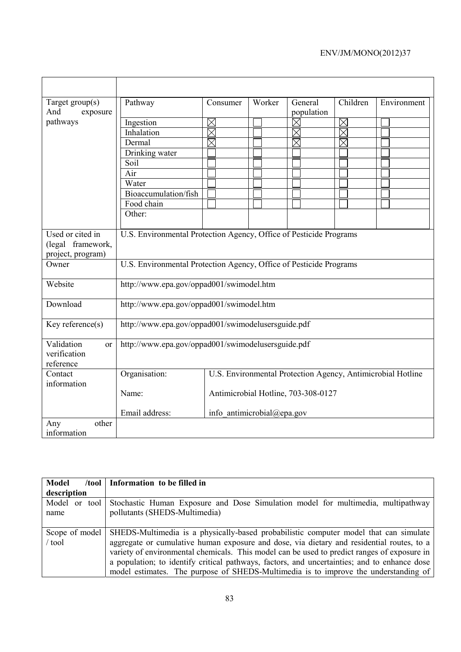| Target $group(s)$                                   | Pathway                                                            | Consumer                   | Worker | General                             | Children               | Environment                                                 |
|-----------------------------------------------------|--------------------------------------------------------------------|----------------------------|--------|-------------------------------------|------------------------|-------------------------------------------------------------|
| And<br>exposure                                     |                                                                    |                            |        | population                          |                        |                                                             |
| pathways                                            | Ingestion                                                          | $\boxtimes$                |        | $\boxtimes$                         | $\boxtimes$            |                                                             |
|                                                     | Inhalation                                                         | $\times$                   |        | $\boxtimes$                         | $\overline{\boxtimes}$ |                                                             |
|                                                     | Dermal                                                             | $\boxtimes$                |        | $\overline{\boxtimes}$              | $\overline{\times}$    |                                                             |
|                                                     | Drinking water                                                     |                            |        |                                     |                        |                                                             |
|                                                     | Soil                                                               |                            |        |                                     |                        |                                                             |
|                                                     | Air                                                                |                            |        |                                     |                        |                                                             |
|                                                     | Water                                                              |                            |        |                                     |                        |                                                             |
|                                                     | Bioaccumulation/fish                                               |                            |        |                                     |                        |                                                             |
|                                                     | Food chain                                                         |                            |        |                                     |                        |                                                             |
|                                                     | Other:                                                             |                            |        |                                     |                        |                                                             |
|                                                     |                                                                    |                            |        |                                     |                        |                                                             |
| Used or cited in                                    | U.S. Environmental Protection Agency, Office of Pesticide Programs |                            |        |                                     |                        |                                                             |
| (legal framework,                                   |                                                                    |                            |        |                                     |                        |                                                             |
| project, program)                                   |                                                                    |                            |        |                                     |                        |                                                             |
| Owner                                               | U.S. Environmental Protection Agency, Office of Pesticide Programs |                            |        |                                     |                        |                                                             |
| Website                                             | http://www.epa.gov/oppad001/swimodel.htm                           |                            |        |                                     |                        |                                                             |
| Download                                            | http://www.epa.gov/oppad001/swimodel.htm                           |                            |        |                                     |                        |                                                             |
| Key reference(s)                                    | http://www.epa.gov/oppad001/swimodelusersguide.pdf                 |                            |        |                                     |                        |                                                             |
| Validation<br>$\alpha$<br>verification<br>reference | http://www.epa.gov/oppad001/swimodelusersguide.pdf                 |                            |        |                                     |                        |                                                             |
| Contact                                             | Organisation:                                                      |                            |        |                                     |                        | U.S. Environmental Protection Agency, Antimicrobial Hotline |
| information                                         |                                                                    |                            |        |                                     |                        |                                                             |
|                                                     | Name:                                                              |                            |        | Antimicrobial Hotline, 703-308-0127 |                        |                                                             |
|                                                     | Email address:                                                     | info antimicrobial@epa.gov |        |                                     |                        |                                                             |
| other<br>Any<br>information                         |                                                                    |                            |        |                                     |                        |                                                             |

| <b>Model</b>   | /tool   Information to be filled in                                                          |
|----------------|----------------------------------------------------------------------------------------------|
| description    |                                                                                              |
| Model or tool  | Stochastic Human Exposure and Dose Simulation model for multimedia, multipathway             |
| name           | pollutants (SHEDS-Multimedia)                                                                |
|                |                                                                                              |
| Scope of model | SHEDS-Multimedia is a physically-based probabilistic computer model that can simulate        |
| / tool         | aggregate or cumulative human exposure and dose, via dietary and residential routes, to a    |
|                | variety of environmental chemicals. This model can be used to predict ranges of exposure in  |
|                | a population; to identify critical pathways, factors, and uncertainties; and to enhance dose |
|                | model estimates. The purpose of SHEDS-Multimedia is to improve the understanding of          |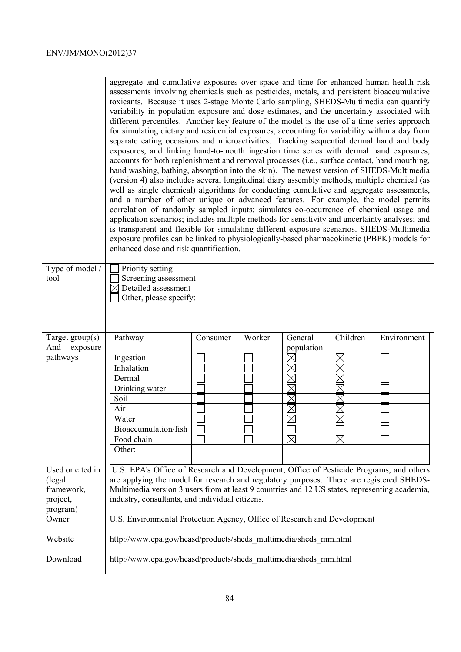|                             | aggregate and cumulative exposures over space and time for enhanced human health risk<br>assessments involving chemicals such as pesticides, metals, and persistent bioaccumulative<br>toxicants. Because it uses 2-stage Monte Carlo sampling, SHEDS-Multimedia can quantify<br>variability in population exposure and dose estimates, and the uncertainty associated with<br>different percentiles. Another key feature of the model is the use of a time series approach<br>for simulating dietary and residential exposures, accounting for variability within a day from<br>separate eating occasions and microactivities. Tracking sequential dermal hand and body<br>exposures, and linking hand-to-mouth ingestion time series with dermal hand exposures,<br>accounts for both replenishment and removal processes (i.e., surface contact, hand mouthing,<br>hand washing, bathing, absorption into the skin). The newest version of SHEDS-Multimedia<br>(version 4) also includes several longitudinal diary assembly methods, multiple chemical (as<br>well as single chemical) algorithms for conducting cumulative and aggregate assessments,<br>and a number of other unique or advanced features. For example, the model permits<br>correlation of randomly sampled inputs; simulates co-occurrence of chemical usage and<br>application scenarios; includes multiple methods for sensitivity and uncertainty analyses; and<br>is transparent and flexible for simulating different exposure scenarios. SHEDS-Multimedia<br>exposure profiles can be linked to physiologically-based pharmacokinetic (PBPK) models for<br>enhanced dose and risk quantification. |          |        |                        |                            |             |  |
|-----------------------------|---------------------------------------------------------------------------------------------------------------------------------------------------------------------------------------------------------------------------------------------------------------------------------------------------------------------------------------------------------------------------------------------------------------------------------------------------------------------------------------------------------------------------------------------------------------------------------------------------------------------------------------------------------------------------------------------------------------------------------------------------------------------------------------------------------------------------------------------------------------------------------------------------------------------------------------------------------------------------------------------------------------------------------------------------------------------------------------------------------------------------------------------------------------------------------------------------------------------------------------------------------------------------------------------------------------------------------------------------------------------------------------------------------------------------------------------------------------------------------------------------------------------------------------------------------------------------------------------------------------------------------------------------------------------------------|----------|--------|------------------------|----------------------------|-------------|--|
| Type of model /<br>tool     | Priority setting<br>Screening assessment                                                                                                                                                                                                                                                                                                                                                                                                                                                                                                                                                                                                                                                                                                                                                                                                                                                                                                                                                                                                                                                                                                                                                                                                                                                                                                                                                                                                                                                                                                                                                                                                                                        |          |        |                        |                            |             |  |
|                             | $\boxtimes$ Detailed assessment                                                                                                                                                                                                                                                                                                                                                                                                                                                                                                                                                                                                                                                                                                                                                                                                                                                                                                                                                                                                                                                                                                                                                                                                                                                                                                                                                                                                                                                                                                                                                                                                                                                 |          |        |                        |                            |             |  |
|                             | Other, please specify:                                                                                                                                                                                                                                                                                                                                                                                                                                                                                                                                                                                                                                                                                                                                                                                                                                                                                                                                                                                                                                                                                                                                                                                                                                                                                                                                                                                                                                                                                                                                                                                                                                                          |          |        |                        |                            |             |  |
|                             |                                                                                                                                                                                                                                                                                                                                                                                                                                                                                                                                                                                                                                                                                                                                                                                                                                                                                                                                                                                                                                                                                                                                                                                                                                                                                                                                                                                                                                                                                                                                                                                                                                                                                 |          |        |                        |                            |             |  |
| Target $group(s)$           | Pathway                                                                                                                                                                                                                                                                                                                                                                                                                                                                                                                                                                                                                                                                                                                                                                                                                                                                                                                                                                                                                                                                                                                                                                                                                                                                                                                                                                                                                                                                                                                                                                                                                                                                         | Consumer | Worker | General                | Children                   | Environment |  |
|                             |                                                                                                                                                                                                                                                                                                                                                                                                                                                                                                                                                                                                                                                                                                                                                                                                                                                                                                                                                                                                                                                                                                                                                                                                                                                                                                                                                                                                                                                                                                                                                                                                                                                                                 |          |        |                        |                            |             |  |
| And<br>exposure<br>pathways |                                                                                                                                                                                                                                                                                                                                                                                                                                                                                                                                                                                                                                                                                                                                                                                                                                                                                                                                                                                                                                                                                                                                                                                                                                                                                                                                                                                                                                                                                                                                                                                                                                                                                 |          |        | population<br>$\times$ |                            |             |  |
|                             | Ingestion<br>Inhalation                                                                                                                                                                                                                                                                                                                                                                                                                                                                                                                                                                                                                                                                                                                                                                                                                                                                                                                                                                                                                                                                                                                                                                                                                                                                                                                                                                                                                                                                                                                                                                                                                                                         |          |        |                        | $\boxtimes$<br>$\boxtimes$ |             |  |
|                             | Dermal                                                                                                                                                                                                                                                                                                                                                                                                                                                                                                                                                                                                                                                                                                                                                                                                                                                                                                                                                                                                                                                                                                                                                                                                                                                                                                                                                                                                                                                                                                                                                                                                                                                                          |          |        |                        | $\times$                   |             |  |
|                             | Drinking water                                                                                                                                                                                                                                                                                                                                                                                                                                                                                                                                                                                                                                                                                                                                                                                                                                                                                                                                                                                                                                                                                                                                                                                                                                                                                                                                                                                                                                                                                                                                                                                                                                                                  |          |        | $\times$               | $\times$                   |             |  |
|                             | Soil                                                                                                                                                                                                                                                                                                                                                                                                                                                                                                                                                                                                                                                                                                                                                                                                                                                                                                                                                                                                                                                                                                                                                                                                                                                                                                                                                                                                                                                                                                                                                                                                                                                                            |          |        | $\times$               | $\times$                   |             |  |
|                             | Air                                                                                                                                                                                                                                                                                                                                                                                                                                                                                                                                                                                                                                                                                                                                                                                                                                                                                                                                                                                                                                                                                                                                                                                                                                                                                                                                                                                                                                                                                                                                                                                                                                                                             |          |        | $\times$               | $\boxtimes$                |             |  |
|                             | Water                                                                                                                                                                                                                                                                                                                                                                                                                                                                                                                                                                                                                                                                                                                                                                                                                                                                                                                                                                                                                                                                                                                                                                                                                                                                                                                                                                                                                                                                                                                                                                                                                                                                           |          |        | $\times$               | $\times$                   |             |  |
|                             | Bioaccumulation/fish                                                                                                                                                                                                                                                                                                                                                                                                                                                                                                                                                                                                                                                                                                                                                                                                                                                                                                                                                                                                                                                                                                                                                                                                                                                                                                                                                                                                                                                                                                                                                                                                                                                            |          |        |                        |                            |             |  |
|                             | Food chain                                                                                                                                                                                                                                                                                                                                                                                                                                                                                                                                                                                                                                                                                                                                                                                                                                                                                                                                                                                                                                                                                                                                                                                                                                                                                                                                                                                                                                                                                                                                                                                                                                                                      |          |        | $\boxtimes$            | $\boxtimes$                |             |  |
|                             | Other:                                                                                                                                                                                                                                                                                                                                                                                                                                                                                                                                                                                                                                                                                                                                                                                                                                                                                                                                                                                                                                                                                                                                                                                                                                                                                                                                                                                                                                                                                                                                                                                                                                                                          |          |        |                        |                            |             |  |
|                             |                                                                                                                                                                                                                                                                                                                                                                                                                                                                                                                                                                                                                                                                                                                                                                                                                                                                                                                                                                                                                                                                                                                                                                                                                                                                                                                                                                                                                                                                                                                                                                                                                                                                                 |          |        |                        |                            |             |  |
| Used or cited in            | U.S. EPA's Office of Research and Development, Office of Pesticide Programs, and others<br>are applying the model for research and regulatory purposes. There are registered SHEDS-                                                                                                                                                                                                                                                                                                                                                                                                                                                                                                                                                                                                                                                                                                                                                                                                                                                                                                                                                                                                                                                                                                                                                                                                                                                                                                                                                                                                                                                                                             |          |        |                        |                            |             |  |
| (legal<br>framework,        | Multimedia version 3 users from at least 9 countries and 12 US states, representing academia,                                                                                                                                                                                                                                                                                                                                                                                                                                                                                                                                                                                                                                                                                                                                                                                                                                                                                                                                                                                                                                                                                                                                                                                                                                                                                                                                                                                                                                                                                                                                                                                   |          |        |                        |                            |             |  |
| project,                    | industry, consultants, and individual citizens.                                                                                                                                                                                                                                                                                                                                                                                                                                                                                                                                                                                                                                                                                                                                                                                                                                                                                                                                                                                                                                                                                                                                                                                                                                                                                                                                                                                                                                                                                                                                                                                                                                 |          |        |                        |                            |             |  |
| program)                    |                                                                                                                                                                                                                                                                                                                                                                                                                                                                                                                                                                                                                                                                                                                                                                                                                                                                                                                                                                                                                                                                                                                                                                                                                                                                                                                                                                                                                                                                                                                                                                                                                                                                                 |          |        |                        |                            |             |  |
| Owner                       | U.S. Environmental Protection Agency, Office of Research and Development                                                                                                                                                                                                                                                                                                                                                                                                                                                                                                                                                                                                                                                                                                                                                                                                                                                                                                                                                                                                                                                                                                                                                                                                                                                                                                                                                                                                                                                                                                                                                                                                        |          |        |                        |                            |             |  |
| Website                     | http://www.epa.gov/heasd/products/sheds multimedia/sheds mm.html<br>http://www.epa.gov/heasd/products/sheds multimedia/sheds mm.html                                                                                                                                                                                                                                                                                                                                                                                                                                                                                                                                                                                                                                                                                                                                                                                                                                                                                                                                                                                                                                                                                                                                                                                                                                                                                                                                                                                                                                                                                                                                            |          |        |                        |                            |             |  |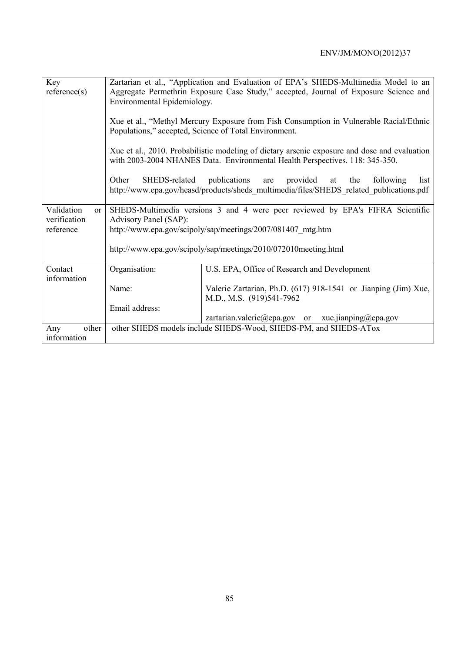| Key                         |                                                                                      | Zartarian et al., "Application and Evaluation of EPA's SHEDS-Multimedia Model to an          |  |  |  |  |  |  |
|-----------------------------|--------------------------------------------------------------------------------------|----------------------------------------------------------------------------------------------|--|--|--|--|--|--|
| reference(s)                | Aggregate Permethrin Exposure Case Study," accepted, Journal of Exposure Science and |                                                                                              |  |  |  |  |  |  |
|                             | Environmental Epidemiology.                                                          |                                                                                              |  |  |  |  |  |  |
|                             |                                                                                      |                                                                                              |  |  |  |  |  |  |
|                             |                                                                                      | Xue et al., "Methyl Mercury Exposure from Fish Consumption in Vulnerable Racial/Ethnic       |  |  |  |  |  |  |
|                             | Populations," accepted, Science of Total Environment.                                |                                                                                              |  |  |  |  |  |  |
|                             |                                                                                      |                                                                                              |  |  |  |  |  |  |
|                             |                                                                                      | Xue et al., 2010. Probabilistic modeling of dietary arsenic exposure and dose and evaluation |  |  |  |  |  |  |
|                             |                                                                                      | with 2003-2004 NHANES Data. Environmental Health Perspectives. 118: 345-350.                 |  |  |  |  |  |  |
|                             |                                                                                      |                                                                                              |  |  |  |  |  |  |
|                             | SHEDS-related<br>Other                                                               | publications<br>provided<br>list<br>are<br>the<br>following<br>at                            |  |  |  |  |  |  |
|                             |                                                                                      | http://www.epa.gov/heasd/products/sheds multimedia/files/SHEDS related publications.pdf      |  |  |  |  |  |  |
|                             |                                                                                      |                                                                                              |  |  |  |  |  |  |
| Validation<br><sub>or</sub> |                                                                                      | SHEDS-Multimedia versions 3 and 4 were peer reviewed by EPA's FIFRA Scientific               |  |  |  |  |  |  |
| verification                | Advisory Panel (SAP):                                                                |                                                                                              |  |  |  |  |  |  |
| reference                   |                                                                                      | http://www.epa.gov/scipoly/sap/meetings/2007/081407 mtg.htm                                  |  |  |  |  |  |  |
|                             |                                                                                      | http://www.epa.gov/scipoly/sap/meetings/2010/072010meeting.html                              |  |  |  |  |  |  |
|                             |                                                                                      |                                                                                              |  |  |  |  |  |  |
| Contact                     | Organisation:                                                                        | U.S. EPA, Office of Research and Development                                                 |  |  |  |  |  |  |
| information                 |                                                                                      |                                                                                              |  |  |  |  |  |  |
|                             | Name:                                                                                | Valerie Zartarian, Ph.D. (617) 918-1541 or Jianping (Jim) Xue,                               |  |  |  |  |  |  |
|                             |                                                                                      | M.D., M.S. (919)541-7962                                                                     |  |  |  |  |  |  |
|                             | Email address:                                                                       |                                                                                              |  |  |  |  |  |  |
|                             |                                                                                      | zartarian.valerie@epa.gov or xue.jianping@epa.gov                                            |  |  |  |  |  |  |
| Any<br>other                |                                                                                      | other SHEDS models include SHEDS-Wood, SHEDS-PM, and SHEDS-ATox                              |  |  |  |  |  |  |
| information                 |                                                                                      |                                                                                              |  |  |  |  |  |  |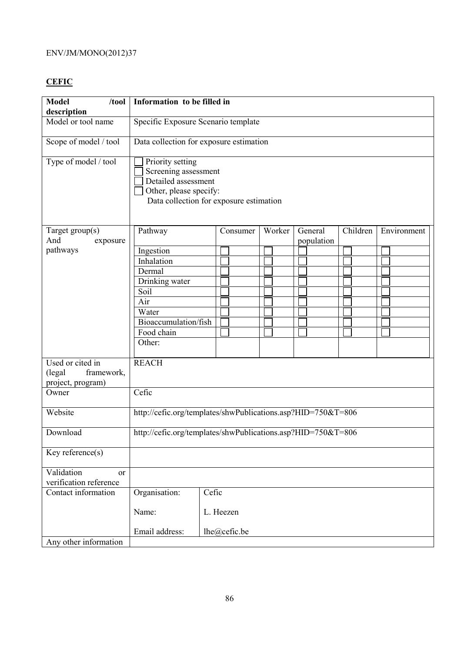# **CEFIC**

| <b>Model</b><br>/tool<br>description             |                                                                                                                                      | Information to be filled in         |        |            |          |             |  |  |
|--------------------------------------------------|--------------------------------------------------------------------------------------------------------------------------------------|-------------------------------------|--------|------------|----------|-------------|--|--|
| Model or tool name                               |                                                                                                                                      | Specific Exposure Scenario template |        |            |          |             |  |  |
| Scope of model / tool                            | Data collection for exposure estimation                                                                                              |                                     |        |            |          |             |  |  |
| Type of model / tool                             | Priority setting<br>Screening assessment<br>Detailed assessment<br>Other, please specify:<br>Data collection for exposure estimation |                                     |        |            |          |             |  |  |
| Target group(s)<br>And                           | Pathway                                                                                                                              | Consumer                            | Worker | General    | Children | Environment |  |  |
| exposure<br>pathways                             | Ingestion                                                                                                                            |                                     |        | population |          |             |  |  |
|                                                  | Inhalation                                                                                                                           |                                     |        |            |          |             |  |  |
|                                                  | Dermal                                                                                                                               |                                     |        |            |          |             |  |  |
|                                                  | Drinking water                                                                                                                       |                                     |        |            |          |             |  |  |
|                                                  | Soil                                                                                                                                 |                                     |        |            |          |             |  |  |
|                                                  | Air                                                                                                                                  |                                     |        |            |          |             |  |  |
|                                                  | Water                                                                                                                                |                                     |        |            |          |             |  |  |
|                                                  | Bioaccumulation/fish                                                                                                                 |                                     |        |            |          |             |  |  |
|                                                  | Food chain                                                                                                                           |                                     |        |            |          |             |  |  |
|                                                  | Other:                                                                                                                               |                                     |        |            |          |             |  |  |
| Used or cited in                                 | <b>REACH</b>                                                                                                                         |                                     |        |            |          |             |  |  |
| (legal<br>framework,                             |                                                                                                                                      |                                     |        |            |          |             |  |  |
| project, program)                                |                                                                                                                                      |                                     |        |            |          |             |  |  |
| Owner                                            | Cefic                                                                                                                                |                                     |        |            |          |             |  |  |
| Website                                          | http://cefic.org/templates/shwPublications.asp?HID=750&T=806                                                                         |                                     |        |            |          |             |  |  |
| Download                                         | http://cefic.org/templates/shwPublications.asp?HID=750&T=806                                                                         |                                     |        |            |          |             |  |  |
| Key reference(s)                                 |                                                                                                                                      |                                     |        |            |          |             |  |  |
| Validation<br>$\alpha$<br>verification reference |                                                                                                                                      |                                     |        |            |          |             |  |  |
| Contact information                              | Organisation:                                                                                                                        | Cefic                               |        |            |          |             |  |  |
|                                                  | Name:                                                                                                                                | L. Heezen                           |        |            |          |             |  |  |
|                                                  | Email address:                                                                                                                       | lhe@cefic.be                        |        |            |          |             |  |  |
| Any other information                            |                                                                                                                                      |                                     |        |            |          |             |  |  |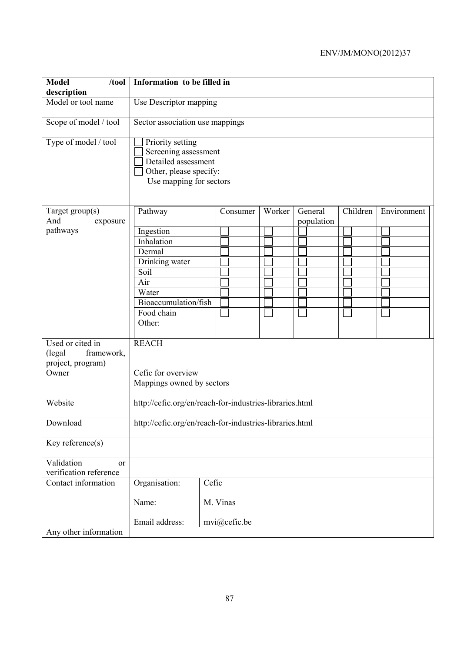| <b>Model</b><br>/tool<br>description       | Information to be filled in                                                                                          |              |        |                       |          |             |  |
|--------------------------------------------|----------------------------------------------------------------------------------------------------------------------|--------------|--------|-----------------------|----------|-------------|--|
| Model or tool name                         | Use Descriptor mapping                                                                                               |              |        |                       |          |             |  |
| Scope of model / tool                      | Sector association use mappings                                                                                      |              |        |                       |          |             |  |
| Type of model / tool                       | Priority setting<br>Screening assessment<br>Detailed assessment<br>Other, please specify:<br>Use mapping for sectors |              |        |                       |          |             |  |
| Target group(s)<br>And<br>exposure         | Pathway                                                                                                              | Consumer     | Worker | General<br>population | Children | Environment |  |
| pathways                                   | Ingestion                                                                                                            |              |        |                       |          |             |  |
|                                            | Inhalation                                                                                                           |              |        |                       |          |             |  |
|                                            | Dermal                                                                                                               |              |        |                       |          |             |  |
|                                            | Drinking water                                                                                                       |              |        |                       |          |             |  |
|                                            | Soil                                                                                                                 |              |        |                       |          |             |  |
|                                            | Air                                                                                                                  |              |        |                       |          |             |  |
|                                            | Water                                                                                                                |              |        |                       |          |             |  |
|                                            | Bioaccumulation/fish                                                                                                 |              |        |                       |          |             |  |
|                                            |                                                                                                                      |              |        |                       |          |             |  |
|                                            | Food chain                                                                                                           |              |        |                       |          |             |  |
|                                            | Other:                                                                                                               |              |        |                       |          |             |  |
| Used or cited in                           | <b>REACH</b>                                                                                                         |              |        |                       |          |             |  |
| framework,<br>(legal                       |                                                                                                                      |              |        |                       |          |             |  |
|                                            |                                                                                                                      |              |        |                       |          |             |  |
| project, program)<br>Owner                 | Cefic for overview                                                                                                   |              |        |                       |          |             |  |
|                                            |                                                                                                                      |              |        |                       |          |             |  |
|                                            | Mappings owned by sectors                                                                                            |              |        |                       |          |             |  |
| Website                                    | http://cefic.org/en/reach-for-industries-libraries.html                                                              |              |        |                       |          |             |  |
| Download                                   | http://cefic.org/en/reach-for-industries-libraries.html                                                              |              |        |                       |          |             |  |
| Key reference(s)                           |                                                                                                                      |              |        |                       |          |             |  |
| Validation<br>or<br>verification reference |                                                                                                                      |              |        |                       |          |             |  |
| Contact information                        | Organisation:                                                                                                        | Cefic        |        |                       |          |             |  |
|                                            | Name:                                                                                                                | M. Vinas     |        |                       |          |             |  |
|                                            | Email address:                                                                                                       | mvi@cefic.be |        |                       |          |             |  |
| Any other information                      |                                                                                                                      |              |        |                       |          |             |  |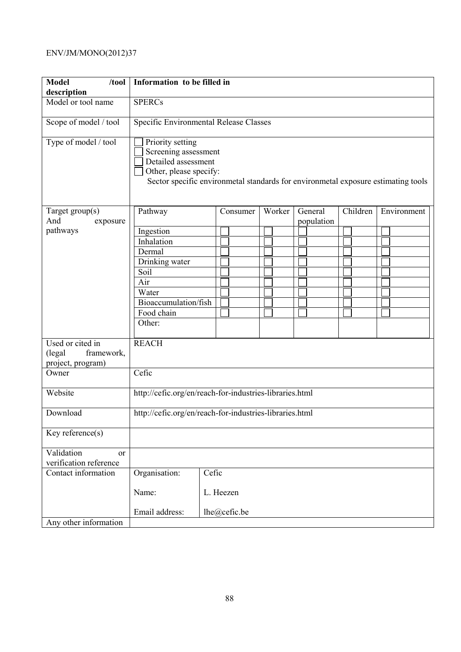| <b>Model</b><br>/tool<br>description                          | Information to be filled in                                                                                                                                                    |                                        |        |            |          |             |  |  |
|---------------------------------------------------------------|--------------------------------------------------------------------------------------------------------------------------------------------------------------------------------|----------------------------------------|--------|------------|----------|-------------|--|--|
| Model or tool name                                            | <b>SPERCs</b>                                                                                                                                                                  |                                        |        |            |          |             |  |  |
| Scope of model / tool                                         |                                                                                                                                                                                | Specific Environmental Release Classes |        |            |          |             |  |  |
| Type of model / tool                                          | Priority setting<br>Screening assessment<br>Detailed assessment<br>Other, please specify:<br>Sector specific environmetal standards for environmetal exposure estimating tools |                                        |        |            |          |             |  |  |
| Target group(s)                                               | Pathway                                                                                                                                                                        | Consumer                               | Worker | General    | Children | Environment |  |  |
| And<br>exposure                                               |                                                                                                                                                                                |                                        |        | population |          |             |  |  |
| pathways                                                      | Ingestion                                                                                                                                                                      |                                        |        |            |          |             |  |  |
|                                                               | Inhalation                                                                                                                                                                     |                                        |        |            |          |             |  |  |
|                                                               | Dermal                                                                                                                                                                         |                                        |        |            |          |             |  |  |
|                                                               | Drinking water                                                                                                                                                                 |                                        |        |            |          |             |  |  |
|                                                               | Soil                                                                                                                                                                           |                                        |        |            |          |             |  |  |
|                                                               | Air                                                                                                                                                                            |                                        |        |            |          |             |  |  |
|                                                               | Water                                                                                                                                                                          |                                        |        |            |          |             |  |  |
|                                                               | Bioaccumulation/fish                                                                                                                                                           |                                        |        |            |          |             |  |  |
|                                                               | Food chain                                                                                                                                                                     |                                        |        |            |          |             |  |  |
|                                                               | Other:                                                                                                                                                                         |                                        |        |            |          |             |  |  |
| Used or cited in<br>(legal<br>framework,<br>project, program) | <b>REACH</b>                                                                                                                                                                   |                                        |        |            |          |             |  |  |
| Owner                                                         | Cefic                                                                                                                                                                          |                                        |        |            |          |             |  |  |
| Website                                                       | http://cefic.org/en/reach-for-industries-libraries.html                                                                                                                        |                                        |        |            |          |             |  |  |
| Download                                                      | http://cefic.org/en/reach-for-industries-libraries.html                                                                                                                        |                                        |        |            |          |             |  |  |
| Key reference $(s)$                                           |                                                                                                                                                                                |                                        |        |            |          |             |  |  |
| Validation<br>or<br>verification reference                    |                                                                                                                                                                                |                                        |        |            |          |             |  |  |
|                                                               |                                                                                                                                                                                |                                        |        |            |          |             |  |  |
| Contact information                                           | Organisation:                                                                                                                                                                  | Cefic                                  |        |            |          |             |  |  |
|                                                               | Name:                                                                                                                                                                          | L. Heezen                              |        |            |          |             |  |  |
|                                                               | Email address:                                                                                                                                                                 | lhe@cefic.be                           |        |            |          |             |  |  |
| Any other information                                         |                                                                                                                                                                                |                                        |        |            |          |             |  |  |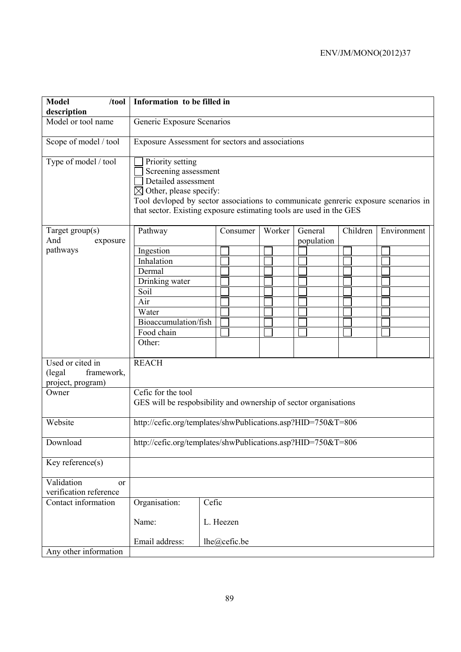| <b>Model</b><br>/tool<br>description             | Information to be filled in                                      |                                                                                                                                                                                                                                                |        |            |          |             |
|--------------------------------------------------|------------------------------------------------------------------|------------------------------------------------------------------------------------------------------------------------------------------------------------------------------------------------------------------------------------------------|--------|------------|----------|-------------|
| Model or tool name                               | Generic Exposure Scenarios                                       |                                                                                                                                                                                                                                                |        |            |          |             |
| Scope of model / tool                            | Exposure Assessment for sectors and associations                 |                                                                                                                                                                                                                                                |        |            |          |             |
| Type of model / tool                             | Priority setting                                                 | Screening assessment<br>Detailed assessment<br>$\boxtimes$ Other, please specify:<br>Tool devloped by sector associations to communicate genreric exposure scenarios in<br>that sector. Existing exposure estimating tools are used in the GES |        |            |          |             |
| Target group(s)                                  | Pathway                                                          | Consumer                                                                                                                                                                                                                                       | Worker | General    | Children | Environment |
| And<br>exposure                                  |                                                                  |                                                                                                                                                                                                                                                |        | population |          |             |
| pathways                                         | Ingestion                                                        |                                                                                                                                                                                                                                                |        |            |          |             |
|                                                  | Inhalation                                                       |                                                                                                                                                                                                                                                |        |            |          |             |
|                                                  | Dermal                                                           |                                                                                                                                                                                                                                                |        |            |          |             |
|                                                  | Drinking water                                                   |                                                                                                                                                                                                                                                |        |            |          |             |
|                                                  | Soil                                                             |                                                                                                                                                                                                                                                |        |            |          |             |
|                                                  | Air                                                              |                                                                                                                                                                                                                                                |        |            |          |             |
|                                                  | Water                                                            |                                                                                                                                                                                                                                                |        |            |          |             |
|                                                  | Bioaccumulation/fish                                             |                                                                                                                                                                                                                                                |        |            |          |             |
|                                                  | Food chain                                                       |                                                                                                                                                                                                                                                |        |            |          |             |
|                                                  | Other:                                                           |                                                                                                                                                                                                                                                |        |            |          |             |
| Used or cited in                                 | <b>REACH</b>                                                     |                                                                                                                                                                                                                                                |        |            |          |             |
| framework,<br>(legal                             |                                                                  |                                                                                                                                                                                                                                                |        |            |          |             |
| project, program)                                |                                                                  |                                                                                                                                                                                                                                                |        |            |          |             |
| Owner                                            | Cefic for the tool                                               |                                                                                                                                                                                                                                                |        |            |          |             |
|                                                  | GES will be respobsibility and ownership of sector organisations |                                                                                                                                                                                                                                                |        |            |          |             |
| Website                                          |                                                                  | http://cefic.org/templates/shwPublications.asp?HID=750&T=806                                                                                                                                                                                   |        |            |          |             |
| Download                                         | http://cefic.org/templates/shwPublications.asp?HID=750&T=806     |                                                                                                                                                                                                                                                |        |            |          |             |
| Key reference(s)                                 |                                                                  |                                                                                                                                                                                                                                                |        |            |          |             |
| Validation<br>$\alpha$<br>verification reference |                                                                  |                                                                                                                                                                                                                                                |        |            |          |             |
| Contact information                              | Organisation:                                                    | Cefic                                                                                                                                                                                                                                          |        |            |          |             |
|                                                  | Name:                                                            | L. Heezen                                                                                                                                                                                                                                      |        |            |          |             |
|                                                  | Email address:                                                   | lhe@cefic.be                                                                                                                                                                                                                                   |        |            |          |             |
| Any other information                            |                                                                  |                                                                                                                                                                                                                                                |        |            |          |             |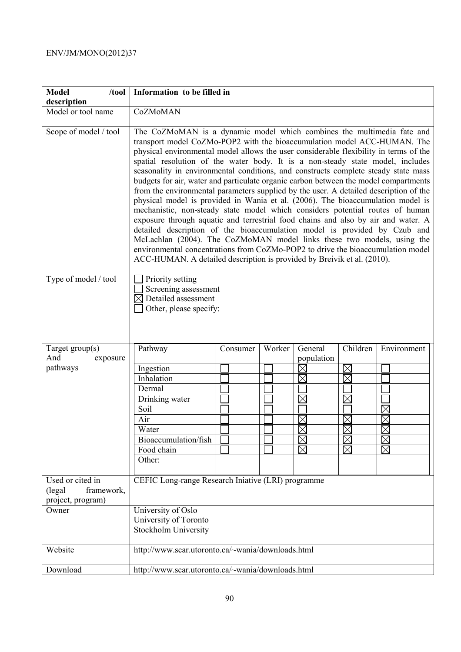| <b>Model</b><br>/tool                                         | Information to be filled in                                                                                                                                                                                                                                                                                                                                                                                                                                                                                                                                                                                                                                                                                                                                                                                                                                                                                                                                                                                                                                                                                                                                                        |          |        |             |                     |             |
|---------------------------------------------------------------|------------------------------------------------------------------------------------------------------------------------------------------------------------------------------------------------------------------------------------------------------------------------------------------------------------------------------------------------------------------------------------------------------------------------------------------------------------------------------------------------------------------------------------------------------------------------------------------------------------------------------------------------------------------------------------------------------------------------------------------------------------------------------------------------------------------------------------------------------------------------------------------------------------------------------------------------------------------------------------------------------------------------------------------------------------------------------------------------------------------------------------------------------------------------------------|----------|--------|-------------|---------------------|-------------|
| description<br>Model or tool name                             | CoZMoMAN                                                                                                                                                                                                                                                                                                                                                                                                                                                                                                                                                                                                                                                                                                                                                                                                                                                                                                                                                                                                                                                                                                                                                                           |          |        |             |                     |             |
|                                                               |                                                                                                                                                                                                                                                                                                                                                                                                                                                                                                                                                                                                                                                                                                                                                                                                                                                                                                                                                                                                                                                                                                                                                                                    |          |        |             |                     |             |
| Scope of model / tool                                         | The CoZMoMAN is a dynamic model which combines the multimedia fate and<br>transport model CoZMo-POP2 with the bioaccumulation model ACC-HUMAN. The<br>physical environmental model allows the user considerable flexibility in terms of the<br>spatial resolution of the water body. It is a non-steady state model, includes<br>seasonality in environmental conditions, and constructs complete steady state mass<br>budgets for air, water and particulate organic carbon between the model compartments<br>from the environmental parameters supplied by the user. A detailed description of the<br>physical model is provided in Wania et al. (2006). The bioaccumulation model is<br>mechanistic, non-steady state model which considers potential routes of human<br>exposure through aquatic and terrestrial food chains and also by air and water. A<br>detailed description of the bioaccumulation model is provided by Czub and<br>McLachlan (2004). The CoZMoMAN model links these two models, using the<br>environmental concentrations from CoZMo-POP2 to drive the bioaccumulation model<br>ACC-HUMAN. A detailed description is provided by Breivik et al. (2010). |          |        |             |                     |             |
| Type of model / tool                                          | Priority setting<br>Screening assessment<br>$\boxtimes$ Detailed assessment<br>Other, please specify:                                                                                                                                                                                                                                                                                                                                                                                                                                                                                                                                                                                                                                                                                                                                                                                                                                                                                                                                                                                                                                                                              |          |        |             |                     |             |
| Target $group(s)$                                             | Pathway                                                                                                                                                                                                                                                                                                                                                                                                                                                                                                                                                                                                                                                                                                                                                                                                                                                                                                                                                                                                                                                                                                                                                                            | Consumer | Worker | General     | Children            | Environment |
| And<br>exposure                                               |                                                                                                                                                                                                                                                                                                                                                                                                                                                                                                                                                                                                                                                                                                                                                                                                                                                                                                                                                                                                                                                                                                                                                                                    |          |        | population  |                     |             |
| pathways                                                      | Ingestion                                                                                                                                                                                                                                                                                                                                                                                                                                                                                                                                                                                                                                                                                                                                                                                                                                                                                                                                                                                                                                                                                                                                                                          |          |        | $\times$    | $\boxtimes$         |             |
|                                                               | Inhalation                                                                                                                                                                                                                                                                                                                                                                                                                                                                                                                                                                                                                                                                                                                                                                                                                                                                                                                                                                                                                                                                                                                                                                         |          |        | $\boxtimes$ | $\boxtimes$         |             |
|                                                               | Dermal                                                                                                                                                                                                                                                                                                                                                                                                                                                                                                                                                                                                                                                                                                                                                                                                                                                                                                                                                                                                                                                                                                                                                                             |          |        |             |                     |             |
|                                                               | Drinking water                                                                                                                                                                                                                                                                                                                                                                                                                                                                                                                                                                                                                                                                                                                                                                                                                                                                                                                                                                                                                                                                                                                                                                     |          |        | $\boxtimes$ | $\boxtimes$         |             |
|                                                               | Soil                                                                                                                                                                                                                                                                                                                                                                                                                                                                                                                                                                                                                                                                                                                                                                                                                                                                                                                                                                                                                                                                                                                                                                               |          |        |             |                     | $\times$    |
|                                                               | Air                                                                                                                                                                                                                                                                                                                                                                                                                                                                                                                                                                                                                                                                                                                                                                                                                                                                                                                                                                                                                                                                                                                                                                                |          |        |             | $\boxtimes$         |             |
|                                                               | Water                                                                                                                                                                                                                                                                                                                                                                                                                                                                                                                                                                                                                                                                                                                                                                                                                                                                                                                                                                                                                                                                                                                                                                              |          |        | M           | $\overline{\nabla}$ |             |
|                                                               | Bioaccumulation/fish                                                                                                                                                                                                                                                                                                                                                                                                                                                                                                                                                                                                                                                                                                                                                                                                                                                                                                                                                                                                                                                                                                                                                               |          |        | $\boxtimes$ | $\boxtimes$         | $\times$    |
|                                                               | Food chain                                                                                                                                                                                                                                                                                                                                                                                                                                                                                                                                                                                                                                                                                                                                                                                                                                                                                                                                                                                                                                                                                                                                                                         |          |        | $\boxtimes$ | $\boxtimes$         | $\boxtimes$ |
|                                                               | Other:                                                                                                                                                                                                                                                                                                                                                                                                                                                                                                                                                                                                                                                                                                                                                                                                                                                                                                                                                                                                                                                                                                                                                                             |          |        |             |                     |             |
| Used or cited in<br>(legal<br>framework,<br>project, program) | CEFIC Long-range Research Iniative (LRI) programme                                                                                                                                                                                                                                                                                                                                                                                                                                                                                                                                                                                                                                                                                                                                                                                                                                                                                                                                                                                                                                                                                                                                 |          |        |             |                     |             |
| Owner                                                         | University of Oslo                                                                                                                                                                                                                                                                                                                                                                                                                                                                                                                                                                                                                                                                                                                                                                                                                                                                                                                                                                                                                                                                                                                                                                 |          |        |             |                     |             |
|                                                               | University of Toronto                                                                                                                                                                                                                                                                                                                                                                                                                                                                                                                                                                                                                                                                                                                                                                                                                                                                                                                                                                                                                                                                                                                                                              |          |        |             |                     |             |
|                                                               | Stockholm University                                                                                                                                                                                                                                                                                                                                                                                                                                                                                                                                                                                                                                                                                                                                                                                                                                                                                                                                                                                                                                                                                                                                                               |          |        |             |                     |             |
| Website                                                       | http://www.scar.utoronto.ca/~wania/downloads.html                                                                                                                                                                                                                                                                                                                                                                                                                                                                                                                                                                                                                                                                                                                                                                                                                                                                                                                                                                                                                                                                                                                                  |          |        |             |                     |             |
| Download                                                      | http://www.scar.utoronto.ca/~wania/downloads.html                                                                                                                                                                                                                                                                                                                                                                                                                                                                                                                                                                                                                                                                                                                                                                                                                                                                                                                                                                                                                                                                                                                                  |          |        |             |                     |             |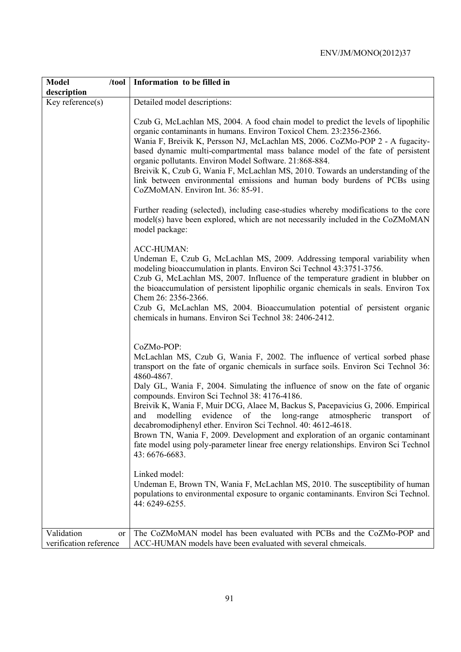| <b>Model</b><br>$/$ tool    | Information to be filled in                                                                                                                                                                                                                                                                                                                                                                                                                                                                                                                                                                                                                                                                                                                                                            |
|-----------------------------|----------------------------------------------------------------------------------------------------------------------------------------------------------------------------------------------------------------------------------------------------------------------------------------------------------------------------------------------------------------------------------------------------------------------------------------------------------------------------------------------------------------------------------------------------------------------------------------------------------------------------------------------------------------------------------------------------------------------------------------------------------------------------------------|
| description                 |                                                                                                                                                                                                                                                                                                                                                                                                                                                                                                                                                                                                                                                                                                                                                                                        |
| Key reference(s)            | Detailed model descriptions:                                                                                                                                                                                                                                                                                                                                                                                                                                                                                                                                                                                                                                                                                                                                                           |
|                             | Czub G, McLachlan MS, 2004. A food chain model to predict the levels of lipophilic<br>organic contaminants in humans. Environ Toxicol Chem. 23:2356-2366.<br>Wania F, Breivik K, Persson NJ, McLachlan MS, 2006. CoZMo-POP 2 - A fugacity-<br>based dynamic multi-compartmental mass balance model of the fate of persistent<br>organic pollutants. Environ Model Software. 21:868-884.<br>Breivik K, Czub G, Wania F, McLachlan MS, 2010. Towards an understanding of the<br>link between environmental emissions and human body burdens of PCBs using<br>CoZMoMAN. Environ Int. 36: 85-91.                                                                                                                                                                                           |
|                             | Further reading (selected), including case-studies whereby modifications to the core<br>model(s) have been explored, which are not necessarily included in the CoZMoMAN<br>model package:                                                                                                                                                                                                                                                                                                                                                                                                                                                                                                                                                                                              |
|                             | <b>ACC-HUMAN:</b><br>Undeman E, Czub G, McLachlan MS, 2009. Addressing temporal variability when<br>modeling bioaccumulation in plants. Environ Sci Technol 43:3751-3756.<br>Czub G, McLachlan MS, 2007. Influence of the temperature gradient in blubber on<br>the bioaccumulation of persistent lipophilic organic chemicals in seals. Environ Tox<br>Chem 26: 2356-2366.<br>Czub G, McLachlan MS, 2004. Bioaccumulation potential of persistent organic<br>chemicals in humans. Environ Sci Technol 38: 2406-2412.                                                                                                                                                                                                                                                                  |
|                             | CoZMo-POP:<br>McLachlan MS, Czub G, Wania F, 2002. The influence of vertical sorbed phase<br>transport on the fate of organic chemicals in surface soils. Environ Sci Technol 36:<br>4860-4867.<br>Daly GL, Wania F, 2004. Simulating the influence of snow on the fate of organic<br>compounds. Environ Sci Technol 38: 4176-4186.<br>Breivik K, Wania F, Muir DCG, Alaee M, Backus S, Pacepavicius G, 2006. Empirical<br>modelling evidence of the long-range<br>atmospheric<br>and<br>transport<br>of<br>decabromodiphenyl ether. Environ Sci Technol. 40: 4612-4618.<br>Brown TN, Wania F, 2009. Development and exploration of an organic contaminant<br>fate model using poly-parameter linear free energy relationships. Environ Sci Technol<br>43: 6676-6683.<br>Linked model: |
|                             | Undeman E, Brown TN, Wania F, McLachlan MS, 2010. The susceptibility of human<br>populations to environmental exposure to organic contaminants. Environ Sci Technol.<br>44: 6249-6255.                                                                                                                                                                                                                                                                                                                                                                                                                                                                                                                                                                                                 |
| Validation<br><sub>or</sub> | The CoZMoMAN model has been evaluated with PCBs and the CoZMo-POP and                                                                                                                                                                                                                                                                                                                                                                                                                                                                                                                                                                                                                                                                                                                  |
| verification reference      | ACC-HUMAN models have been evaluated with several chmeicals.                                                                                                                                                                                                                                                                                                                                                                                                                                                                                                                                                                                                                                                                                                                           |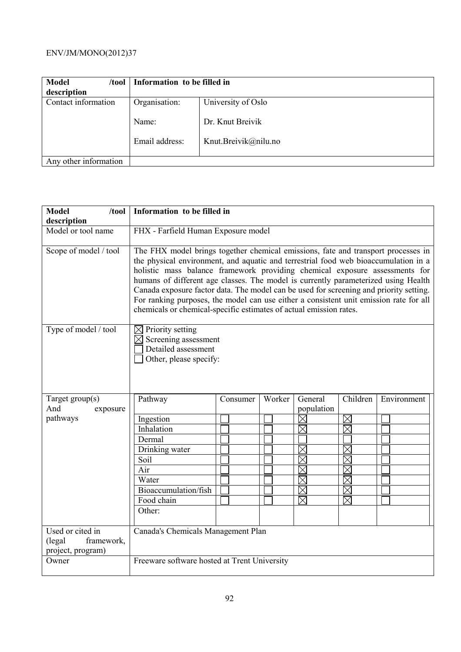| <b>Model</b><br>/tool | Information to be filled in |                      |  |
|-----------------------|-----------------------------|----------------------|--|
| description           |                             |                      |  |
| Contact information   | Organisation:               | University of Oslo   |  |
|                       | Name:                       | Dr. Knut Breivik     |  |
|                       | Email address:              | Knut.Breivik@nilu.no |  |
| Any other information |                             |                      |  |

| <b>Model</b><br>/tool                                          | Information to be filled in                                                                                                                                                                                                                                                                                                                                                                                                                                                                                                                                                                             |          |        |             |                        |             |
|----------------------------------------------------------------|---------------------------------------------------------------------------------------------------------------------------------------------------------------------------------------------------------------------------------------------------------------------------------------------------------------------------------------------------------------------------------------------------------------------------------------------------------------------------------------------------------------------------------------------------------------------------------------------------------|----------|--------|-------------|------------------------|-------------|
| description                                                    |                                                                                                                                                                                                                                                                                                                                                                                                                                                                                                                                                                                                         |          |        |             |                        |             |
| Model or tool name                                             | FHX - Farfield Human Exposure model                                                                                                                                                                                                                                                                                                                                                                                                                                                                                                                                                                     |          |        |             |                        |             |
| Scope of model / tool                                          | The FHX model brings together chemical emissions, fate and transport processes in<br>the physical environment, and aquatic and terrestrial food web bioaccumulation in a<br>holistic mass balance framework providing chemical exposure assessments for<br>humans of different age classes. The model is currently parameterized using Health<br>Canada exposure factor data. The model can be used for screening and priority setting.<br>For ranking purposes, the model can use either a consistent unit emission rate for all<br>chemicals or chemical-specific estimates of actual emission rates. |          |        |             |                        |             |
| Type of model / tool                                           | Priority setting<br>$\boxtimes$<br>Screening assessment<br>⊠<br>Detailed assessment<br>Other, please specify:                                                                                                                                                                                                                                                                                                                                                                                                                                                                                           |          |        |             |                        |             |
| Target group(s)                                                | Pathway                                                                                                                                                                                                                                                                                                                                                                                                                                                                                                                                                                                                 | Consumer | Worker | General     | Children               | Environment |
| And<br>exposure                                                |                                                                                                                                                                                                                                                                                                                                                                                                                                                                                                                                                                                                         |          |        | population  |                        |             |
| pathways                                                       | Ingestion                                                                                                                                                                                                                                                                                                                                                                                                                                                                                                                                                                                               |          |        | $\times$    | $\boxtimes$            |             |
|                                                                | Inhalation                                                                                                                                                                                                                                                                                                                                                                                                                                                                                                                                                                                              |          |        | $\boxtimes$ | $\boxtimes$            |             |
|                                                                | Dermal                                                                                                                                                                                                                                                                                                                                                                                                                                                                                                                                                                                                  |          |        |             |                        |             |
|                                                                | Drinking water                                                                                                                                                                                                                                                                                                                                                                                                                                                                                                                                                                                          |          |        |             | $\boxtimes$            |             |
|                                                                | Soil                                                                                                                                                                                                                                                                                                                                                                                                                                                                                                                                                                                                    |          |        | $\times$    |                        |             |
|                                                                | Air                                                                                                                                                                                                                                                                                                                                                                                                                                                                                                                                                                                                     |          |        | $\boxtimes$ |                        |             |
|                                                                | Water                                                                                                                                                                                                                                                                                                                                                                                                                                                                                                                                                                                                   |          |        | $\times$    | <b>NNN</b>             |             |
|                                                                | Bioaccumulation/fish                                                                                                                                                                                                                                                                                                                                                                                                                                                                                                                                                                                    |          |        | $\boxtimes$ | $\boxtimes$            |             |
|                                                                | Food chain                                                                                                                                                                                                                                                                                                                                                                                                                                                                                                                                                                                              |          |        | $\times$    | $\overline{\boxtimes}$ |             |
|                                                                | Other:                                                                                                                                                                                                                                                                                                                                                                                                                                                                                                                                                                                                  |          |        |             |                        |             |
|                                                                |                                                                                                                                                                                                                                                                                                                                                                                                                                                                                                                                                                                                         |          |        |             |                        |             |
| Used or cited in<br>framework,<br>(legal)<br>project, program) | Canada's Chemicals Management Plan                                                                                                                                                                                                                                                                                                                                                                                                                                                                                                                                                                      |          |        |             |                        |             |
| Owner                                                          | Freeware software hosted at Trent University                                                                                                                                                                                                                                                                                                                                                                                                                                                                                                                                                            |          |        |             |                        |             |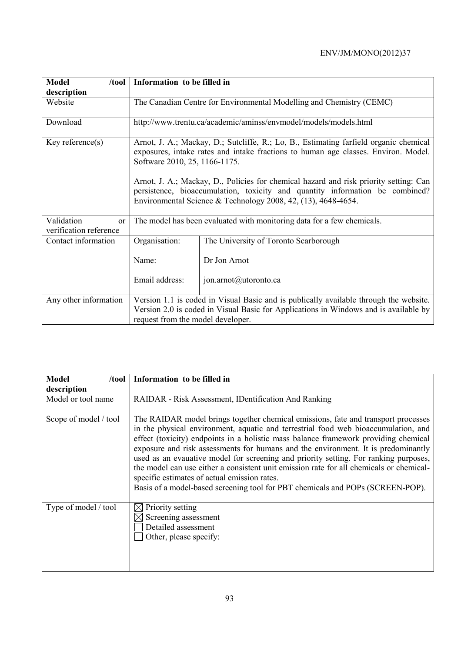| <b>Model</b><br>$/$ tool                              | Information to be filled in                                                                                                                                                                                                                                                                                                                                                           |                                                                      |  |  |  |  |
|-------------------------------------------------------|---------------------------------------------------------------------------------------------------------------------------------------------------------------------------------------------------------------------------------------------------------------------------------------------------------------------------------------------------------------------------------------|----------------------------------------------------------------------|--|--|--|--|
| description                                           |                                                                                                                                                                                                                                                                                                                                                                                       |                                                                      |  |  |  |  |
| Website                                               |                                                                                                                                                                                                                                                                                                                                                                                       | The Canadian Centre for Environmental Modelling and Chemistry (CEMC) |  |  |  |  |
| Download                                              | http://www.trentu.ca/academic/aminss/envmodel/models/models.html                                                                                                                                                                                                                                                                                                                      |                                                                      |  |  |  |  |
| Key reference $(s)$                                   | Arnot, J. A.; Mackay, D.; Sutcliffe, R.; Lo, B., Estimating farfield organic chemical<br>exposures, intake rates and intake fractions to human age classes. Environ. Model.<br>Software 2010, 25, 1166-1175.<br>Arnot, J. A.; Mackay, D., Policies for chemical hazard and risk priority setting: Can<br>persistence, bioaccumulation, toxicity and quantity information be combined? |                                                                      |  |  |  |  |
|                                                       | Environmental Science & Technology 2008, 42, $(13)$ , 4648-4654.                                                                                                                                                                                                                                                                                                                      |                                                                      |  |  |  |  |
| Validation<br><sub>or</sub><br>verification reference | The model has been evaluated with monitoring data for a few chemicals.                                                                                                                                                                                                                                                                                                                |                                                                      |  |  |  |  |
| Contact information                                   | Organisation:                                                                                                                                                                                                                                                                                                                                                                         | The University of Toronto Scarborough                                |  |  |  |  |
|                                                       | Name:                                                                                                                                                                                                                                                                                                                                                                                 | Dr Jon Arnot                                                         |  |  |  |  |
|                                                       | Email address:                                                                                                                                                                                                                                                                                                                                                                        | jon.arnot@utoronto.ca                                                |  |  |  |  |
| Any other information                                 | Version 1.1 is coded in Visual Basic and is publically available through the website.<br>Version 2.0 is coded in Visual Basic for Applications in Windows and is available by<br>request from the model developer.                                                                                                                                                                    |                                                                      |  |  |  |  |

| <b>Model</b><br>/tool | Information to be filled in                                                                                                                                                                                                                                                                                                                                                                                                                                                                                                                                                                                                                                              |
|-----------------------|--------------------------------------------------------------------------------------------------------------------------------------------------------------------------------------------------------------------------------------------------------------------------------------------------------------------------------------------------------------------------------------------------------------------------------------------------------------------------------------------------------------------------------------------------------------------------------------------------------------------------------------------------------------------------|
| description           |                                                                                                                                                                                                                                                                                                                                                                                                                                                                                                                                                                                                                                                                          |
| Model or tool name    | RAIDAR - Risk Assessment, IDentification And Ranking                                                                                                                                                                                                                                                                                                                                                                                                                                                                                                                                                                                                                     |
| Scope of model / tool | The RAIDAR model brings together chemical emissions, fate and transport processes<br>in the physical environment, aquatic and terrestrial food web bioaccumulation, and<br>effect (toxicity) endpoints in a holistic mass balance framework providing chemical<br>exposure and risk assessments for humans and the environment. It is predominantly<br>used as an evauative model for screening and priority setting. For ranking purposes,<br>the model can use either a consistent unit emission rate for all chemicals or chemical-<br>specific estimates of actual emission rates.<br>Basis of a model-based screening tool for PBT chemicals and POPs (SCREEN-POP). |
| Type of model / tool  | Priority setting<br>Screening assessment<br>Detailed assessment<br>Other, please specify:                                                                                                                                                                                                                                                                                                                                                                                                                                                                                                                                                                                |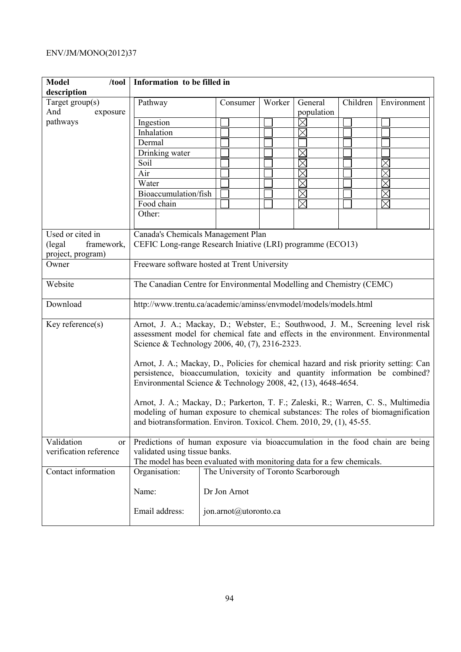| <b>Model</b><br>/tool                | Information to be filled in                                                           |                                       |        |                       |          |             |
|--------------------------------------|---------------------------------------------------------------------------------------|---------------------------------------|--------|-----------------------|----------|-------------|
| description                          |                                                                                       |                                       |        |                       |          |             |
| Target $group(s)$<br>And<br>exposure | Pathway                                                                               | Consumer                              | Worker | General<br>population | Children | Environment |
| pathways                             | Ingestion                                                                             |                                       |        | $\times$              |          |             |
|                                      | Inhalation                                                                            |                                       |        | $\times$              |          |             |
|                                      | Dermal                                                                                |                                       |        |                       |          |             |
|                                      | Drinking water                                                                        |                                       |        | $\boxtimes$           |          |             |
|                                      | Soil                                                                                  |                                       |        |                       |          |             |
|                                      | Air                                                                                   |                                       |        |                       |          |             |
|                                      | Water                                                                                 |                                       |        | $\times$              |          | $\times$    |
|                                      | Bioaccumulation/fish                                                                  |                                       |        | $\boxtimes$           |          | $\times$    |
|                                      | Food chain                                                                            |                                       |        | $\boxtimes$           |          | $\boxtimes$ |
|                                      | Other:                                                                                |                                       |        |                       |          |             |
|                                      |                                                                                       |                                       |        |                       |          |             |
| Used or cited in                     | Canada's Chemicals Management Plan                                                    |                                       |        |                       |          |             |
| (legal)<br>framework,                | CEFIC Long-range Research Iniative (LRI) programme (ECO13)                            |                                       |        |                       |          |             |
| project, program)                    |                                                                                       |                                       |        |                       |          |             |
| Owner                                | Freeware software hosted at Trent University                                          |                                       |        |                       |          |             |
|                                      |                                                                                       |                                       |        |                       |          |             |
| Website                              | The Canadian Centre for Environmental Modelling and Chemistry (CEMC)                  |                                       |        |                       |          |             |
| Download                             | http://www.trentu.ca/academic/aminss/envmodel/models/models.html                      |                                       |        |                       |          |             |
| Key reference $(s)$                  | Arnot, J. A.; Mackay, D.; Webster, E.; Southwood, J. M., Screening level risk         |                                       |        |                       |          |             |
|                                      | assessment model for chemical fate and effects in the environment. Environmental      |                                       |        |                       |          |             |
|                                      | Science & Technology 2006, 40, (7), 2316-2323.                                        |                                       |        |                       |          |             |
|                                      | Arnot, J. A.; Mackay, D., Policies for chemical hazard and risk priority setting: Can |                                       |        |                       |          |             |
|                                      | persistence, bioaccumulation, toxicity and quantity information be combined?          |                                       |        |                       |          |             |
|                                      | Environmental Science & Technology 2008, 42, $(13)$ , 4648-4654.                      |                                       |        |                       |          |             |
|                                      | Arnot, J. A.; Mackay, D.; Parkerton, T. F.; Zaleski, R.; Warren, C. S., Multimedia    |                                       |        |                       |          |             |
|                                      | modeling of human exposure to chemical substances: The roles of biomagnification      |                                       |        |                       |          |             |
|                                      | and biotransformation. Environ. Toxicol. Chem. 2010, 29, (1), 45-55.                  |                                       |        |                       |          |             |
|                                      |                                                                                       |                                       |        |                       |          |             |
| Validation<br>or                     | Predictions of human exposure via bioaccumulation in the food chain are being         |                                       |        |                       |          |             |
| verification reference               | validated using tissue banks.                                                         |                                       |        |                       |          |             |
|                                      | The model has been evaluated with monitoring data for a few chemicals.                |                                       |        |                       |          |             |
| Contact information                  | Organisation:                                                                         | The University of Toronto Scarborough |        |                       |          |             |
|                                      |                                                                                       |                                       |        |                       |          |             |
|                                      | Name:                                                                                 | Dr Jon Arnot                          |        |                       |          |             |
|                                      |                                                                                       |                                       |        |                       |          |             |
|                                      | Email address:                                                                        | jon.arnot@utoronto.ca                 |        |                       |          |             |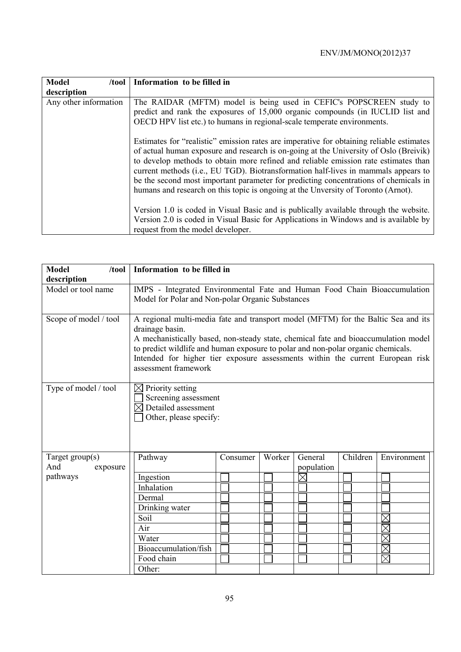| <b>Model</b><br>/tool | Information to be filled in                                                                                                                                                                                                                                                                                                                                                                                                                                                                                                                 |
|-----------------------|---------------------------------------------------------------------------------------------------------------------------------------------------------------------------------------------------------------------------------------------------------------------------------------------------------------------------------------------------------------------------------------------------------------------------------------------------------------------------------------------------------------------------------------------|
| description           |                                                                                                                                                                                                                                                                                                                                                                                                                                                                                                                                             |
| Any other information | The RAIDAR (MFTM) model is being used in CEFIC's POPSCREEN study to<br>predict and rank the exposures of 15,000 organic compounds (in IUCLID list and<br>OECD HPV list etc.) to humans in regional-scale temperate environments.                                                                                                                                                                                                                                                                                                            |
|                       | Estimates for "realistic" emission rates are imperative for obtaining reliable estimates<br>of actual human exposure and research is on-going at the University of Oslo (Breivik)<br>to develop methods to obtain more refined and reliable emission rate estimates than<br>current methods (i.e., EU TGD). Biotransformation half-lives in mammals appears to<br>be the second most important parameter for predicting concentrations of chemicals in<br>humans and research on this topic is ongoing at the Unversity of Toronto (Arnot). |
|                       | Version 1.0 is coded in Visual Basic and is publically available through the website.<br>Version 2.0 is coded in Visual Basic for Applications in Windows and is available by                                                                                                                                                                                                                                                                                                                                                               |
|                       | request from the model developer.                                                                                                                                                                                                                                                                                                                                                                                                                                                                                                           |

| <b>Model</b><br>/tool | Information to be filled in                                                                                                                                                                                                                                                                                                                                                              |          |        |             |          |             |
|-----------------------|------------------------------------------------------------------------------------------------------------------------------------------------------------------------------------------------------------------------------------------------------------------------------------------------------------------------------------------------------------------------------------------|----------|--------|-------------|----------|-------------|
| description           |                                                                                                                                                                                                                                                                                                                                                                                          |          |        |             |          |             |
| Model or tool name    | IMPS - Integrated Environmental Fate and Human Food Chain Bioaccumulation<br>Model for Polar and Non-polar Organic Substances                                                                                                                                                                                                                                                            |          |        |             |          |             |
| Scope of model / tool | A regional multi-media fate and transport model (MFTM) for the Baltic Sea and its<br>drainage basin.<br>A mechanistically based, non-steady state, chemical fate and bioaccumulation model<br>to predict wildlife and human exposure to polar and non-polar organic chemicals.<br>Intended for higher tier exposure assessments within the current European risk<br>assessment framework |          |        |             |          |             |
| Type of model / tool  | Priority setting<br>$\bowtie$<br>Screening assessment<br>$\boxtimes$ Detailed assessment<br>Other, please specify:                                                                                                                                                                                                                                                                       |          |        |             |          |             |
| Target $group(s)$     | Pathway                                                                                                                                                                                                                                                                                                                                                                                  | Consumer | Worker | General     | Children | Environment |
| And<br>exposure       |                                                                                                                                                                                                                                                                                                                                                                                          |          |        | population  |          |             |
| pathways              | Ingestion                                                                                                                                                                                                                                                                                                                                                                                |          |        | $\boxtimes$ |          |             |
|                       | Inhalation                                                                                                                                                                                                                                                                                                                                                                               |          |        |             |          |             |
|                       | Dermal                                                                                                                                                                                                                                                                                                                                                                                   |          |        |             |          |             |
|                       | Drinking water                                                                                                                                                                                                                                                                                                                                                                           |          |        |             |          |             |
|                       | Soil                                                                                                                                                                                                                                                                                                                                                                                     |          |        |             |          |             |
|                       | Air                                                                                                                                                                                                                                                                                                                                                                                      |          |        |             |          |             |
|                       | Water                                                                                                                                                                                                                                                                                                                                                                                    |          |        |             |          |             |
|                       | Bioaccumulation/fish                                                                                                                                                                                                                                                                                                                                                                     |          |        |             |          |             |
|                       | Food chain                                                                                                                                                                                                                                                                                                                                                                               |          |        |             |          |             |
|                       | Other:                                                                                                                                                                                                                                                                                                                                                                                   |          |        |             |          |             |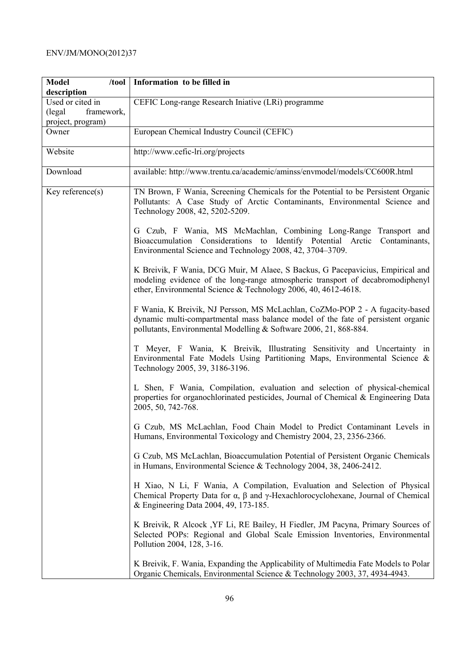| <b>Model</b><br>$/$ tool                                                      | Information to be filled in                                                                                                                                                                                                           |
|-------------------------------------------------------------------------------|---------------------------------------------------------------------------------------------------------------------------------------------------------------------------------------------------------------------------------------|
| description<br>Used or cited in<br>(legal)<br>framework,<br>project, program) | CEFIC Long-range Research Iniative (LRi) programme                                                                                                                                                                                    |
| Owner                                                                         | European Chemical Industry Council (CEFIC)                                                                                                                                                                                            |
| Website                                                                       | http://www.cefic-lri.org/projects                                                                                                                                                                                                     |
| Download                                                                      | available: http://www.trentu.ca/academic/aminss/envmodel/models/CC600R.html                                                                                                                                                           |
| $Key$ reference $(s)$                                                         | TN Brown, F Wania, Screening Chemicals for the Potential to be Persistent Organic<br>Pollutants: A Case Study of Arctic Contaminants, Environmental Science and<br>Technology 2008, 42, 5202-5209.                                    |
|                                                                               | G Czub, F Wania, MS McMachlan, Combining Long-Range Transport and<br>Bioaccumulation Considerations to Identify Potential Arctic<br>Contaminants,<br>Environmental Science and Technology 2008, 42, 3704–3709.                        |
|                                                                               | K Breivik, F Wania, DCG Muir, M Alaee, S Backus, G Pacepavicius, Empirical and<br>modeling evidence of the long-range atmospheric transport of decabromodiphenyl<br>ether, Environmental Science & Technology 2006, 40, 4612-4618.    |
|                                                                               | F Wania, K Breivik, NJ Persson, MS McLachlan, CoZMo-POP 2 - A fugacity-based<br>dynamic multi-compartmental mass balance model of the fate of persistent organic<br>pollutants, Environmental Modelling & Software 2006, 21, 868-884. |
|                                                                               | T Meyer, F Wania, K Breivik, Illustrating Sensitivity and Uncertainty in<br>Environmental Fate Models Using Partitioning Maps, Environmental Science &<br>Technology 2005, 39, 3186-3196.                                             |
|                                                                               | L Shen, F Wania, Compilation, evaluation and selection of physical-chemical<br>properties for organochlorinated pesticides, Journal of Chemical & Engineering Data<br>2005, 50, 742-768.                                              |
|                                                                               | G Czub, MS McLachlan, Food Chain Model to Predict Contaminant Levels in<br>Humans, Environmental Toxicology and Chemistry 2004, 23, 2356-2366.                                                                                        |
|                                                                               | G Czub, MS McLachlan, Bioaccumulation Potential of Persistent Organic Chemicals<br>in Humans, Environmental Science & Technology 2004, 38, 2406-2412.                                                                                 |
|                                                                               | H Xiao, N Li, F Wania, A Compilation, Evaluation and Selection of Physical<br>Chemical Property Data for $\alpha$ , $\beta$ and $\gamma$ -Hexachlorocyclohexane, Journal of Chemical<br>& Engineering Data 2004, 49, 173-185.         |
|                                                                               | K Breivik, R Alcock, YF Li, RE Bailey, H Fiedler, JM Pacyna, Primary Sources of<br>Selected POPs: Regional and Global Scale Emission Inventories, Environmental<br>Pollution 2004, 128, 3-16.                                         |
|                                                                               | K Breivik, F. Wania, Expanding the Applicability of Multimedia Fate Models to Polar<br>Organic Chemicals, Environmental Science & Technology 2003, 37, 4934-4943.                                                                     |